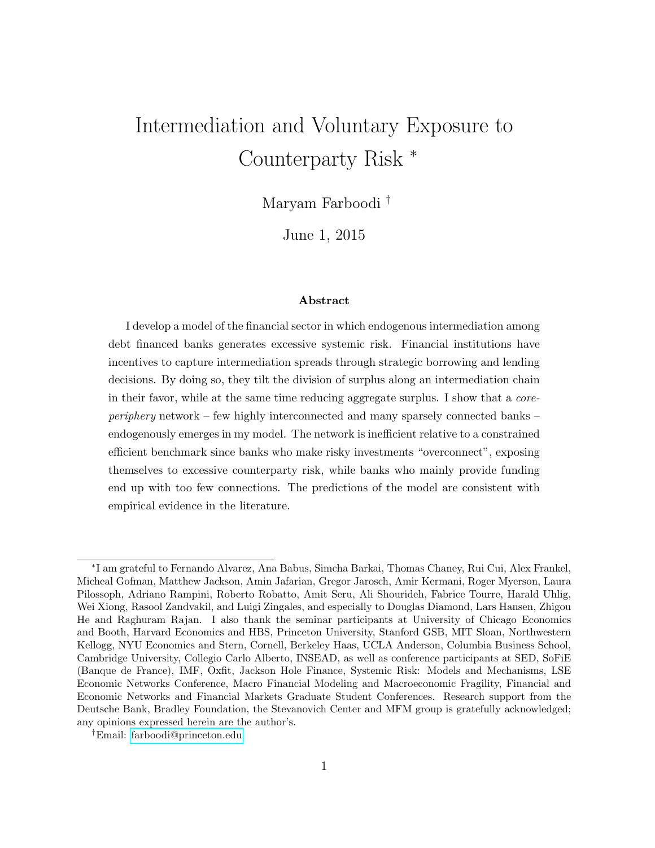# Intermediation and Voluntary Exposure to Counterparty Risk <sup>∗</sup>

Maryam Farboodi †

June 1, 2015

#### Abstract

I develop a model of the financial sector in which endogenous intermediation among debt financed banks generates excessive systemic risk. Financial institutions have incentives to capture intermediation spreads through strategic borrowing and lending decisions. By doing so, they tilt the division of surplus along an intermediation chain in their favor, while at the same time reducing aggregate surplus. I show that a coreperiphery network – few highly interconnected and many sparsely connected banks – endogenously emerges in my model. The network is inefficient relative to a constrained efficient benchmark since banks who make risky investments "overconnect", exposing themselves to excessive counterparty risk, while banks who mainly provide funding end up with too few connections. The predictions of the model are consistent with empirical evidence in the literature.

<sup>∗</sup> I am grateful to Fernando Alvarez, Ana Babus, Simcha Barkai, Thomas Chaney, Rui Cui, Alex Frankel, Micheal Gofman, Matthew Jackson, Amin Jafarian, Gregor Jarosch, Amir Kermani, Roger Myerson, Laura Pilossoph, Adriano Rampini, Roberto Robatto, Amit Seru, Ali Shourideh, Fabrice Tourre, Harald Uhlig, Wei Xiong, Rasool Zandvakil, and Luigi Zingales, and especially to Douglas Diamond, Lars Hansen, Zhigou He and Raghuram Rajan. I also thank the seminar participants at University of Chicago Economics and Booth, Harvard Economics and HBS, Princeton University, Stanford GSB, MIT Sloan, Northwestern Kellogg, NYU Economics and Stern, Cornell, Berkeley Haas, UCLA Anderson, Columbia Business School, Cambridge University, Collegio Carlo Alberto, INSEAD, as well as conference participants at SED, SoFiE (Banque de France), IMF, Oxfit, Jackson Hole Finance, Systemic Risk: Models and Mechanisms, LSE Economic Networks Conference, Macro Financial Modeling and Macroeconomic Fragility, Financial and Economic Networks and Financial Markets Graduate Student Conferences. Research support from the Deutsche Bank, Bradley Foundation, the Stevanovich Center and MFM group is gratefully acknowledged; any opinions expressed herein are the author's.

<sup>†</sup>Email: [farboodi@princeton.edu](mailto:farboodi@princeton.edu)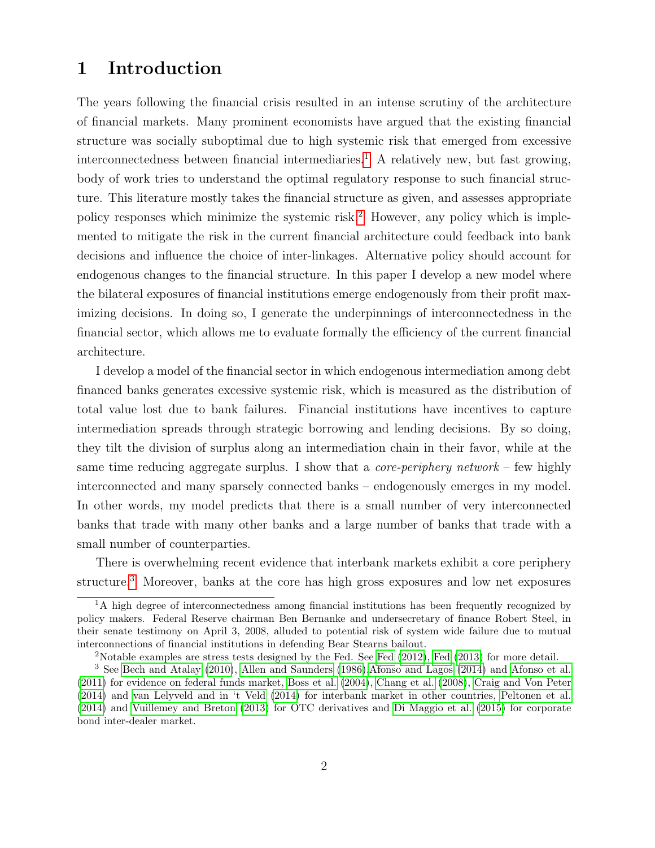# 1 Introduction

The years following the financial crisis resulted in an intense scrutiny of the architecture of financial markets. Many prominent economists have argued that the existing financial structure was socially suboptimal due to high systemic risk that emerged from excessive interconnectedness between financial intermediaries.<sup>[1](#page-1-0)</sup> A relatively new, but fast growing, body of work tries to understand the optimal regulatory response to such financial structure. This literature mostly takes the financial structure as given, and assesses appropriate policy responses which minimize the systemic risk.<sup>[2](#page-1-1)</sup> However, any policy which is implemented to mitigate the risk in the current financial architecture could feedback into bank decisions and influence the choice of inter-linkages. Alternative policy should account for endogenous changes to the financial structure. In this paper I develop a new model where the bilateral exposures of financial institutions emerge endogenously from their profit maximizing decisions. In doing so, I generate the underpinnings of interconnectedness in the financial sector, which allows me to evaluate formally the efficiency of the current financial architecture.

I develop a model of the financial sector in which endogenous intermediation among debt financed banks generates excessive systemic risk, which is measured as the distribution of total value lost due to bank failures. Financial institutions have incentives to capture intermediation spreads through strategic borrowing and lending decisions. By so doing, they tilt the division of surplus along an intermediation chain in their favor, while at the same time reducing aggregate surplus. I show that a *core-periphery network* – few highly interconnected and many sparsely connected banks – endogenously emerges in my model. In other words, my model predicts that there is a small number of very interconnected banks that trade with many other banks and a large number of banks that trade with a small number of counterparties.

There is overwhelming recent evidence that interbank markets exhibit a core periphery structure.<sup>[3](#page-1-2)</sup> Moreover, banks at the core has high gross exposures and low net exposures

<span id="page-1-0"></span><sup>&</sup>lt;sup>1</sup>A high degree of interconnectedness among financial institutions has been frequently recognized by policy makers. Federal Reserve chairman Ben Bernanke and undersecretary of finance Robert Steel, in their senate testimony on April 3, 2008, alluded to potential risk of system wide failure due to mutual interconnections of financial institutions in defending Bear Stearns bailout.

<span id="page-1-2"></span><span id="page-1-1"></span><sup>&</sup>lt;sup>2</sup>Notable examples are stress tests designed by the [Fed](#page-62-1). See Fed  $(2012)$ , Fed  $(2013)$  for more detail.

<sup>3</sup> See [Bech and Atalay](#page-59-0) [\(2010\)](#page-59-0), [Allen and Saunders](#page-58-0) [\(1986\)](#page-58-0)[,Afonso and Lagos](#page-58-1) [\(2014\)](#page-58-1) and [Afonso et al.](#page-58-2) [\(2011\)](#page-58-2) for evidence on federal funds market, [Boss et al.](#page-60-0) [\(2004\)](#page-60-0), [Chang et al.](#page-60-1) [\(2008\)](#page-60-1), [Craig and Von Peter](#page-60-2) [\(2014\)](#page-60-2) and [van Lelyveld and in 't Veld](#page-64-0) [\(2014\)](#page-64-0) for interbank market in other countries, [Peltonen et al.](#page-64-1) [\(2014\)](#page-64-1) and [Vuillemey and Breton](#page-64-2) [\(2013\)](#page-64-2) for OTC derivatives and [Di Maggio et al.](#page-61-0) [\(2015\)](#page-61-0) for corporate bond inter-dealer market.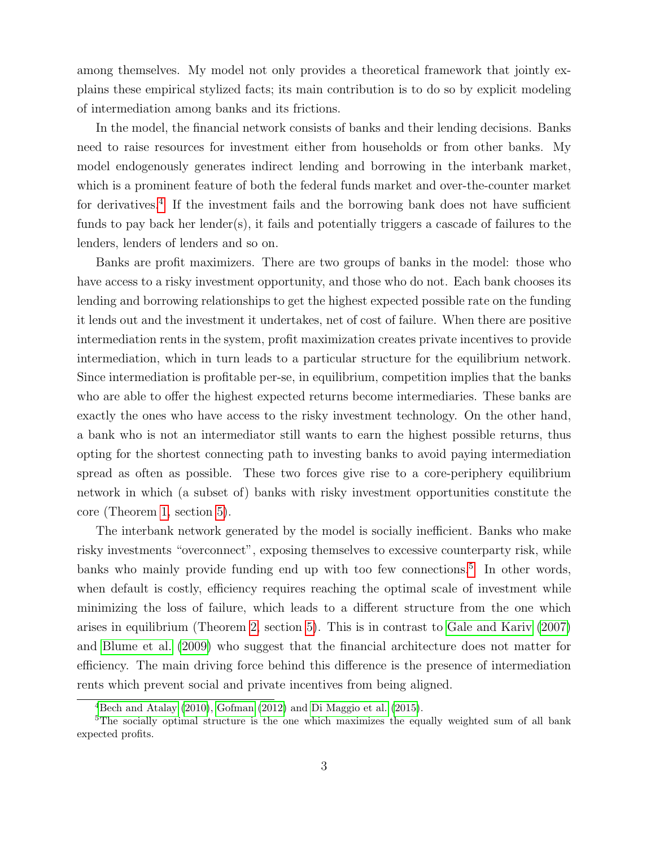among themselves. My model not only provides a theoretical framework that jointly explains these empirical stylized facts; its main contribution is to do so by explicit modeling of intermediation among banks and its frictions.

In the model, the financial network consists of banks and their lending decisions. Banks need to raise resources for investment either from households or from other banks. My model endogenously generates indirect lending and borrowing in the interbank market, which is a prominent feature of both the federal funds market and over-the-counter market for derivatives.<sup>[4](#page-2-0)</sup> If the investment fails and the borrowing bank does not have sufficient funds to pay back her lender(s), it fails and potentially triggers a cascade of failures to the lenders, lenders of lenders and so on.

Banks are profit maximizers. There are two groups of banks in the model: those who have access to a risky investment opportunity, and those who do not. Each bank chooses its lending and borrowing relationships to get the highest expected possible rate on the funding it lends out and the investment it undertakes, net of cost of failure. When there are positive intermediation rents in the system, profit maximization creates private incentives to provide intermediation, which in turn leads to a particular structure for the equilibrium network. Since intermediation is profitable per-se, in equilibrium, competition implies that the banks who are able to offer the highest expected returns become intermediaries. These banks are exactly the ones who have access to the risky investment technology. On the other hand, a bank who is not an intermediator still wants to earn the highest possible returns, thus opting for the shortest connecting path to investing banks to avoid paying intermediation spread as often as possible. These two forces give rise to a core-periphery equilibrium network in which (a subset of) banks with risky investment opportunities constitute the core (Theorem [1,](#page-24-0) section [5\)](#page-23-0).

The interbank network generated by the model is socially inefficient. Banks who make risky investments "overconnect", exposing themselves to excessive counterparty risk, while banks who mainly provide funding end up with too few connections.<sup>[5](#page-2-1)</sup> In other words, when default is costly, efficiency requires reaching the optimal scale of investment while minimizing the loss of failure, which leads to a different structure from the one which arises in equilibrium (Theorem [2,](#page-26-0) section [5\)](#page-23-0). This is in contrast to [Gale and Kariv](#page-62-2) [\(2007\)](#page-62-2) and [Blume et al.](#page-59-1) [\(2009\)](#page-59-1) who suggest that the financial architecture does not matter for efficiency. The main driving force behind this difference is the presence of intermediation rents which prevent social and private incentives from being aligned.

<span id="page-2-1"></span><span id="page-2-0"></span> $4$ [Bech and Atalay](#page-59-0) [\(2010\)](#page-59-0), [Gofman](#page-62-3) [\(2012\)](#page-62-3) and [Di Maggio et al.](#page-61-0) [\(2015\)](#page-61-0).

<sup>&</sup>lt;sup>5</sup>The socially optimal structure is the one which maximizes the equally weighted sum of all bank expected profits.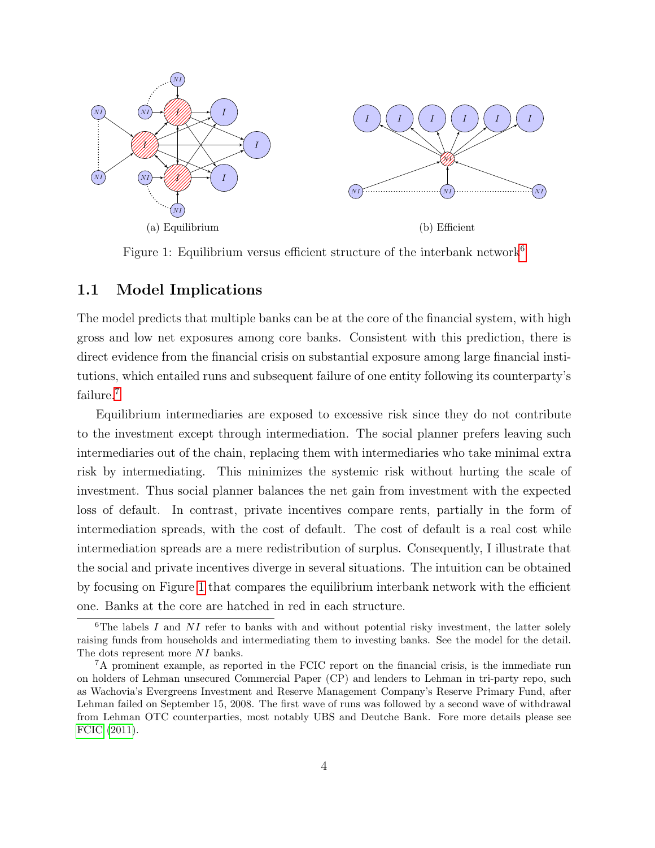<span id="page-3-2"></span>

<span id="page-3-3"></span>Figure 1: Equilibrium versus efficient structure of the interbank network<sup>[6](#page-3-0)</sup>

### 1.1 Model Implications

The model predicts that multiple banks can be at the core of the financial system, with high gross and low net exposures among core banks. Consistent with this prediction, there is direct evidence from the financial crisis on substantial exposure among large financial institutions, which entailed runs and subsequent failure of one entity following its counterparty's failure.<sup>[7](#page-3-1)</sup>

Equilibrium intermediaries are exposed to excessive risk since they do not contribute to the investment except through intermediation. The social planner prefers leaving such intermediaries out of the chain, replacing them with intermediaries who take minimal extra risk by intermediating. This minimizes the systemic risk without hurting the scale of investment. Thus social planner balances the net gain from investment with the expected loss of default. In contrast, private incentives compare rents, partially in the form of intermediation spreads, with the cost of default. The cost of default is a real cost while intermediation spreads are a mere redistribution of surplus. Consequently, I illustrate that the social and private incentives diverge in several situations. The intuition can be obtained by focusing on Figure [1](#page-3-2) that compares the equilibrium interbank network with the efficient one. Banks at the core are hatched in red in each structure.

<span id="page-3-0"></span><sup>&</sup>lt;sup>6</sup>The labels I and  $NI$  refer to banks with and without potential risky investment, the latter solely raising funds from households and intermediating them to investing banks. See the model for the detail. The dots represent more NI banks.

<span id="page-3-1"></span><sup>7</sup>A prominent example, as reported in the FCIC report on the financial crisis, is the immediate run on holders of Lehman unsecured Commercial Paper (CP) and lenders to Lehman in tri-party repo, such as Wachovia's Evergreens Investment and Reserve Management Company's Reserve Primary Fund, after Lehman failed on September 15, 2008. The first wave of runs was followed by a second wave of withdrawal from Lehman OTC counterparties, most notably UBS and Deutche Bank. Fore more details please see [FCIC](#page-61-1) [\(2011\)](#page-61-1).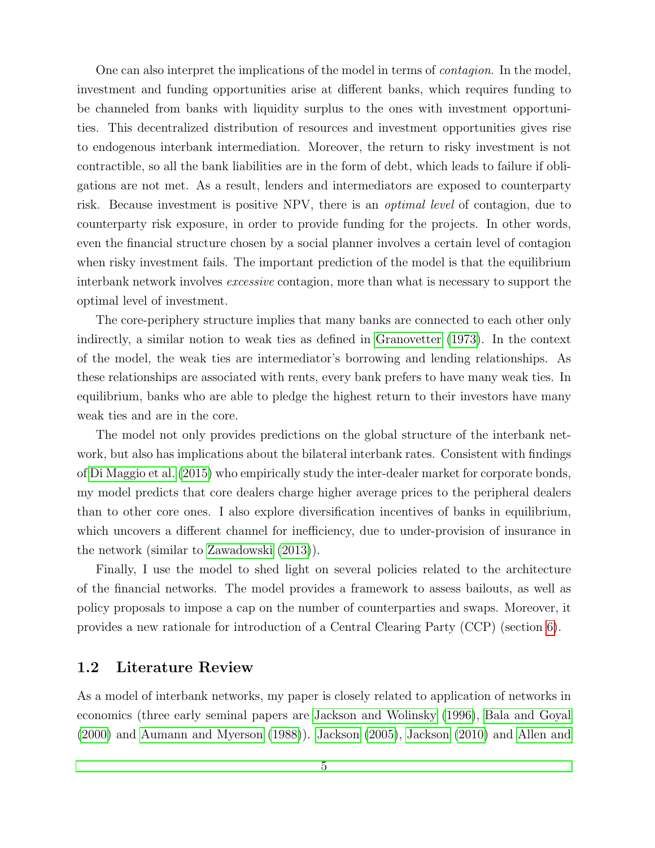One can also interpret the implications of the model in terms of *contagion*. In the model, investment and funding opportunities arise at different banks, which requires funding to be channeled from banks with liquidity surplus to the ones with investment opportunities. This decentralized distribution of resources and investment opportunities gives rise to endogenous interbank intermediation. Moreover, the return to risky investment is not contractible, so all the bank liabilities are in the form of debt, which leads to failure if obligations are not met. As a result, lenders and intermediators are exposed to counterparty risk. Because investment is positive NPV, there is an optimal level of contagion, due to counterparty risk exposure, in order to provide funding for the projects. In other words, even the financial structure chosen by a social planner involves a certain level of contagion when risky investment fails. The important prediction of the model is that the equilibrium interbank network involves *excessive* contagion, more than what is necessary to support the optimal level of investment.

The core-periphery structure implies that many banks are connected to each other only indirectly, a similar notion to weak ties as defined in [Granovetter](#page-62-4) [\(1973\)](#page-62-4). In the context of the model, the weak ties are intermediator's borrowing and lending relationships. As these relationships are associated with rents, every bank prefers to have many weak ties. In equilibrium, banks who are able to pledge the highest return to their investors have many weak ties and are in the core.

The model not only provides predictions on the global structure of the interbank network, but also has implications about the bilateral interbank rates. Consistent with findings of [Di Maggio et al.](#page-61-0) [\(2015\)](#page-61-0) who empirically study the inter-dealer market for corporate bonds, my model predicts that core dealers charge higher average prices to the peripheral dealers than to other core ones. I also explore diversification incentives of banks in equilibrium, which uncovers a different channel for inefficiency, due to under-provision of insurance in the network (similar to [Zawadowski](#page-65-0) [\(2013\)](#page-65-0)).

Finally, I use the model to shed light on several policies related to the architecture of the financial networks. The model provides a framework to assess bailouts, as well as policy proposals to impose a cap on the number of counterparties and swaps. Moreover, it provides a new rationale for introduction of a Central Clearing Party (CCP) (section [6\)](#page-33-0).

### 1.2 Literature Review

As a model of interbank networks, my paper is closely related to application of networks in economics (three early seminal papers are [Jackson and Wolinsky](#page-63-0) [\(1996\)](#page-63-0), [Bala and Goyal](#page-59-2) [\(2000\)](#page-59-2) and [Aumann and Myerson](#page-59-3) [\(1988\)](#page-59-3)). [Jackson](#page-63-1) [\(2005\)](#page-63-1), [Jackson](#page-63-2) [\(2010\)](#page-63-2) and [Allen and](#page-58-3)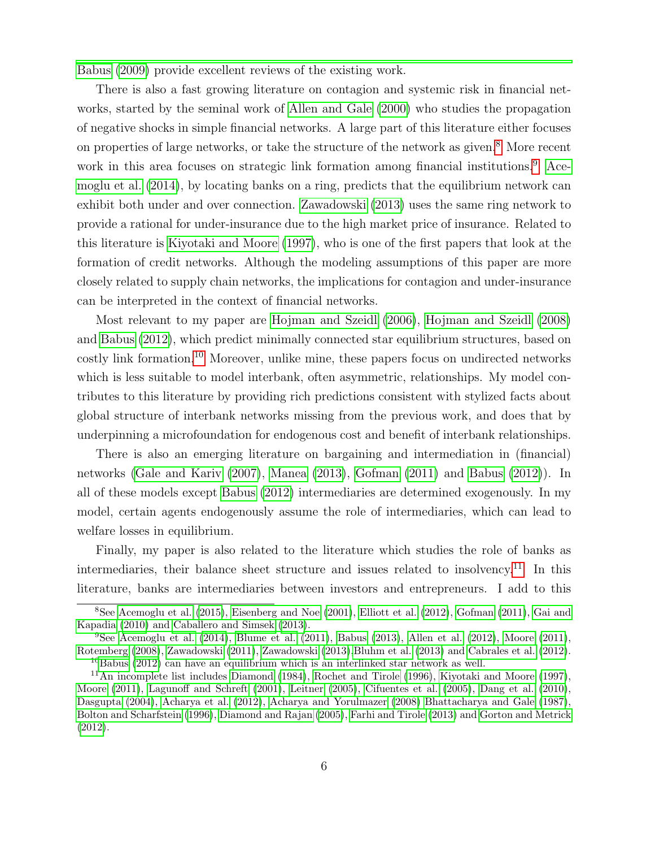[Babus](#page-58-3) [\(2009\)](#page-58-3) provide excellent reviews of the existing work.

There is also a fast growing literature on contagion and systemic risk in financial networks, started by the seminal work of [Allen and Gale](#page-58-4) [\(2000\)](#page-58-4) who studies the propagation of negative shocks in simple financial networks. A large part of this literature either focuses on properties of large networks, or take the structure of the network as given.<sup>[8](#page-5-0)</sup> More recent work in this area focuses on strategic link formation among financial institutions.<sup>[9](#page-5-1)</sup> [Ace](#page-58-5)[moglu et al.](#page-58-5) [\(2014\)](#page-58-5), by locating banks on a ring, predicts that the equilibrium network can exhibit both under and over connection. [Zawadowski](#page-65-0) [\(2013\)](#page-65-0) uses the same ring network to provide a rational for under-insurance due to the high market price of insurance. Related to this literature is [Kiyotaki and Moore](#page-63-3) [\(1997\)](#page-63-3), who is one of the first papers that look at the formation of credit networks. Although the modeling assumptions of this paper are more closely related to supply chain networks, the implications for contagion and under-insurance can be interpreted in the context of financial networks.

Most relevant to my paper are [Hojman and Szeidl](#page-62-5) [\(2006\)](#page-62-5), [Hojman and Szeidl](#page-62-6) [\(2008\)](#page-62-6) and [Babus](#page-59-4) [\(2012\)](#page-59-4), which predict minimally connected star equilibrium structures, based on costly link formation.[10](#page-5-2) Moreover, unlike mine, these papers focus on undirected networks which is less suitable to model interbank, often asymmetric, relationships. My model contributes to this literature by providing rich predictions consistent with stylized facts about global structure of interbank networks missing from the previous work, and does that by underpinning a microfoundation for endogenous cost and benefit of interbank relationships.

There is also an emerging literature on bargaining and intermediation in (financial) networks [\(Gale and Kariv](#page-62-2) [\(2007\)](#page-62-2), [Manea](#page-63-4) [\(2013\)](#page-63-4), [Gofman](#page-62-7) [\(2011\)](#page-62-7) and [Babus](#page-59-4) [\(2012\)](#page-59-4)). In all of these models except [Babus](#page-59-4) [\(2012\)](#page-59-4) intermediaries are determined exogenously. In my model, certain agents endogenously assume the role of intermediaries, which can lead to welfare losses in equilibrium.

Finally, my paper is also related to the literature which studies the role of banks as intermediaries, their balance sheet structure and issues related to insolvency.[11](#page-5-3) In this literature, banks are intermediaries between investors and entrepreneurs. I add to this

<span id="page-5-0"></span><sup>8</sup>See [Acemoglu et al.](#page-58-6) [\(2015\)](#page-58-6), [Eisenberg and Noe](#page-61-2) [\(2001\)](#page-61-2), [Elliott et al.](#page-61-3) [\(2012\)](#page-61-3), [Gofman](#page-62-7) [\(2011\)](#page-62-7), [Gai and](#page-62-8) [Kapadia](#page-62-8) [\(2010\)](#page-62-8) and [Caballero and Simsek](#page-60-3) [\(2013\)](#page-60-3).

<span id="page-5-1"></span><sup>&</sup>lt;sup>9</sup>See [Acemoglu et al.](#page-58-5)  $(2014)$ , [Blume et al.](#page-59-5)  $(2011)$ , [Babus](#page-59-6)  $(2013)$ , [Allen et al.](#page-58-7)  $(2012)$ , [Moore](#page-63-5)  $(2011)$ , [Rotemberg](#page-64-3) [\(2008\)](#page-64-3), [Zawadowski](#page-65-1) [\(2011\)](#page-65-1), [Zawadowski](#page-65-0) [\(2013\)](#page-65-0)[,Bluhm et al.](#page-59-7) [\(2013\)](#page-59-7) and [Cabrales et al.](#page-60-4) [\(2012\)](#page-60-4). <sup>10</sup>[Babus](#page-59-4) [\(2012\)](#page-59-4) can have an equilibrium which is an interlinked star network as well.

<span id="page-5-3"></span><span id="page-5-2"></span><sup>11</sup>An incomplete list includes [Diamond](#page-61-4) [\(1984\)](#page-61-4), [Rochet and Tirole](#page-64-4) [\(1996\)](#page-64-4), [Kiyotaki and Moore](#page-63-3) [\(1997\)](#page-63-3), [Moore](#page-63-5) [\(2011\)](#page-63-5), [Lagunoff and Schreft](#page-63-6) [\(2001\)](#page-63-6), [Leitner](#page-63-7) [\(2005\)](#page-63-7), [Cifuentes et al.](#page-60-5) [\(2005\)](#page-60-5), [Dang et al.](#page-61-5) [\(2010\)](#page-61-5), [Dasgupta](#page-61-6) [\(2004\)](#page-61-6), [Acharya et al.](#page-58-8) [\(2012\)](#page-58-8), [Acharya and Yorulmazer](#page-58-9) [\(2008\)](#page-58-9) [Bhattacharya and Gale](#page-59-8) [\(1987\)](#page-59-8), [Bolton and Scharfstein](#page-60-6) [\(1996\)](#page-60-6), [Diamond and Rajan](#page-61-7) [\(2005\)](#page-61-7), [Farhi and Tirole](#page-61-8) [\(2013\)](#page-61-8) and [Gorton and Metrick](#page-62-9) [\(2012\)](#page-62-9).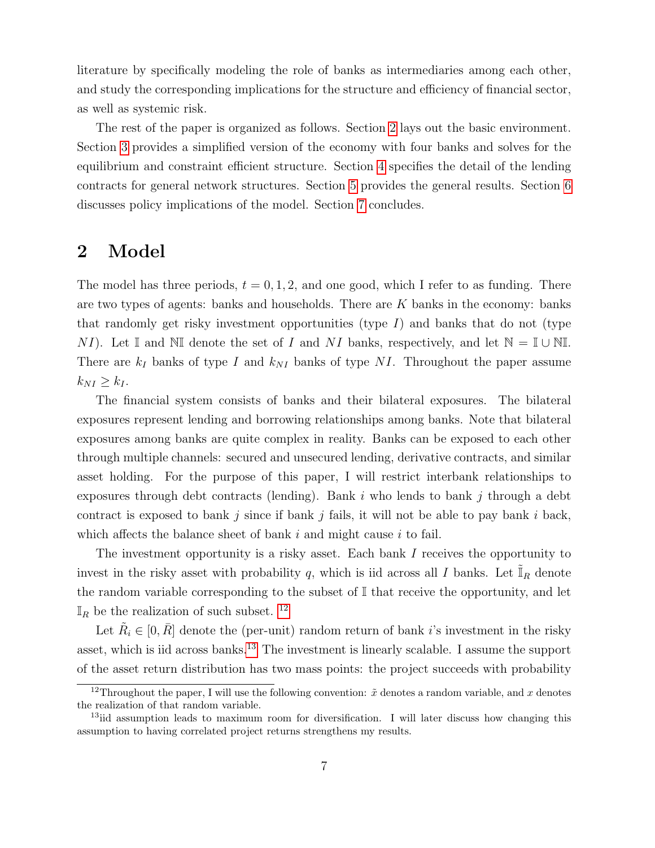literature by specifically modeling the role of banks as intermediaries among each other, and study the corresponding implications for the structure and efficiency of financial sector, as well as systemic risk.

The rest of the paper is organized as follows. Section [2](#page-6-0) lays out the basic environment. Section [3](#page-8-0) provides a simplified version of the economy with four banks and solves for the equilibrium and constraint efficient structure. Section [4](#page-16-0) specifies the detail of the lending contracts for general network structures. Section [5](#page-23-0) provides the general results. Section [6](#page-33-0) discusses policy implications of the model. Section [7](#page-35-0) concludes.

# <span id="page-6-0"></span>2 Model

The model has three periods,  $t = 0, 1, 2$ , and one good, which I refer to as funding. There are two types of agents: banks and households. There are  $K$  banks in the economy: banks that randomly get risky investment opportunities (type  $I$ ) and banks that do not (type NI). Let I and NI denote the set of I and NI banks, respectively, and let  $\mathbb{N} = \mathbb{I} \cup \mathbb{N}$ . There are  $k_I$  banks of type I and  $k_{NI}$  banks of type NI. Throughout the paper assume  $k_{NI} \geq k_I$ .

The financial system consists of banks and their bilateral exposures. The bilateral exposures represent lending and borrowing relationships among banks. Note that bilateral exposures among banks are quite complex in reality. Banks can be exposed to each other through multiple channels: secured and unsecured lending, derivative contracts, and similar asset holding. For the purpose of this paper, I will restrict interbank relationships to exposures through debt contracts (lending). Bank  $i$  who lends to bank  $j$  through a debt contract is exposed to bank j since if bank j fails, it will not be able to pay bank i back, which affects the balance sheet of bank  $i$  and might cause  $i$  to fail.

The investment opportunity is a risky asset. Each bank I receives the opportunity to invest in the risky asset with probability q, which is iid across all I banks. Let  $\tilde{\mathbb{I}}_R$  denote the random variable corresponding to the subset of  $\mathbb I$  that receive the opportunity, and let  $\mathbb{I}_R$  be the realization of such subset. <sup>[12](#page-6-1)</sup>

Let  $\tilde{R}_i \in [0, \bar{R}]$  denote the (per-unit) random return of bank *i*'s investment in the risky asset, which is iid across banks.<sup>[13](#page-6-2)</sup> The investment is linearly scalable. I assume the support of the asset return distribution has two mass points: the project succeeds with probability

<span id="page-6-1"></span><sup>&</sup>lt;sup>12</sup>Throughout the paper, I will use the following convention:  $\tilde{x}$  denotes a random variable, and x denotes the realization of that random variable.

<span id="page-6-2"></span><sup>&</sup>lt;sup>13</sup>iid assumption leads to maximum room for diversification. I will later discuss how changing this assumption to having correlated project returns strengthens my results.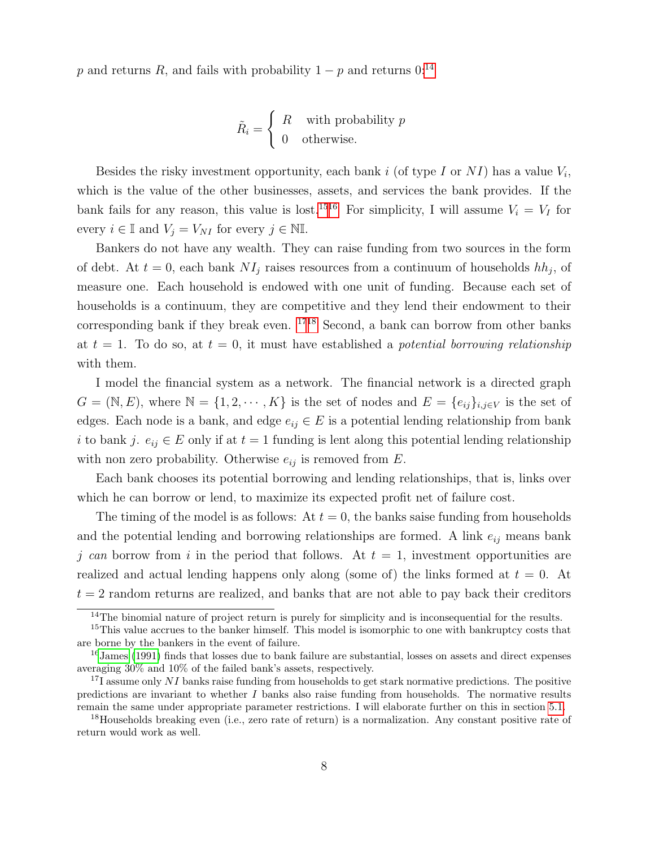p and returns R, and fails with probability  $1 - p$  and returns  $0:^{14}$  $0:^{14}$  $0:^{14}$ 

$$
\tilde{R}_i = \begin{cases}\nR & \text{with probability } p \\
0 & \text{otherwise.} \n\end{cases}
$$

Besides the risky investment opportunity, each bank  $i$  (of type I or NI) has a value  $V_i$ , which is the value of the other businesses, assets, and services the bank provides. If the bank fails for any reason, this value is lost.<sup>[15](#page-7-1)[16](#page-7-2)</sup> For simplicity, I will assume  $V_i = V_I$  for every  $i \in \mathbb{I}$  and  $V_j = V_{NI}$  for every  $j \in \mathbb{N} \mathbb{I}$ .

Bankers do not have any wealth. They can raise funding from two sources in the form of debt. At  $t = 0$ , each bank  $NI<sub>j</sub>$  raises resources from a continuum of households  $hh<sub>j</sub>$ , of measure one. Each household is endowed with one unit of funding. Because each set of households is a continuum, they are competitive and they lend their endowment to their corresponding bank if they break even. [17](#page-7-3)[18](#page-7-4) Second, a bank can borrow from other banks at  $t = 1$ . To do so, at  $t = 0$ , it must have established a *potential borrowing relationship* with them.

I model the financial system as a network. The financial network is a directed graph  $G = (\mathbb{N}, E)$ , where  $\mathbb{N} = \{1, 2, \cdots, K\}$  is the set of nodes and  $E = \{e_{ij}\}_{i,j \in V}$  is the set of edges. Each node is a bank, and edge  $e_{ij} \in E$  is a potential lending relationship from bank i to bank j.  $e_{ij} \in E$  only if at  $t = 1$  funding is lent along this potential lending relationship with non zero probability. Otherwise  $e_{ij}$  is removed from  $E$ .

Each bank chooses its potential borrowing and lending relationships, that is, links over which he can borrow or lend, to maximize its expected profit net of failure cost.

The timing of the model is as follows: At  $t = 0$ , the banks saise funding from households and the potential lending and borrowing relationships are formed. A link  $e_{ij}$  means bank j can borrow from i in the period that follows. At  $t = 1$ , investment opportunities are realized and actual lending happens only along (some of) the links formed at  $t = 0$ . At  $t = 2$  random returns are realized, and banks that are not able to pay back their creditors

<span id="page-7-1"></span><span id="page-7-0"></span><sup>&</sup>lt;sup>14</sup>The binomial nature of project return is purely for simplicity and is inconsequential for the results.

<sup>&</sup>lt;sup>15</sup>This value accrues to the banker himself. This model is isomorphic to one with bankruptcy costs that are borne by the bankers in the event of failure.

<span id="page-7-2"></span><sup>&</sup>lt;sup>16</sup>[James](#page-63-8) [\(1991\)](#page-63-8) finds that losses due to bank failure are substantial, losses on assets and direct expenses averaging 30% and 10% of the failed bank's assets, respectively.

<span id="page-7-3"></span> $171$  assume only NI banks raise funding from households to get stark normative predictions. The positive predictions are invariant to whether  $I$  banks also raise funding from households. The normative results remain the same under appropriate parameter restrictions. I will elaborate further on this in section [5.1.](#page-27-0)

<span id="page-7-4"></span><sup>&</sup>lt;sup>18</sup>Households breaking even (i.e., zero rate of return) is a normalization. Any constant positive rate of return would work as well.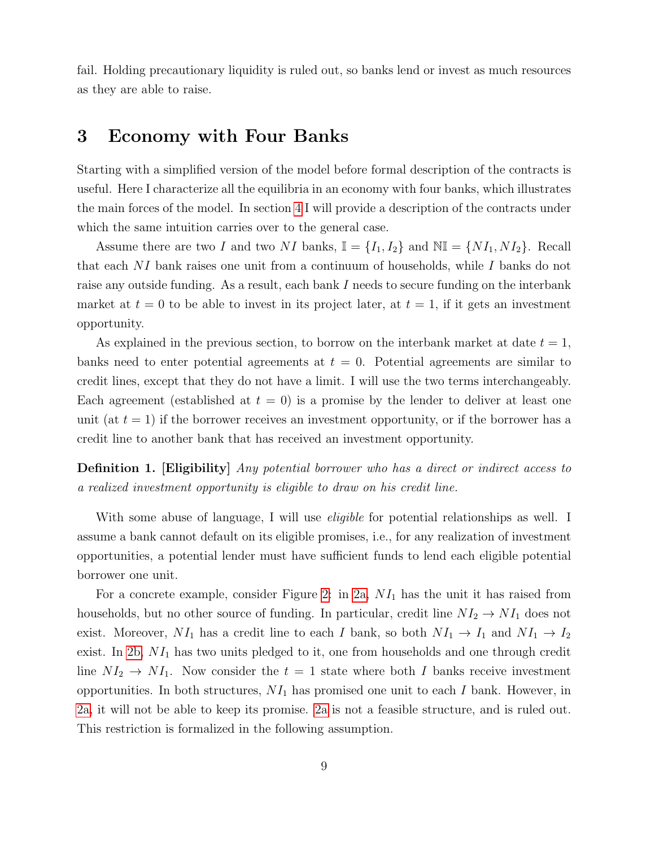fail. Holding precautionary liquidity is ruled out, so banks lend or invest as much resources as they are able to raise.

# <span id="page-8-0"></span>3 Economy with Four Banks

Starting with a simplified version of the model before formal description of the contracts is useful. Here I characterize all the equilibria in an economy with four banks, which illustrates the main forces of the model. In section [4](#page-16-0) I will provide a description of the contracts under which the same intuition carries over to the general case.

Assume there are two I and two NI banks,  $\mathbb{I} = \{I_1, I_2\}$  and  $\mathbb{NI} = \{NI_1, NI_2\}$ . Recall that each NI bank raises one unit from a continuum of households, while I banks do not raise any outside funding. As a result, each bank I needs to secure funding on the interbank market at  $t = 0$  to be able to invest in its project later, at  $t = 1$ , if it gets an investment opportunity.

As explained in the previous section, to borrow on the interbank market at date  $t = 1$ , banks need to enter potential agreements at  $t = 0$ . Potential agreements are similar to credit lines, except that they do not have a limit. I will use the two terms interchangeably. Each agreement (established at  $t = 0$ ) is a promise by the lender to deliver at least one unit (at  $t = 1$ ) if the borrower receives an investment opportunity, or if the borrower has a credit line to another bank that has received an investment opportunity.

**Definition 1.** [Eligibility] Any potential borrower who has a direct or indirect access to a realized investment opportunity is eligible to draw on his credit line.

With some abuse of language, I will use *eligible* for potential relationships as well. I assume a bank cannot default on its eligible promises, i.e., for any realization of investment opportunities, a potential lender must have sufficient funds to lend each eligible potential borrower one unit.

For a concrete example, consider Figure [2:](#page-9-0) in [2a,](#page-9-1)  $NI_1$  has the unit it has raised from households, but no other source of funding. In particular, credit line  $NI_2 \to NI_1$  does not exist. Moreover,  $NI_1$  has a credit line to each I bank, so both  $NI_1 \rightarrow I_1$  and  $NI_1 \rightarrow I_2$ exist. In [2b,](#page-9-2)  $NI_1$  has two units pledged to it, one from households and one through credit line  $NI_2 \to NI_1$ . Now consider the  $t = 1$  state where both I banks receive investment opportunities. In both structures,  $NI_1$  has promised one unit to each I bank. However, in [2a,](#page-9-1) it will not be able to keep its promise. [2a](#page-9-1) is not a feasible structure, and is ruled out. This restriction is formalized in the following assumption.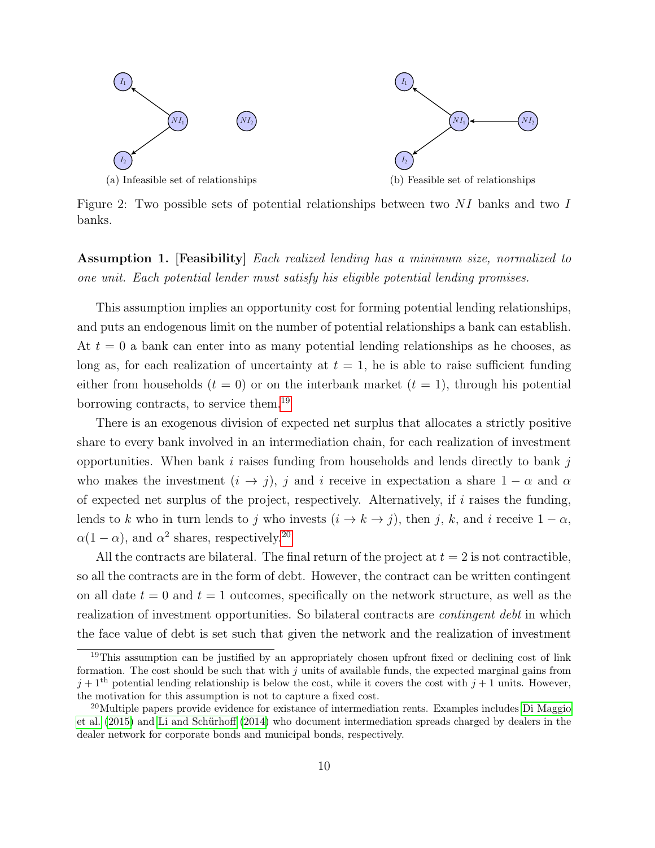<span id="page-9-0"></span>

<span id="page-9-2"></span><span id="page-9-1"></span>Figure 2: Two possible sets of potential relationships between two NI banks and two I banks.

<span id="page-9-5"></span>Assumption 1. [Feasibility] Each realized lending has a minimum size, normalized to one unit. Each potential lender must satisfy his eligible potential lending promises.

This assumption implies an opportunity cost for forming potential lending relationships, and puts an endogenous limit on the number of potential relationships a bank can establish. At  $t = 0$  a bank can enter into as many potential lending relationships as he chooses, as long as, for each realization of uncertainty at  $t = 1$ , he is able to raise sufficient funding either from households  $(t = 0)$  or on the interbank market  $(t = 1)$ , through his potential borrowing contracts, to service them.[19](#page-9-3)

There is an exogenous division of expected net surplus that allocates a strictly positive share to every bank involved in an intermediation chain, for each realization of investment opportunities. When bank i raises funding from households and lends directly to bank j who makes the investment  $(i \rightarrow j)$ , j and i receive in expectation a share  $1 - \alpha$  and  $\alpha$ of expected net surplus of the project, respectively. Alternatively, if  $i$  raises the funding, lends to k who in turn lends to j who invests  $(i \rightarrow k \rightarrow j)$ , then j, k, and i receive  $1 - \alpha$ ,  $\alpha(1-\alpha)$ , and  $\alpha^2$  shares, respectively.<sup>[20](#page-9-4)</sup>

All the contracts are bilateral. The final return of the project at  $t = 2$  is not contractible, so all the contracts are in the form of debt. However, the contract can be written contingent on all date  $t = 0$  and  $t = 1$  outcomes, specifically on the network structure, as well as the realization of investment opportunities. So bilateral contracts are *contingent debt* in which the face value of debt is set such that given the network and the realization of investment

<span id="page-9-3"></span><sup>&</sup>lt;sup>19</sup>This assumption can be justified by an appropriately chosen upfront fixed or declining cost of link formation. The cost should be such that with  $j$  units of available funds, the expected marginal gains from  $j+1^{\text{th}}$  potential lending relationship is below the cost, while it covers the cost with  $j+1$  units. However, the motivation for this assumption is not to capture a fixed cost.

<span id="page-9-4"></span><sup>&</sup>lt;sup>20</sup>Multiple papers provide evidence for existance of intermediation rents. Examples includes [Di Maggio](#page-61-0) [et al.](#page-61-0) [\(2015\)](#page-61-0) and Li and Schürhoff [\(2014\)](#page-63-9) who document intermediation spreads charged by dealers in the dealer network for corporate bonds and municipal bonds, respectively.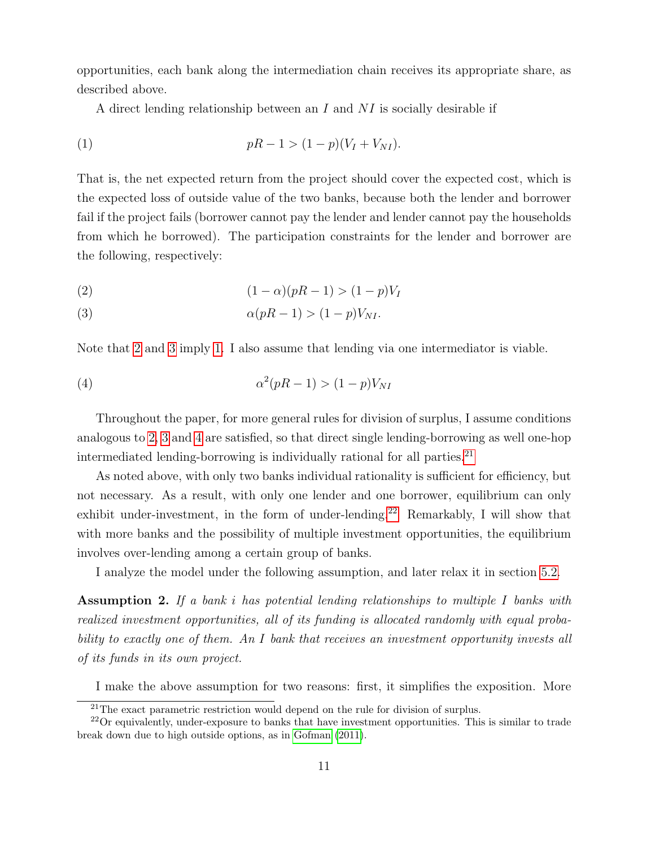opportunities, each bank along the intermediation chain receives its appropriate share, as described above.

A direct lending relationship between an I and  $NI$  is socially desirable if

<span id="page-10-2"></span>(1) 
$$
pR - 1 > (1 - p)(V_I + V_{NI}).
$$

That is, the net expected return from the project should cover the expected cost, which is the expected loss of outside value of the two banks, because both the lender and borrower fail if the project fails (borrower cannot pay the lender and lender cannot pay the households from which he borrowed). The participation constraints for the lender and borrower are the following, respectively:

<span id="page-10-1"></span><span id="page-10-0"></span>(2) 
$$
(1 - \alpha)(pR - 1) > (1 - p)V_I
$$

$$
\alpha(pR - 1) > (1 - p)V_{NI}.
$$

Note that [2](#page-10-0) and [3](#page-10-1) imply [1.](#page-10-2) I also assume that lending via one intermediator is viable.

<span id="page-10-3"></span>
$$
\alpha^2(pR-1) > (1-p)V_{NI}
$$

Throughout the paper, for more general rules for division of surplus, I assume conditions analogous to [2,](#page-10-0) [3](#page-10-1) and [4](#page-10-3) are satisfied, so that direct single lending-borrowing as well one-hop intermediated lending-borrowing is individually rational for all parties.<sup>[21](#page-10-4)</sup>

As noted above, with only two banks individual rationality is sufficient for efficiency, but not necessary. As a result, with only one lender and one borrower, equilibrium can only exhibit under-investment, in the form of under-lending.<sup>[22](#page-10-5)</sup> Remarkably, I will show that with more banks and the possibility of multiple investment opportunities, the equilibrium involves over-lending among a certain group of banks.

I analyze the model under the following assumption, and later relax it in section [5.2.](#page-29-0)

<span id="page-10-6"></span>Assumption 2. If a bank i has potential lending relationships to multiple I banks with realized investment opportunities, all of its funding is allocated randomly with equal probability to exactly one of them. An I bank that receives an investment opportunity invests all of its funds in its own project.

I make the above assumption for two reasons: first, it simplifies the exposition. More

<span id="page-10-5"></span><span id="page-10-4"></span> $21$ The exact parametric restriction would depend on the rule for division of surplus.

<sup>22</sup>Or equivalently, under-exposure to banks that have investment opportunities. This is similar to trade break down due to high outside options, as in [Gofman](#page-62-7) [\(2011\)](#page-62-7).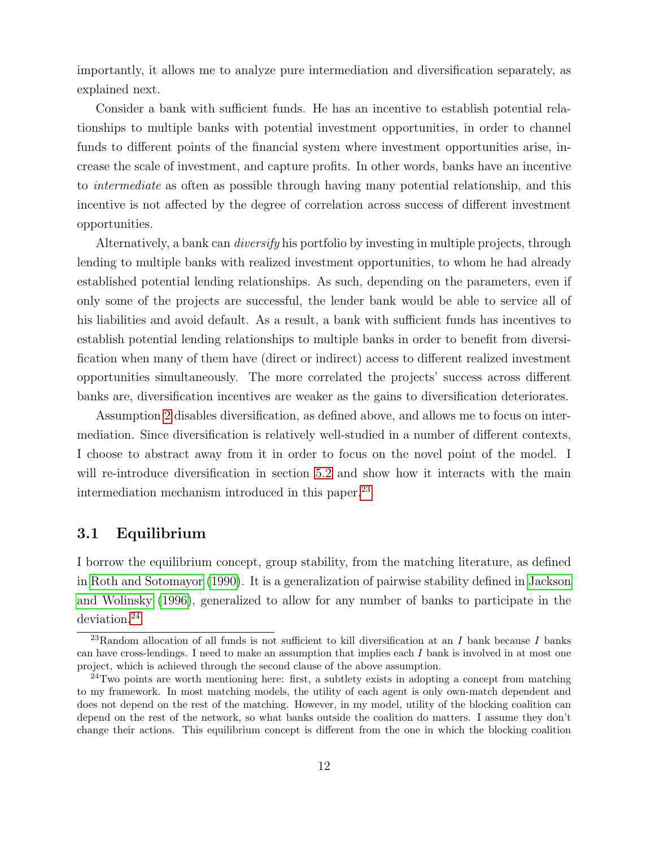importantly, it allows me to analyze pure intermediation and diversification separately, as explained next.

Consider a bank with sufficient funds. He has an incentive to establish potential relationships to multiple banks with potential investment opportunities, in order to channel funds to different points of the financial system where investment opportunities arise, increase the scale of investment, and capture profits. In other words, banks have an incentive to intermediate as often as possible through having many potential relationship, and this incentive is not affected by the degree of correlation across success of different investment opportunities.

Alternatively, a bank can *diversify* his portfolio by investing in multiple projects, through lending to multiple banks with realized investment opportunities, to whom he had already established potential lending relationships. As such, depending on the parameters, even if only some of the projects are successful, the lender bank would be able to service all of his liabilities and avoid default. As a result, a bank with sufficient funds has incentives to establish potential lending relationships to multiple banks in order to benefit from diversification when many of them have (direct or indirect) access to different realized investment opportunities simultaneously. The more correlated the projects' success across different banks are, diversification incentives are weaker as the gains to diversification deteriorates.

Assumption [2](#page-10-6) disables diversification, as defined above, and allows me to focus on intermediation. Since diversification is relatively well-studied in a number of different contexts, I choose to abstract away from it in order to focus on the novel point of the model. I will re-introduce diversification in section [5.2](#page-29-0) and show how it interacts with the main intermediation mechanism introduced in this paper.<sup>[23](#page-11-0)</sup>

### <span id="page-11-2"></span>3.1 Equilibrium

I borrow the equilibrium concept, group stability, from the matching literature, as defined in [Roth and Sotomayor](#page-64-5) [\(1990\)](#page-64-5). It is a generalization of pairwise stability defined in [Jackson](#page-63-0) [and Wolinsky](#page-63-0) [\(1996\)](#page-63-0), generalized to allow for any number of banks to participate in the deviation.<sup>[24](#page-11-1)</sup>

<span id="page-11-0"></span><sup>&</sup>lt;sup>23</sup>Random allocation of all funds is not sufficient to kill diversification at an I bank because I banks can have cross-lendings. I need to make an assumption that implies each  $I$  bank is involved in at most one project, which is achieved through the second clause of the above assumption.

<span id="page-11-1"></span> $^{24}$ Two points are worth mentioning here: first, a subtlety exists in adopting a concept from matching to my framework. In most matching models, the utility of each agent is only own-match dependent and does not depend on the rest of the matching. However, in my model, utility of the blocking coalition can depend on the rest of the network, so what banks outside the coalition do matters. I assume they don't change their actions. This equilibrium concept is different from the one in which the blocking coalition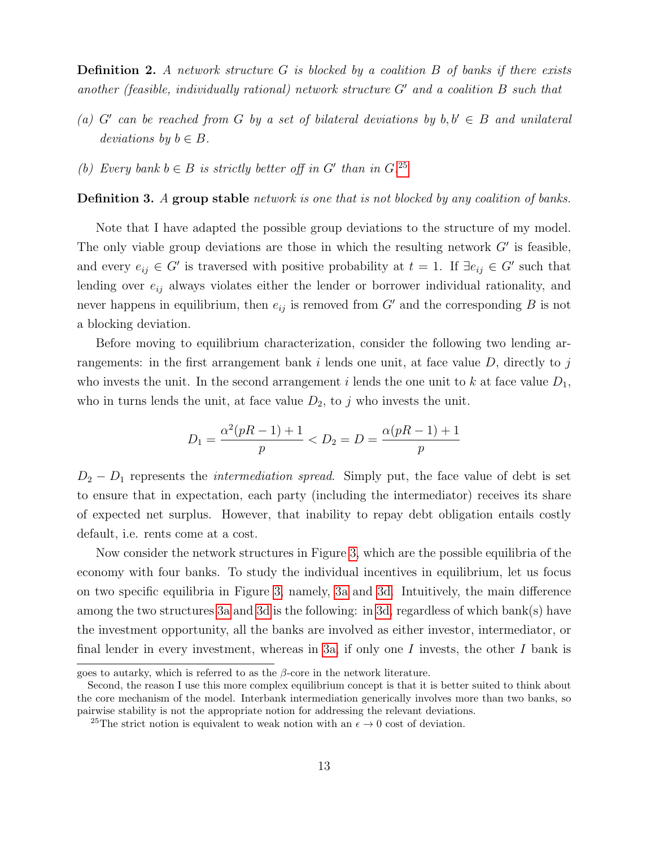**Definition 2.** A network structure  $G$  is blocked by a coalition  $B$  of banks if there exists another (feasible, individually rational) network structure  $G'$  and a coalition  $B$  such that

- (a) G' can be reached from G by a set of bilateral deviations by  $b, b' \in B$  and unilateral deviations by  $b \in B$ .
- (b) Every bank  $b \in B$  is strictly better off in G' than in G.<sup>[25](#page-12-0)</sup>

Definition 3. A group stable network is one that is not blocked by any coalition of banks.

Note that I have adapted the possible group deviations to the structure of my model. The only viable group deviations are those in which the resulting network  $G'$  is feasible, and every  $e_{ij} \in G'$  is traversed with positive probability at  $t = 1$ . If  $\exists e_{ij} \in G'$  such that lending over  $e_{ij}$  always violates either the lender or borrower individual rationality, and never happens in equilibrium, then  $e_{ij}$  is removed from  $G'$  and the corresponding B is not a blocking deviation.

Before moving to equilibrium characterization, consider the following two lending arrangements: in the first arrangement bank i lends one unit, at face value  $D$ , directly to j who invests the unit. In the second arrangement i lends the one unit to k at face value  $D_1$ , who in turns lends the unit, at face value  $D_2$ , to j who invests the unit.

$$
D_1 = \frac{\alpha^2(pR - 1) + 1}{p} < D_2 = D = \frac{\alpha(pR - 1) + 1}{p}
$$

 $D_2 - D_1$  represents the *intermediation spread*. Simply put, the face value of debt is set to ensure that in expectation, each party (including the intermediator) receives its share of expected net surplus. However, that inability to repay debt obligation entails costly default, i.e. rents come at a cost.

Now consider the network structures in Figure [3,](#page-13-0) which are the possible equilibria of the economy with four banks. To study the individual incentives in equilibrium, let us focus on two specific equilibria in Figure [3,](#page-13-0) namely, [3a](#page-13-1) and [3d.](#page-13-2) Intuitively, the main difference among the two structures [3a](#page-13-1) and [3d](#page-13-2) is the following: in [3d,](#page-13-2) regardless of which bank(s) have the investment opportunity, all the banks are involved as either investor, intermediator, or final lender in every investment, whereas in [3a,](#page-13-1) if only one I invests, the other I bank is

goes to autarky, which is referred to as the  $\beta$ -core in the network literature.

Second, the reason I use this more complex equilibrium concept is that it is better suited to think about the core mechanism of the model. Interbank intermediation generically involves more than two banks, so pairwise stability is not the appropriate notion for addressing the relevant deviations.

<span id="page-12-0"></span><sup>&</sup>lt;sup>25</sup>The strict notion is equivalent to weak notion with an  $\epsilon \to 0$  cost of deviation.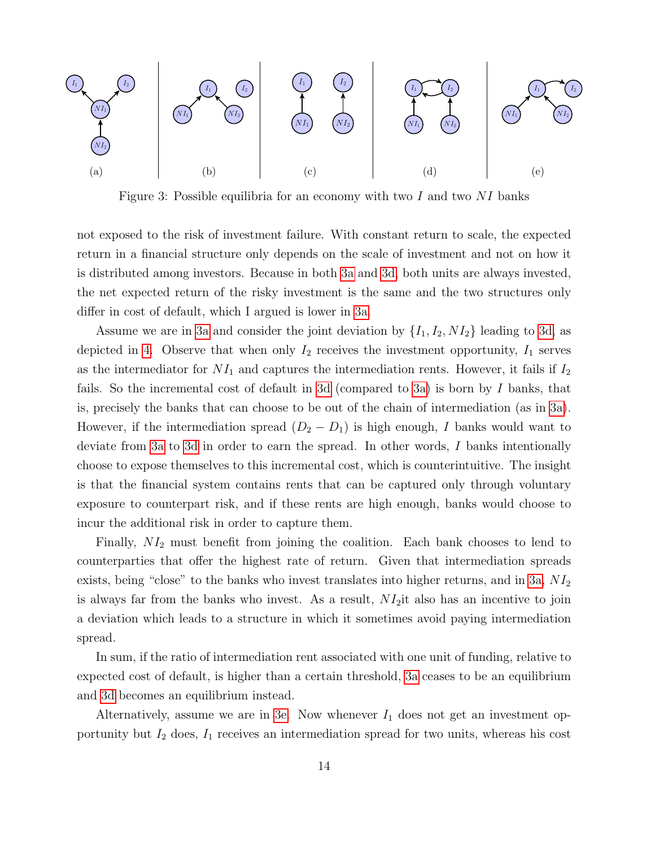<span id="page-13-0"></span>

<span id="page-13-5"></span><span id="page-13-4"></span><span id="page-13-3"></span><span id="page-13-2"></span>Figure 3: Possible equilibria for an economy with two  $I$  and two  $NI$  banks

<span id="page-13-1"></span>not exposed to the risk of investment failure. With constant return to scale, the expected return in a financial structure only depends on the scale of investment and not on how it is distributed among investors. Because in both [3a](#page-13-1) and [3d,](#page-13-2) both units are always invested, the net expected return of the risky investment is the same and the two structures only differ in cost of default, which I argued is lower in [3a.](#page-13-1)

Assume we are in [3a](#page-13-1) and consider the joint deviation by  $\{I_1, I_2, NI_2\}$  leading to [3d,](#page-13-2) as depicted in [4.](#page-14-0) Observe that when only  $I_2$  receives the investment opportunity,  $I_1$  serves as the intermediator for  $NI_1$  and captures the intermediation rents. However, it fails if  $I_2$ fails. So the incremental cost of default in [3d](#page-13-2) (compared to [3a\)](#page-13-1) is born by I banks, that is, precisely the banks that can choose to be out of the chain of intermediation (as in [3a\)](#page-13-1). However, if the intermediation spread  $(D_2 - D_1)$  is high enough, I banks would want to deviate from [3a](#page-13-1) to [3d](#page-13-2) in order to earn the spread. In other words, I banks intentionally choose to expose themselves to this incremental cost, which is counterintuitive. The insight is that the financial system contains rents that can be captured only through voluntary exposure to counterpart risk, and if these rents are high enough, banks would choose to incur the additional risk in order to capture them.

Finally,  $NI_2$  must benefit from joining the coalition. Each bank chooses to lend to counterparties that offer the highest rate of return. Given that intermediation spreads exists, being "close" to the banks who invest translates into higher returns, and in [3a,](#page-13-1)  $NI_2$ is always far from the banks who invest. As a result,  $NI<sub>2</sub>$  it also has an incentive to join a deviation which leads to a structure in which it sometimes avoid paying intermediation spread.

In sum, if the ratio of intermediation rent associated with one unit of funding, relative to expected cost of default, is higher than a certain threshold, [3a](#page-13-1) ceases to be an equilibrium and [3d](#page-13-2) becomes an equilibrium instead.

Alternatively, assume we are in [3e.](#page-13-3) Now whenever  $I_1$  does not get an investment opportunity but  $I_2$  does,  $I_1$  receives an intermediation spread for two units, whereas his cost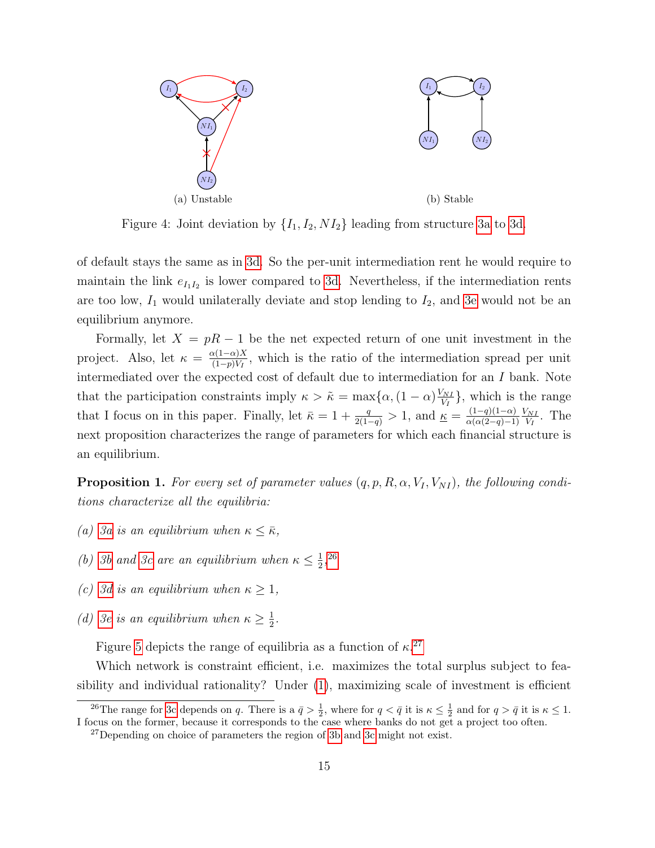<span id="page-14-0"></span>

Figure 4: Joint deviation by  $\{I_1, I_2, NI_2\}$  leading from structure [3a](#page-13-1) to [3d.](#page-13-2)

of default stays the same as in [3d.](#page-13-2) So the per-unit intermediation rent he would require to maintain the link  $e_{I_1I_2}$  is lower compared to [3d.](#page-13-2) Nevertheless, if the intermediation rents are too low,  $I_1$  would unilaterally deviate and stop lending to  $I_2$ , and [3e](#page-13-3) would not be an equilibrium anymore.

Formally, let  $X = pR - 1$  be the net expected return of one unit investment in the project. Also, let  $\kappa = \frac{\alpha(1-\alpha)X}{(1-\alpha)Y}$  $\frac{\ln(1-\alpha)X}{(1-p)V_I}$ , which is the ratio of the intermediation spread per unit intermediated over the expected cost of default due to intermediation for an I bank. Note that the participation constraints imply  $\kappa > \tilde{\kappa} = \max\{\alpha, (1-\alpha)\frac{V_{NI}}{V_{II}}\}$  $\frac{\sqrt{NI}}{V_I}$ , which is the range that I focus on in this paper. Finally, let  $\bar{\kappa} = 1 + \frac{q}{2(1-q)} > 1$ , and  $\underline{\kappa} = \frac{(1-q)(1-\alpha)}{\alpha(\alpha(2-q)-1)}$  $\alpha(\alpha(2-q)-1)$  $V_{NI}$  $\frac{\sqrt{NI}}{V_I}$ . The next proposition characterizes the range of parameters for which each financial structure is an equilibrium.

<span id="page-14-3"></span>**Proposition 1.** For every set of parameter values  $(q, p, R, \alpha, V_I, V_{NI})$ , the following conditions characterize all the equilibria:

- (a) [3a](#page-13-1) is an equilibrium when  $\kappa \leq \bar{\kappa}$ ,
- (b) [3b](#page-13-4) and [3c](#page-13-5) are an equilibrium when  $\kappa \leq \frac{1}{2}$  $\frac{1}{2}$ , [26](#page-14-1)
- (c) [3d](#page-13-2) is an equilibrium when  $\kappa \geq 1$ ,
- (d) [3e](#page-13-3) is an equilibrium when  $\kappa \geq \frac{1}{2}$  $\frac{1}{2}$ .

Figure [5](#page-15-0) depicts the range of equilibria as a function of  $\kappa^{27}$  $\kappa^{27}$  $\kappa^{27}$ 

Which network is constraint efficient, i.e. maximizes the total surplus subject to feasibility and individual rationality? Under [\(1\)](#page-10-2), maximizing scale of investment is efficient

<span id="page-14-1"></span><sup>&</sup>lt;sup>26</sup>The range for [3c](#page-13-5) depends on q. There is a  $\bar{q} > \frac{1}{2}$ , where for  $q < \bar{q}$  it is  $\kappa \leq \frac{1}{2}$  and for  $q > \bar{q}$  it is  $\kappa \leq 1$ . I focus on the former, because it corresponds to the case where banks do not get a project too often.

<span id="page-14-2"></span><sup>27</sup>Depending on choice of parameters the region of [3b](#page-13-4) and [3c](#page-13-5) might not exist.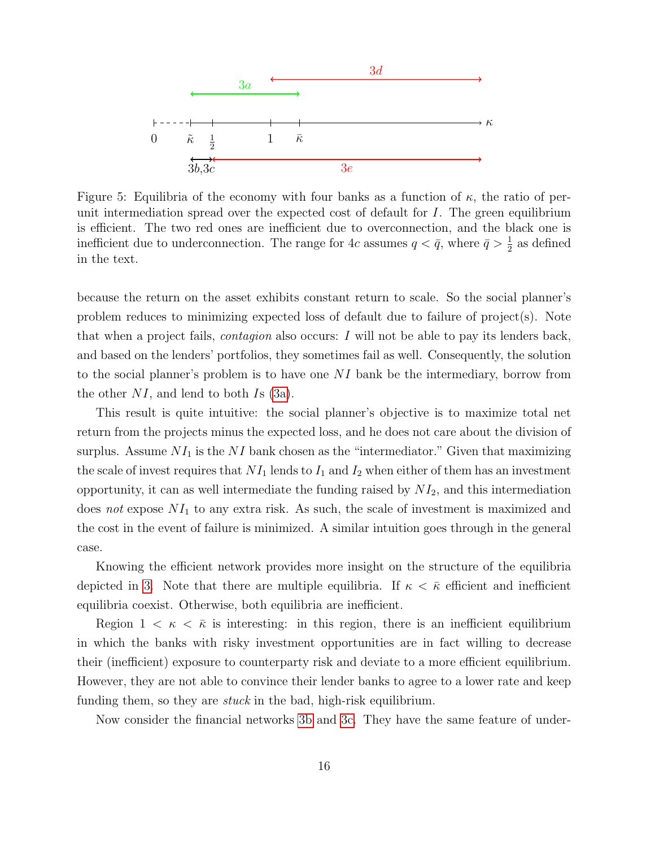<span id="page-15-0"></span>

Figure 5: Equilibria of the economy with four banks as a function of  $\kappa$ , the ratio of perunit intermediation spread over the expected cost of default for  $I$ . The green equilibrium is efficient. The two red ones are inefficient due to overconnection, and the black one is inefficient due to underconnection. The range for 4c assumes  $q < \bar{q}$ , where  $\bar{q} > \frac{1}{2}$  as defined in the text.

because the return on the asset exhibits constant return to scale. So the social planner's problem reduces to minimizing expected loss of default due to failure of project(s). Note that when a project fails, contagion also occurs: I will not be able to pay its lenders back, and based on the lenders' portfolios, they sometimes fail as well. Consequently, the solution to the social planner's problem is to have one  $NI$  bank be the intermediary, borrow from the other  $NI$ , and lend to both Is [\(3a\)](#page-13-1).

This result is quite intuitive: the social planner's objective is to maximize total net return from the projects minus the expected loss, and he does not care about the division of surplus. Assume  $NI_1$  is the NI bank chosen as the "intermediator." Given that maximizing the scale of invest requires that  $NI_1$  lends to  $I_1$  and  $I_2$  when either of them has an investment opportunity, it can as well intermediate the funding raised by  $NI_2$ , and this intermediation does not expose  $NI_1$  to any extra risk. As such, the scale of investment is maximized and the cost in the event of failure is minimized. A similar intuition goes through in the general case.

Knowing the efficient network provides more insight on the structure of the equilibria depicted in [3.](#page-13-0) Note that there are multiple equilibria. If  $\kappa < \bar{\kappa}$  efficient and inefficient equilibria coexist. Otherwise, both equilibria are inefficient.

Region  $1 \lt \kappa \lt \bar{\kappa}$  is interesting: in this region, there is an inefficient equilibrium in which the banks with risky investment opportunities are in fact willing to decrease their (inefficient) exposure to counterparty risk and deviate to a more efficient equilibrium. However, they are not able to convince their lender banks to agree to a lower rate and keep funding them, so they are  $stuck$  in the bad, high-risk equilibrium.

Now consider the financial networks [3b](#page-13-4) and [3c.](#page-13-5) They have the same feature of under-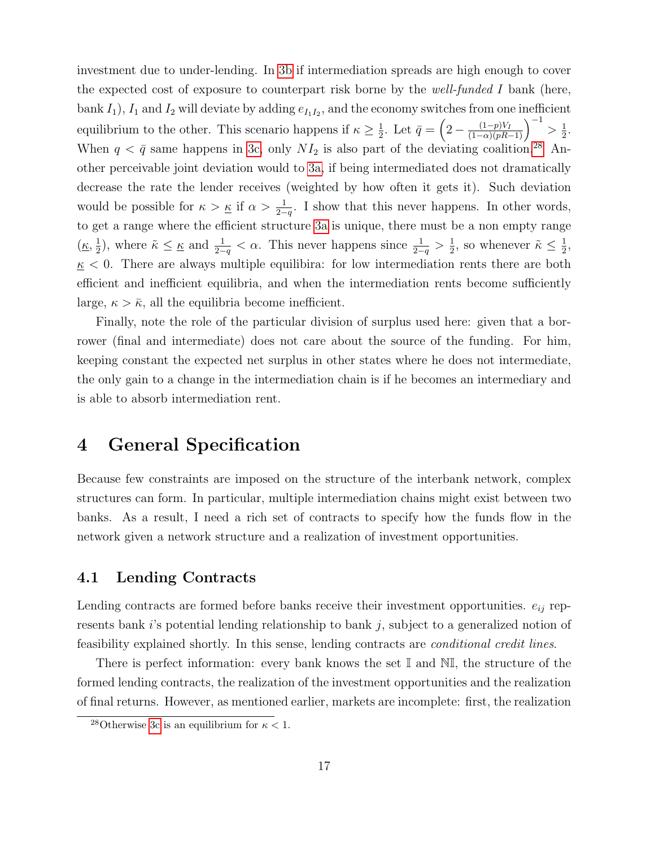investment due to under-lending. In [3b](#page-13-4) if intermediation spreads are high enough to cover the expected cost of exposure to counterpart risk borne by the well-funded I bank (here, bank  $I_1$ ),  $I_1$  and  $I_2$  will deviate by adding  $e_{I_1I_2}$ , and the economy switches from one inefficient equilibrium to the other. This scenario happens if  $\kappa \geq \frac{1}{2}$  $\frac{1}{2}$ . Let  $\bar{q} = \left(2 - \frac{(1-p)V_I}{(1-\alpha)(pR-1)}\right)^{-1} > \frac{1}{2}$  $\frac{1}{2}$ . When  $q < \bar{q}$  same happens in [3c,](#page-13-5) only  $NI_2$  is also part of the deviating coalition.<sup>[28](#page-16-1)</sup> Another perceivable joint deviation would to [3a,](#page-13-1) if being intermediated does not dramatically decrease the rate the lender receives (weighted by how often it gets it). Such deviation would be possible for  $\kappa > \underline{\kappa}$  if  $\alpha > \frac{1}{2-q}$ . I show that this never happens. In other words, to get a range where the efficient structure [3a](#page-13-1) is unique, there must be a non empty range  $(\underline{\kappa}, \frac{1}{2})$  $(\frac{1}{2})$ , where  $\tilde{\kappa} \leq \underline{\kappa}$  and  $\frac{1}{2-q} < \alpha$ . This never happens since  $\frac{1}{2-q} > \frac{1}{2}$  $\frac{1}{2}$ , so whenever  $\tilde{\kappa} \leq \frac{1}{2}$  $\frac{1}{2}$ ,  $k \leq 0$ . There are always multiple equilibira: for low intermediation rents there are both efficient and inefficient equilibria, and when the intermediation rents become sufficiently large,  $\kappa > \bar{\kappa}$ , all the equilibria become inefficient.

Finally, note the role of the particular division of surplus used here: given that a borrower (final and intermediate) does not care about the source of the funding. For him, keeping constant the expected net surplus in other states where he does not intermediate, the only gain to a change in the intermediation chain is if he becomes an intermediary and is able to absorb intermediation rent.

# <span id="page-16-0"></span>4 General Specification

Because few constraints are imposed on the structure of the interbank network, complex structures can form. In particular, multiple intermediation chains might exist between two banks. As a result, I need a rich set of contracts to specify how the funds flow in the network given a network structure and a realization of investment opportunities.

### <span id="page-16-2"></span>4.1 Lending Contracts

Lending contracts are formed before banks receive their investment opportunities.  $e_{ij}$  represents bank i's potential lending relationship to bank j, subject to a generalized notion of feasibility explained shortly. In this sense, lending contracts are conditional credit lines.

There is perfect information: every bank knows the set I and NI, the structure of the formed lending contracts, the realization of the investment opportunities and the realization of final returns. However, as mentioned earlier, markets are incomplete: first, the realization

<span id="page-16-1"></span><sup>&</sup>lt;sup>28</sup>Otherwise [3c](#page-13-5) is an equilibrium for  $\kappa < 1$ .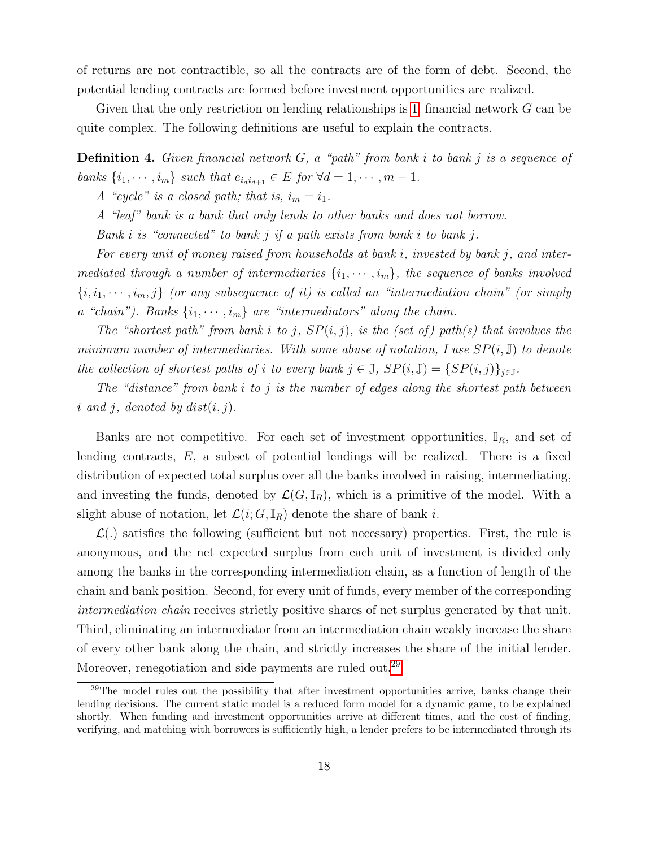of returns are not contractible, so all the contracts are of the form of debt. Second, the potential lending contracts are formed before investment opportunities are realized.

Given that the only restriction on lending relationships is [1,](#page-9-5) financial network G can be quite complex. The following definitions are useful to explain the contracts.

**Definition 4.** Given financial network  $G$ , a "path" from bank i to bank j is a sequence of banks  $\{i_1, \dots, i_m\}$  such that  $e_{i_d i_{d+1}} \in E$  for  $\forall d = 1, \dots, m-1$ .

A "cycle" is a closed path; that is,  $i_m = i_1$ .

A "leaf" bank is a bank that only lends to other banks and does not borrow.

Bank i is "connected" to bank j if a path exists from bank i to bank j.

For every unit of money raised from households at bank i, invested by bank j, and intermediated through a number of intermediaries  $\{i_1, \dots, i_m\}$ , the sequence of banks involved  $\{i, i_1, \dots, i_m, j\}$  (or any subsequence of it) is called an "intermediation chain" (or simply a "chain"). Banks  $\{i_1, \dots, i_m\}$  are "intermediators" along the chain.

The "shortest path" from bank i to j,  $SP(i, j)$ , is the (set of) path(s) that involves the minimum number of intermediaries. With some abuse of notation, I use  $SP(i, \mathbb{J})$  to denote the collection of shortest paths of i to every bank  $j \in \mathbb{J}$ ,  $SP(i, \mathbb{J}) = \{SP(i, j)\}_{j \in \mathbb{J}}$ .

The "distance" from bank i to j is the number of edges along the shortest path between i and j, denoted by  $dist(i, j)$ .

Banks are not competitive. For each set of investment opportunities,  $\mathbb{I}_R$ , and set of lending contracts,  $E$ , a subset of potential lendings will be realized. There is a fixed distribution of expected total surplus over all the banks involved in raising, intermediating, and investing the funds, denoted by  $\mathcal{L}(G,\mathbb{I}_R)$ , which is a primitive of the model. With a slight abuse of notation, let  $\mathcal{L}(i; G, \mathbb{I}_R)$  denote the share of bank i.

 $\mathcal{L}$ .) satisfies the following (sufficient but not necessary) properties. First, the rule is anonymous, and the net expected surplus from each unit of investment is divided only among the banks in the corresponding intermediation chain, as a function of length of the chain and bank position. Second, for every unit of funds, every member of the corresponding intermediation chain receives strictly positive shares of net surplus generated by that unit. Third, eliminating an intermediator from an intermediation chain weakly increase the share of every other bank along the chain, and strictly increases the share of the initial lender. Moreover, renegotiation and side payments are ruled out.<sup>[29](#page-17-0)</sup>

<span id="page-17-0"></span><sup>&</sup>lt;sup>29</sup>The model rules out the possibility that after investment opportunities arrive, banks change their lending decisions. The current static model is a reduced form model for a dynamic game, to be explained shortly. When funding and investment opportunities arrive at different times, and the cost of finding, verifying, and matching with borrowers is sufficiently high, a lender prefers to be intermediated through its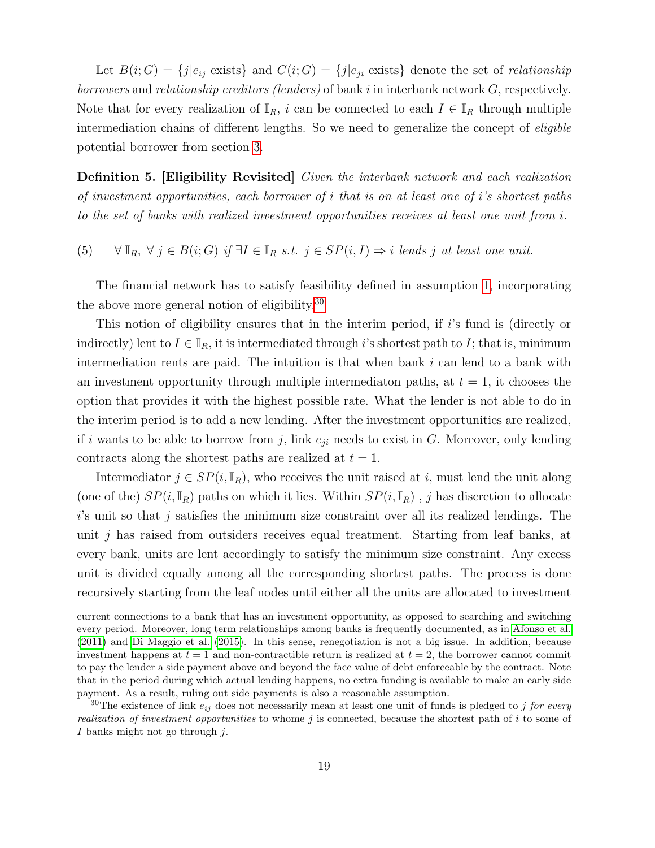Let  $B(i;G) = \{j|e_{ij} \text{ exists}\}\$  and  $C(i;G) = \{j|e_{ji} \text{ exists}\}\$  denote the set of relationship borrowers and relationship creditors (lenders) of bank i in interbank network  $G$ , respectively. Note that for every realization of  $\mathbb{I}_R$ , i can be connected to each  $I \in \mathbb{I}_R$  through multiple intermediation chains of different lengths. So we need to generalize the concept of eligible potential borrower from section [3.](#page-8-0)

Definition 5. [Eligibility Revisited] Given the interbank network and each realization of investment opportunities, each borrower of i that is on at least one of i's shortest paths to the set of banks with realized investment opportunities receives at least one unit from i.

<span id="page-18-1"></span>(5)  $\forall \mathbb{I}_R, \forall j \in B(i;G) \text{ if } \exists I \in \mathbb{I}_R \text{ s.t. } j \in SP(i, I) \Rightarrow i \text{ } leads \text{ } j \text{ } at \text{ } least \text{ } one \text{ } unit.$ 

The financial network has to satisfy feasibility defined in assumption [1,](#page-9-5) incorporating the above more general notion of eligibility.[30](#page-18-0)

This notion of eligibility ensures that in the interim period, if i's fund is (directly or indirectly) lent to  $I \in \mathbb{I}_R$ , it is intermediated through i's shortest path to I; that is, minimum intermediation rents are paid. The intuition is that when bank  $i$  can lend to a bank with an investment opportunity through multiple intermediaton paths, at  $t = 1$ , it chooses the option that provides it with the highest possible rate. What the lender is not able to do in the interim period is to add a new lending. After the investment opportunities are realized, if i wants to be able to borrow from j, link  $e_{ji}$  needs to exist in G. Moreover, only lending contracts along the shortest paths are realized at  $t = 1$ .

Intermediator  $j \in SP(i, \mathbb{I}_R)$ , who receives the unit raised at i, must lend the unit along (one of the)  $SP(i, \mathbb{I}_R)$  paths on which it lies. Within  $SP(i, \mathbb{I}_R)$ , j has discretion to allocate  $i$ 's unit so that j satisfies the minimum size constraint over all its realized lendings. The unit  $j$  has raised from outsiders receives equal treatment. Starting from leaf banks, at every bank, units are lent accordingly to satisfy the minimum size constraint. Any excess unit is divided equally among all the corresponding shortest paths. The process is done recursively starting from the leaf nodes until either all the units are allocated to investment

current connections to a bank that has an investment opportunity, as opposed to searching and switching every period. Moreover, long term relationships among banks is frequently documented, as in [Afonso et al.](#page-58-2) [\(2011\)](#page-58-2) and [Di Maggio et al.](#page-61-0) [\(2015\)](#page-61-0). In this sense, renegotiation is not a big issue. In addition, because investment happens at  $t = 1$  and non-contractible return is realized at  $t = 2$ , the borrower cannot commit to pay the lender a side payment above and beyond the face value of debt enforceable by the contract. Note that in the period during which actual lending happens, no extra funding is available to make an early side payment. As a result, ruling out side payments is also a reasonable assumption.

<span id="page-18-0"></span><sup>&</sup>lt;sup>30</sup>The existence of link  $e_{ij}$  does not necessarily mean at least one unit of funds is pledged to j for every realization of investment opportunities to whome j is connected, because the shortest path of i to some of I banks might not go through  $i$ .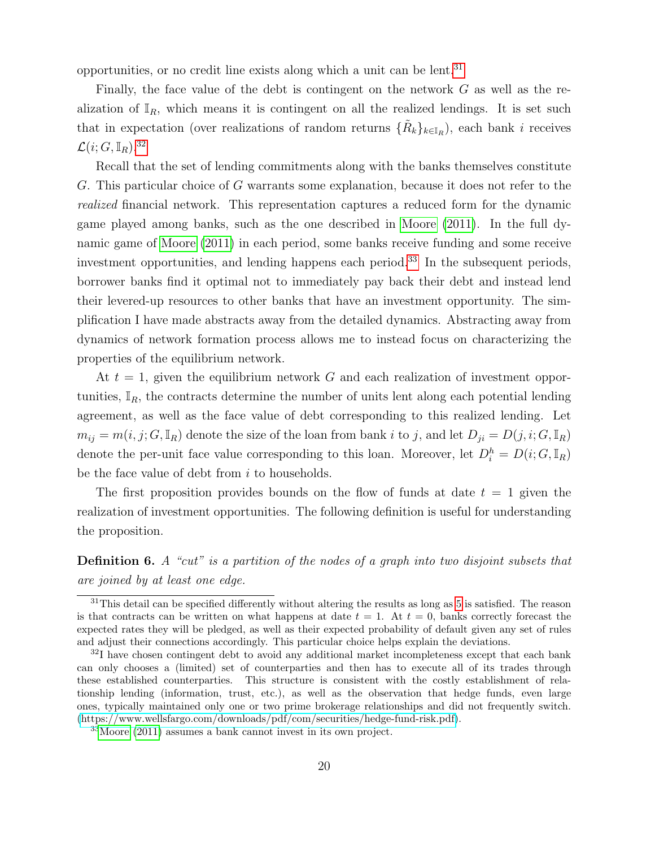opportunities, or no credit line exists along which a unit can be lent.[31](#page-19-0)

Finally, the face value of the debt is contingent on the network  $G$  as well as the realization of  $\mathbb{I}_R$ , which means it is contingent on all the realized lendings. It is set such that in expectation (over realizations of random returns  $\{\tilde{R}_k\}_{k\in\mathbb{I}_R}$ ), each bank *i* receives  $\mathcal{L}(i; G, \mathbb{I}_R).^{32}$  $\mathcal{L}(i; G, \mathbb{I}_R).^{32}$  $\mathcal{L}(i; G, \mathbb{I}_R).^{32}$ 

Recall that the set of lending commitments along with the banks themselves constitute G. This particular choice of G warrants some explanation, because it does not refer to the realized financial network. This representation captures a reduced form for the dynamic game played among banks, such as the one described in [Moore](#page-63-5) [\(2011\)](#page-63-5). In the full dynamic game of [Moore](#page-63-5) [\(2011\)](#page-63-5) in each period, some banks receive funding and some receive investment opportunities, and lending happens each period.<sup>[33](#page-19-2)</sup> In the subsequent periods, borrower banks find it optimal not to immediately pay back their debt and instead lend their levered-up resources to other banks that have an investment opportunity. The simplification I have made abstracts away from the detailed dynamics. Abstracting away from dynamics of network formation process allows me to instead focus on characterizing the properties of the equilibrium network.

At  $t = 1$ , given the equilibrium network G and each realization of investment opportunities,  $\mathbb{I}_R$ , the contracts determine the number of units lent along each potential lending agreement, as well as the face value of debt corresponding to this realized lending. Let  $m_{ij} = m(i, j; G, \mathbb{I}_R)$  denote the size of the loan from bank i to j, and let  $D_{ji} = D(j, i; G, \mathbb{I}_R)$ denote the per-unit face value corresponding to this loan. Moreover, let  $D_i^h = D(i; G, \mathbb{I}_R)$ be the face value of debt from  $i$  to households.

The first proposition provides bounds on the flow of funds at date  $t = 1$  given the realization of investment opportunities. The following definition is useful for understanding the proposition.

Definition 6. A "cut" is a partition of the nodes of a graph into two disjoint subsets that are joined by at least one edge.

<span id="page-19-0"></span><sup>&</sup>lt;sup>31</sup>This detail can be specified differently without altering the results as long as [5](#page-18-1) is satisfied. The reason is that contracts can be written on what happens at date  $t = 1$ . At  $t = 0$ , banks correctly forecast the expected rates they will be pledged, as well as their expected probability of default given any set of rules and adjust their connections accordingly. This particular choice helps explain the deviations.

<span id="page-19-1"></span> $32I$  have chosen contingent debt to avoid any additional market incompleteness except that each bank can only chooses a (limited) set of counterparties and then has to execute all of its trades through these established counterparties. This structure is consistent with the costly establishment of relationship lending (information, trust, etc.), as well as the observation that hedge funds, even large ones, typically maintained only one or two prime brokerage relationships and did not frequently switch. [\(https://www.wellsfargo.com/downloads/pdf/com/securities/hedge-fund-risk.pdf\)](https://www.wellsfargo.com/downloads/pdf/com/securities/hedge-fund-risk.pdf).

<span id="page-19-2"></span><sup>33</sup>[Moore](#page-63-5) [\(2011\)](#page-63-5) assumes a bank cannot invest in its own project.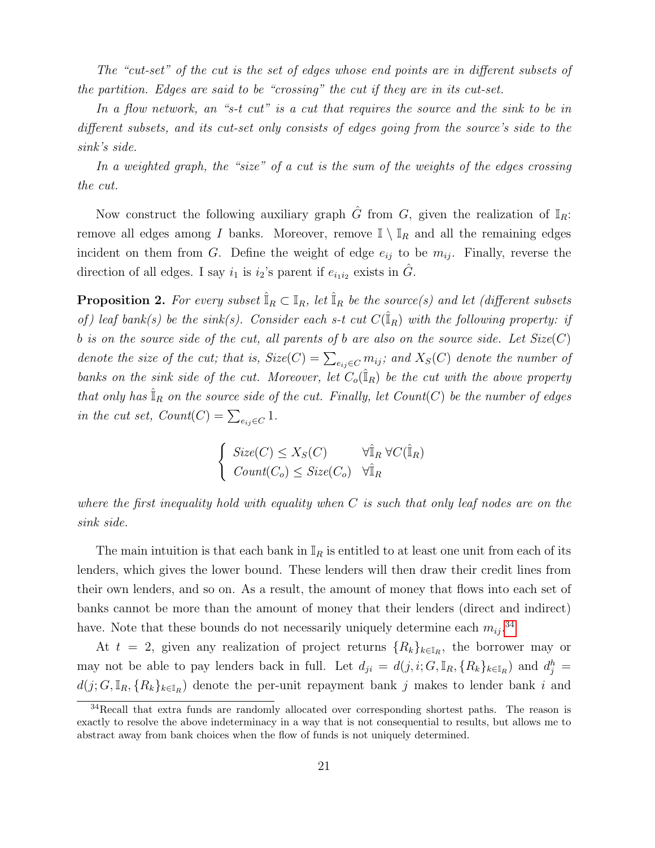The "cut-set" of the cut is the set of edges whose end points are in different subsets of the partition. Edges are said to be "crossing" the cut if they are in its cut-set.

In a flow network, an "s-t cut" is a cut that requires the source and the sink to be in different subsets, and its cut-set only consists of edges going from the source's side to the sink's side.

In a weighted graph, the "size" of a cut is the sum of the weights of the edges crossing the cut.

Now construct the following auxiliary graph  $\hat{G}$  from  $G$ , given the realization of  $\mathbb{I}_R$ : remove all edges among  $I$  banks. Moreover, remove  $\mathbb{I} \setminus \mathbb{I}_R$  and all the remaining edges incident on them from G. Define the weight of edge  $e_{ij}$  to be  $m_{ij}$ . Finally, reverse the direction of all edges. I say  $i_1$  is  $i_2$ 's parent if  $e_{i_1 i_2}$  exists in  $\hat{G}$ .

<span id="page-20-1"></span>**Proposition 2.** For every subset  $\mathbb{I}_R \subset \mathbb{I}_R$ , let  $\mathbb{I}_R$  be the source(s) and let (different subsets of) leaf bank(s) be the sink(s). Consider each s-t cut  $C(\hat{I}_R)$  with the following property: if b is on the source side of the cut, all parents of b are also on the source side. Let  $Size(C)$ denote the size of the cut; that is,  $Size(C) = \sum_{e_{ij} \in C} m_{ij}$ ; and  $X_S(C)$  denote the number of banks on the sink side of the cut. Moreover, let  $C_o(\hat{I}_R)$  be the cut with the above property that only has  $\mathbb{I}_R$  on the source side of the cut. Finally, let Count(C) be the number of edges in the cut set,  $Count(C) = \sum_{e_{ij} \in C} 1$ .

$$
\begin{cases} \text{Size}(C) \le X_S(C) & \forall \hat{\mathbb{I}}_R \ \forall C(\hat{\mathbb{I}}_R) \\ \text{Count}(C_o) \le \text{Size}(C_o) & \forall \hat{\mathbb{I}}_R \end{cases}
$$

where the first inequality hold with equality when  $C$  is such that only leaf nodes are on the sink side.

The main intuition is that each bank in  $\mathbb{I}_R$  is entitled to at least one unit from each of its lenders, which gives the lower bound. These lenders will then draw their credit lines from their own lenders, and so on. As a result, the amount of money that flows into each set of banks cannot be more than the amount of money that their lenders (direct and indirect) have. Note that these bounds do not necessarily uniquely determine each  $m_{ij}$ .<sup>[34](#page-20-0)</sup>

At  $t = 2$ , given any realization of project returns  $\{R_k\}_{k\in\mathbb{I}_R}$ , the borrower may or may not be able to pay lenders back in full. Let  $d_{ji} = d(j, i; G, \mathbb{I}_R, \{R_k\}_{k \in \mathbb{I}_R})$  and  $d_j^h =$  $d(j; G, \mathbb{I}_R, \{R_k\}_{k\in\mathbb{I}_R})$  denote the per-unit repayment bank j makes to lender bank i and

<span id="page-20-0"></span><sup>&</sup>lt;sup>34</sup>Recall that extra funds are randomly allocated over corresponding shortest paths. The reason is exactly to resolve the above indeterminacy in a way that is not consequential to results, but allows me to abstract away from bank choices when the flow of funds is not uniquely determined.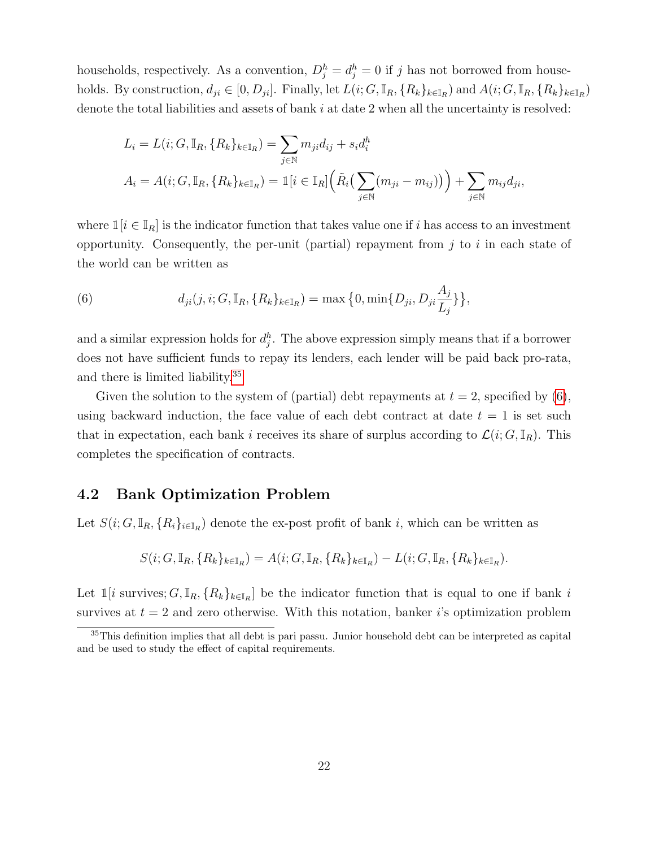households, respectively. As a convention,  $D_j^h = d_j^h = 0$  if j has not borrowed from households. By construction,  $d_{ji} \in [0, D_{ji}]$ . Finally, let  $L(i; G, \mathbb{I}_R, \{R_k\}_{k \in \mathbb{I}_R})$  and  $A(i; G, \mathbb{I}_R, \{R_k\}_{k \in \mathbb{I}_R})$ denote the total liabilities and assets of bank  $i$  at date 2 when all the uncertainty is resolved:

$$
L_i = L(i; G, \mathbb{I}_R, \{R_k\}_{k \in \mathbb{I}_R}) = \sum_{j \in \mathbb{N}} m_{ji} d_{ij} + s_i d_i^h
$$
  

$$
A_i = A(i; G, \mathbb{I}_R, \{R_k\}_{k \in \mathbb{I}_R}) = \mathbb{1}[i \in \mathbb{I}_R] \Big( \tilde{R}_i \big( \sum_{j \in \mathbb{N}} (m_{ji} - m_{ij}) \big) \Big) + \sum_{j \in \mathbb{N}} m_{ij} d_{ji},
$$

where  $\mathbb{1}[i \in \mathbb{I}_R]$  is the indicator function that takes value one if i has access to an investment opportunity. Consequently, the per-unit (partial) repayment from  $j$  to  $i$  in each state of the world can be written as

<span id="page-21-1"></span>(6) 
$$
d_{ji}(j, i; G, \mathbb{I}_R, \{R_k\}_{k \in \mathbb{I}_R}) = \max\left\{0, \min\{D_{ji}, D_{ji}\frac{A_j}{L_j}\}\right\},\
$$

and a similar expression holds for  $d_j^h$ . The above expression simply means that if a borrower does not have sufficient funds to repay its lenders, each lender will be paid back pro-rata, and there is limited liability.[35](#page-21-0)

Given the solution to the system of (partial) debt repayments at  $t = 2$ , specified by [\(6\)](#page-21-1), using backward induction, the face value of each debt contract at date  $t = 1$  is set such that in expectation, each bank i receives its share of surplus according to  $\mathcal{L}(i; G, \mathbb{I}_R)$ . This completes the specification of contracts.

### 4.2 Bank Optimization Problem

Let  $S(i; G, \mathbb{I}_R, \{R_i\}_{i\in\mathbb{I}_R})$  denote the ex-post profit of bank i, which can be written as

$$
S(i; G, \mathbb{I}_R, \{R_k\}_{k \in \mathbb{I}_R}) = A(i; G, \mathbb{I}_R, \{R_k\}_{k \in \mathbb{I}_R}) - L(i; G, \mathbb{I}_R, \{R_k\}_{k \in \mathbb{I}_R}).
$$

Let  $\mathbb{I}[i]$  survives;  $G, \mathbb{I}_R, \{R_k\}_{k\in\mathbb{I}_R}$  be the indicator function that is equal to one if bank i survives at  $t = 2$  and zero otherwise. With this notation, banker i's optimization problem

<span id="page-21-0"></span><sup>&</sup>lt;sup>35</sup>This definition implies that all debt is pari passu. Junior household debt can be interpreted as capital and be used to study the effect of capital requirements.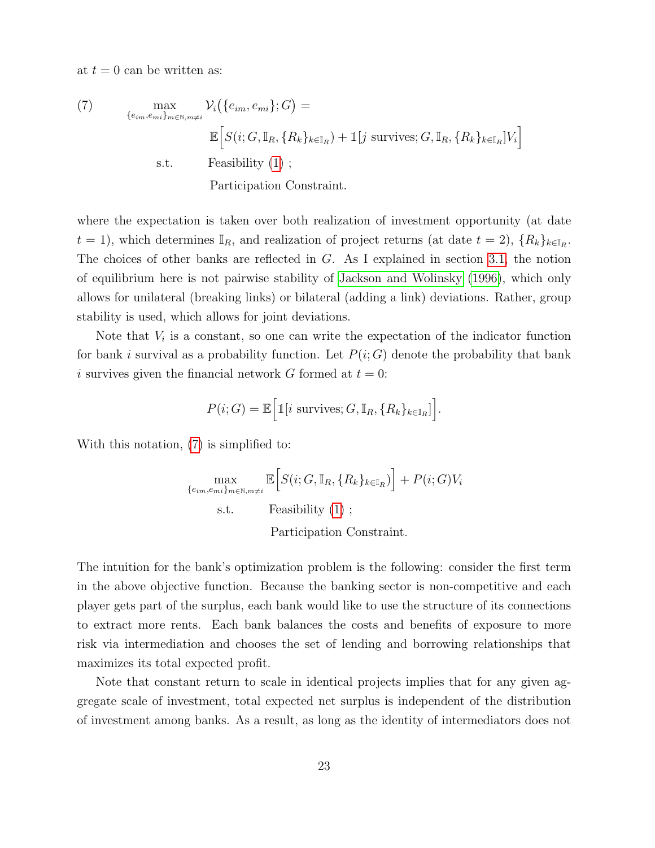at  $t = 0$  can be written as:

<span id="page-22-0"></span>(7) 
$$
\max_{\{e_{im}, e_{mi}\}_{m \in \mathbb{N}, m \neq i}} \mathcal{V}_i(\{e_{im}, e_{mi}\}; G) =
$$

$$
\mathbb{E}\Big[S(i; G, \mathbb{I}_R, \{R_k\}_{k \in \mathbb{I}_R}) + \mathbb{1}[j \text{ survives}; G, \mathbb{I}_R, \{R_k\}_{k \in \mathbb{I}_R}]V_i\Big]
$$
  
s.t. Feasibility (1) ;  
Participation Constraint.

where the expectation is taken over both realization of investment opportunity (at date  $t = 1$ , which determines  $\mathbb{I}_R$ , and realization of project returns (at date  $t = 2$ ),  $\{R_k\}_{k \in \mathbb{I}_R}$ . The choices of other banks are reflected in  $G$ . As I explained in section [3.1,](#page-11-2) the notion of equilibrium here is not pairwise stability of [Jackson and Wolinsky](#page-63-0) [\(1996\)](#page-63-0), which only allows for unilateral (breaking links) or bilateral (adding a link) deviations. Rather, group stability is used, which allows for joint deviations.

Note that  $V_i$  is a constant, so one can write the expectation of the indicator function for bank i survival as a probability function. Let  $P(i; G)$  denote the probability that bank i survives given the financial network G formed at  $t = 0$ :

$$
P(i;G) = \mathbb{E}\Big[\mathbb{1}[i \text{ survives}; G, \mathbb{I}_R, \{R_k\}_{k \in \mathbb{I}_R}]\Big].
$$

With this notation, [\(7\)](#page-22-0) is simplified to:

$$
\max_{\{e_{im}, e_{mi}\}_{m\in\mathbb{N}, m\neq i}} \mathbb{E}\Big[S(i; G, \mathbb{I}_R, \{R_k\}_{k\in\mathbb{I}_R})\Big] + P(i; G)V_i
$$
\ns.t. Feasibility (1) ;  
\n
$$
\text{Participation Constant.}
$$

The intuition for the bank's optimization problem is the following: consider the first term in the above objective function. Because the banking sector is non-competitive and each player gets part of the surplus, each bank would like to use the structure of its connections to extract more rents. Each bank balances the costs and benefits of exposure to more risk via intermediation and chooses the set of lending and borrowing relationships that maximizes its total expected profit.

Note that constant return to scale in identical projects implies that for any given aggregate scale of investment, total expected net surplus is independent of the distribution of investment among banks. As a result, as long as the identity of intermediators does not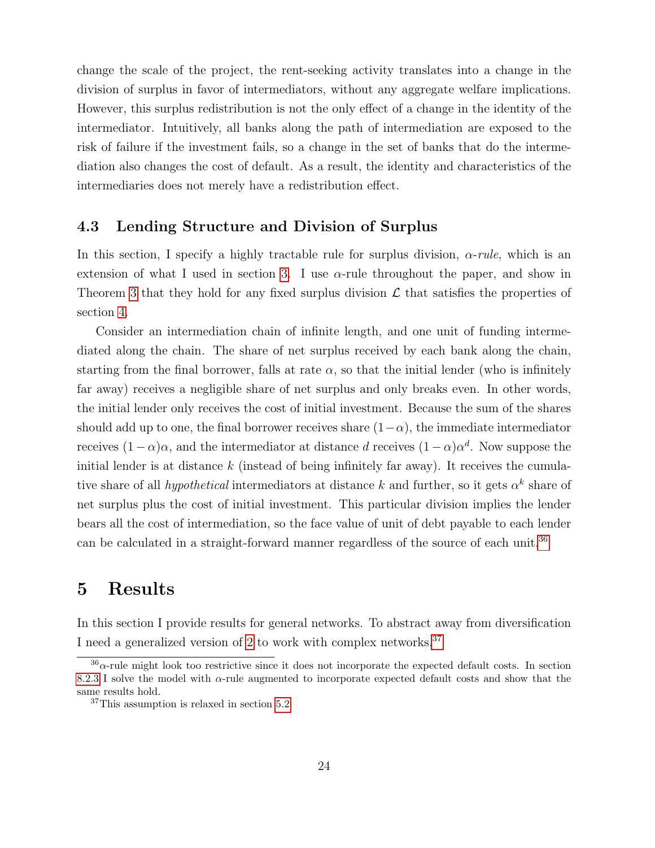change the scale of the project, the rent-seeking activity translates into a change in the division of surplus in favor of intermediators, without any aggregate welfare implications. However, this surplus redistribution is not the only effect of a change in the identity of the intermediator. Intuitively, all banks along the path of intermediation are exposed to the risk of failure if the investment fails, so a change in the set of banks that do the intermediation also changes the cost of default. As a result, the identity and characteristics of the intermediaries does not merely have a redistribution effect.

### 4.3 Lending Structure and Division of Surplus

In this section, I specify a highly tractable rule for surplus division,  $\alpha$ -rule, which is an extension of what I used in section [3.](#page-8-0) I use  $\alpha$ -rule throughout the paper, and show in Theorem [3](#page-26-1) that they hold for any fixed surplus division  $\mathcal L$  that satisfies the properties of section [4.](#page-16-0)

Consider an intermediation chain of infinite length, and one unit of funding intermediated along the chain. The share of net surplus received by each bank along the chain, starting from the final borrower, falls at rate  $\alpha$ , so that the initial lender (who is infinitely far away) receives a negligible share of net surplus and only breaks even. In other words, the initial lender only receives the cost of initial investment. Because the sum of the shares should add up to one, the final borrower receives share  $(1-\alpha)$ , the immediate intermediator receives  $(1 - \alpha)\alpha$ , and the intermediator at distance d receives  $(1 - \alpha)\alpha^d$ . Now suppose the initial lender is at distance  $k$  (instead of being infinitely far away). It receives the cumulative share of all *hypothetical* intermediators at distance k and further, so it gets  $\alpha^k$  share of net surplus plus the cost of initial investment. This particular division implies the lender bears all the cost of intermediation, so the face value of unit of debt payable to each lender can be calculated in a straight-forward manner regardless of the source of each unit.[36](#page-23-1)

# <span id="page-23-0"></span>5 Results

In this section I provide results for general networks. To abstract away from diversification I need a generalized version of [2](#page-10-6) to work with complex networks.<sup>[37](#page-23-2)</sup>

<span id="page-23-1"></span> $36\alpha$ -rule might look too restrictive since it does not incorporate the expected default costs. In section [8.2.3](#page-56-0) I solve the model with α-rule augmented to incorporate expected default costs and show that the same results hold.

<span id="page-23-2"></span><sup>37</sup>This assumption is relaxed in section [5.2.](#page-29-0)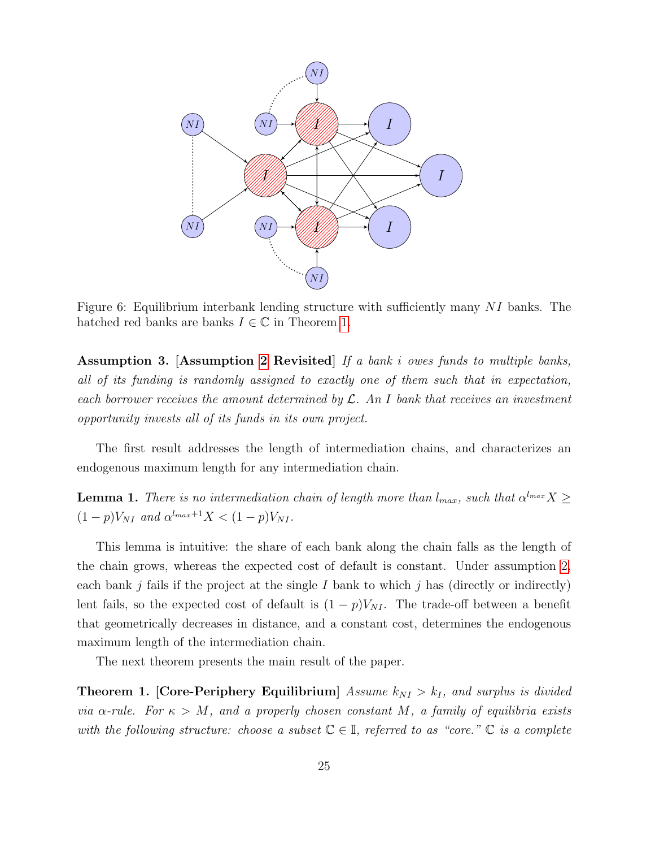<span id="page-24-1"></span>

Figure 6: Equilibrium interbank lending structure with sufficiently many NI banks. The hatched red banks are banks  $I \in \mathbb{C}$  in Theorem [1.](#page-24-0)

<span id="page-24-2"></span>Assumption 3. [Assumption [2](#page-10-6) Revisited] If a bank i owes funds to multiple banks, all of its funding is randomly assigned to exactly one of them such that in expectation, each borrower receives the amount determined by  $\mathcal{L}$ . An I bank that receives an investment opportunity invests all of its funds in its own project.

The first result addresses the length of intermediation chains, and characterizes an endogenous maximum length for any intermediation chain.

<span id="page-24-3"></span>**Lemma 1.** There is no intermediation chain of length more than  $l_{max}$ , such that  $\alpha^{l_{max}}X \geq$  $(1-p)V_{NI}$  and  $\alpha^{l_{max}+1}X < (1-p)V_{NI}$ .

This lemma is intuitive: the share of each bank along the chain falls as the length of the chain grows, whereas the expected cost of default is constant. Under assumption [2,](#page-10-6) each bank j fails if the project at the single I bank to which j has (directly or indirectly) lent fails, so the expected cost of default is  $(1 - p)V_{NI}$ . The trade-off between a benefit that geometrically decreases in distance, and a constant cost, determines the endogenous maximum length of the intermediation chain.

The next theorem presents the main result of the paper.

<span id="page-24-0"></span>**Theorem 1. [Core-Periphery Equilibrium]** Assume  $k_{NI} > k_I$ , and surplus is divided via  $\alpha$ -rule. For  $\kappa > M$ , and a properly chosen constant M, a family of equilibria exists with the following structure: choose a subset  $\mathbb{C} \in \mathbb{I}$ , referred to as "core."  $\mathbb{C}$  is a complete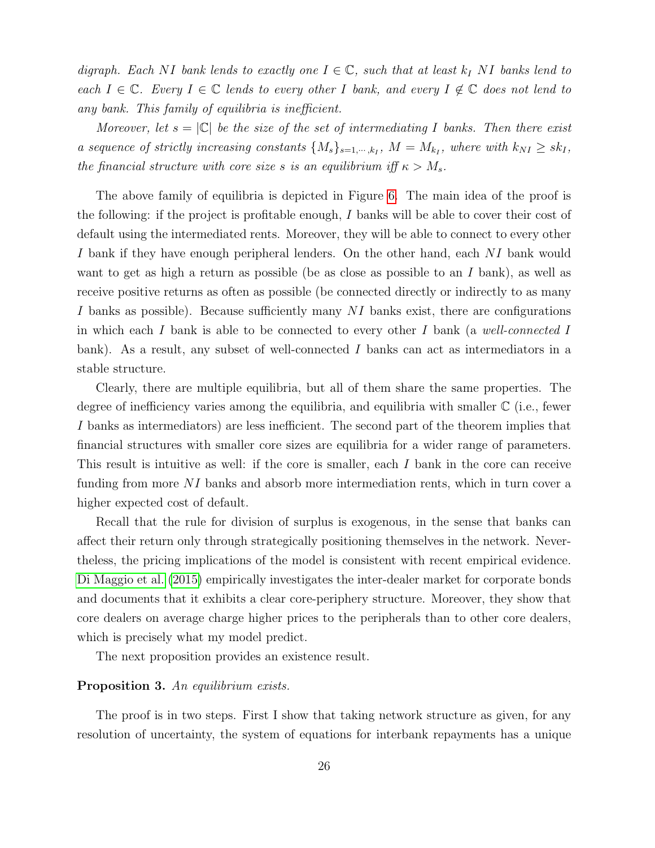digraph. Each NI bank lends to exactly one  $I \in \mathbb{C}$ , such that at least  $k_I N I$  banks lend to each  $I \in \mathbb{C}$ . Every  $I \in \mathbb{C}$  lends to every other I bank, and every  $I \notin \mathbb{C}$  does not lend to any bank. This family of equilibria is inefficient.

Moreover, let  $s = |\mathbb{C}|$  be the size of the set of intermediating I banks. Then there exist a sequence of strictly increasing constants  $\{M_s\}_{s=1,\cdots,k_I}$ ,  $M = M_{k_I}$ , where with  $k_{NI} \geq sk_I$ , the financial structure with core size s is an equilibrium iff  $\kappa > M_s$ .

The above family of equilibria is depicted in Figure [6.](#page-24-1) The main idea of the proof is the following: if the project is profitable enough, I banks will be able to cover their cost of default using the intermediated rents. Moreover, they will be able to connect to every other I bank if they have enough peripheral lenders. On the other hand, each NI bank would want to get as high a return as possible (be as close as possible to an I bank), as well as receive positive returns as often as possible (be connected directly or indirectly to as many I banks as possible). Because sufficiently many NI banks exist, there are configurations in which each I bank is able to be connected to every other I bank (a well-connected I bank). As a result, any subset of well-connected I banks can act as intermediators in a stable structure.

Clearly, there are multiple equilibria, but all of them share the same properties. The degree of inefficiency varies among the equilibria, and equilibria with smaller  $\mathbb C$  (i.e., fewer I banks as intermediators) are less inefficient. The second part of the theorem implies that financial structures with smaller core sizes are equilibria for a wider range of parameters. This result is intuitive as well: if the core is smaller, each I bank in the core can receive funding from more NI banks and absorb more intermediation rents, which in turn cover a higher expected cost of default.

Recall that the rule for division of surplus is exogenous, in the sense that banks can affect their return only through strategically positioning themselves in the network. Nevertheless, the pricing implications of the model is consistent with recent empirical evidence. [Di Maggio et al.](#page-61-0) [\(2015\)](#page-61-0) empirically investigates the inter-dealer market for corporate bonds and documents that it exhibits a clear core-periphery structure. Moreover, they show that core dealers on average charge higher prices to the peripherals than to other core dealers, which is precisely what my model predict.

The next proposition provides an existence result.

#### <span id="page-25-0"></span>Proposition 3. An equilibrium exists.

The proof is in two steps. First I show that taking network structure as given, for any resolution of uncertainty, the system of equations for interbank repayments has a unique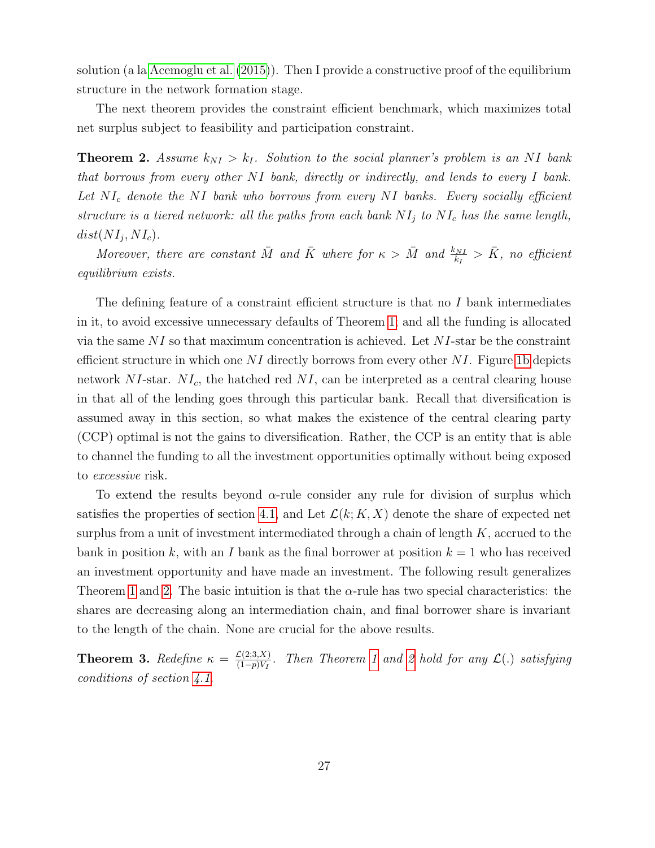solution (a la [Acemoglu et al.](#page-58-6) [\(2015\)](#page-58-6)). Then I provide a constructive proof of the equilibrium structure in the network formation stage.

The next theorem provides the constraint efficient benchmark, which maximizes total net surplus subject to feasibility and participation constraint.

<span id="page-26-0"></span>**Theorem 2.** Assume  $k_{NI} > k_I$ . Solution to the social planner's problem is an NI bank that borrows from every other NI bank, directly or indirectly, and lends to every I bank. Let  $NI_c$  denote the NI bank who borrows from every NI banks. Every socially efficient structure is a tiered network: all the paths from each bank  $NI_j$  to  $NI_c$  has the same length,  $dist(NI_j, NI_c).$ 

Moreover, there are constant  $\overline{M}$  and  $\overline{K}$  where for  $\kappa > \overline{M}$  and  $\frac{k_{NI}}{k_I} > \overline{K}$ , no efficient equilibrium exists.

The defining feature of a constraint efficient structure is that no  $I$  bank intermediates in it, to avoid excessive unnecessary defaults of Theorem [1;](#page-24-0) and all the funding is allocated via the same  $NI$  so that maximum concentration is achieved. Let  $NI$ -star be the constraint efficient structure in which one  $NI$  directly borrows from every other  $NI$ . Figure [1b](#page-3-3) depicts network  $NI$ -star.  $NI_c$ , the hatched red  $NI$ , can be interpreted as a central clearing house in that all of the lending goes through this particular bank. Recall that diversification is assumed away in this section, so what makes the existence of the central clearing party (CCP) optimal is not the gains to diversification. Rather, the CCP is an entity that is able to channel the funding to all the investment opportunities optimally without being exposed to excessive risk.

To extend the results beyond  $\alpha$ -rule consider any rule for division of surplus which satisfies the properties of section [4.1,](#page-16-2) and Let  $\mathcal{L}(k; K, X)$  denote the share of expected net surplus from a unit of investment intermediated through a chain of length  $K$ , accrued to the bank in position k, with an I bank as the final borrower at position  $k = 1$  who has received an investment opportunity and have made an investment. The following result generalizes Theorem [1](#page-24-0) and [2.](#page-26-0) The basic intuition is that the  $\alpha$ -rule has two special characteristics: the shares are decreasing along an intermediation chain, and final borrower share is invariant to the length of the chain. None are crucial for the above results.

<span id="page-26-1"></span>**Theorem 3.** Redefine  $\kappa = \frac{\mathcal{L}(2;3,X)}{(1-n)V_t}$  $\frac{\mathcal{L}(2;3,\mathbf{X})}{(1-p)V_I}$ . Then Theorem [1](#page-24-0) and [2](#page-26-0) hold for any  $\mathcal{L}(\mathbf{.})$  satisfying conditions of section [4.1.](#page-16-2)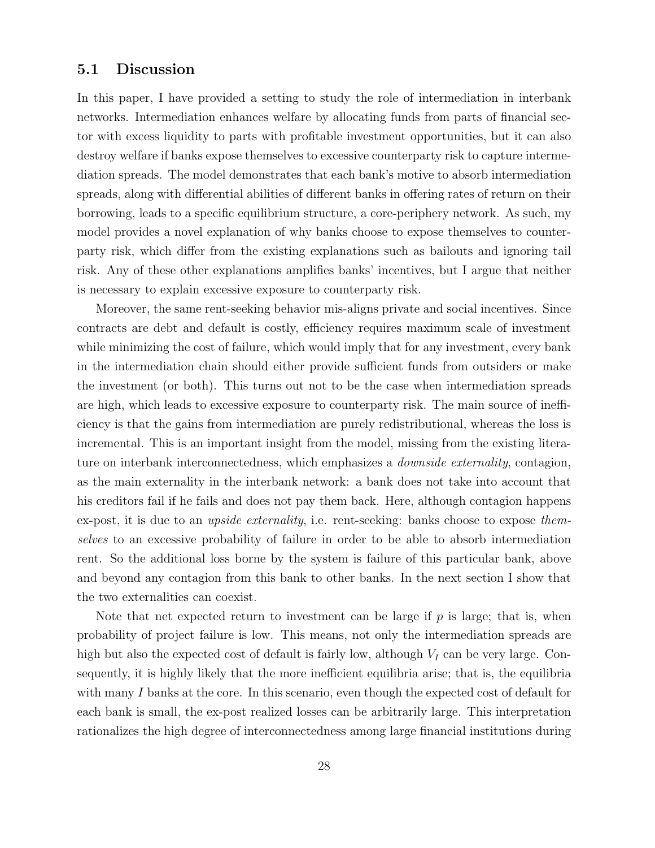### <span id="page-27-0"></span>5.1 Discussion

In this paper, I have provided a setting to study the role of intermediation in interbank networks. Intermediation enhances welfare by allocating funds from parts of financial sector with excess liquidity to parts with profitable investment opportunities, but it can also destroy welfare if banks expose themselves to excessive counterparty risk to capture intermediation spreads. The model demonstrates that each bank's motive to absorb intermediation spreads, along with differential abilities of different banks in offering rates of return on their borrowing, leads to a specific equilibrium structure, a core-periphery network. As such, my model provides a novel explanation of why banks choose to expose themselves to counterparty risk, which differ from the existing explanations such as bailouts and ignoring tail risk. Any of these other explanations amplifies banks' incentives, but I argue that neither is necessary to explain excessive exposure to counterparty risk.

Moreover, the same rent-seeking behavior mis-aligns private and social incentives. Since contracts are debt and default is costly, efficiency requires maximum scale of investment while minimizing the cost of failure, which would imply that for any investment, every bank in the intermediation chain should either provide sufficient funds from outsiders or make the investment (or both). This turns out not to be the case when intermediation spreads are high, which leads to excessive exposure to counterparty risk. The main source of inefficiency is that the gains from intermediation are purely redistributional, whereas the loss is incremental. This is an important insight from the model, missing from the existing literature on interbank interconnectedness, which emphasizes a *downside externality*, contagion, as the main externality in the interbank network: a bank does not take into account that his creditors fail if he fails and does not pay them back. Here, although contagion happens ex-post, it is due to an *upside externality*, i.e. rent-seeking: banks choose to expose *them*selves to an excessive probability of failure in order to be able to absorb intermediation rent. So the additional loss borne by the system is failure of this particular bank, above and beyond any contagion from this bank to other banks. In the next section I show that the two externalities can coexist.

Note that net expected return to investment can be large if  $p$  is large; that is, when probability of project failure is low. This means, not only the intermediation spreads are high but also the expected cost of default is fairly low, although  $V_I$  can be very large. Consequently, it is highly likely that the more inefficient equilibria arise; that is, the equilibria with many I banks at the core. In this scenario, even though the expected cost of default for each bank is small, the ex-post realized losses can be arbitrarily large. This interpretation rationalizes the high degree of interconnectedness among large financial institutions during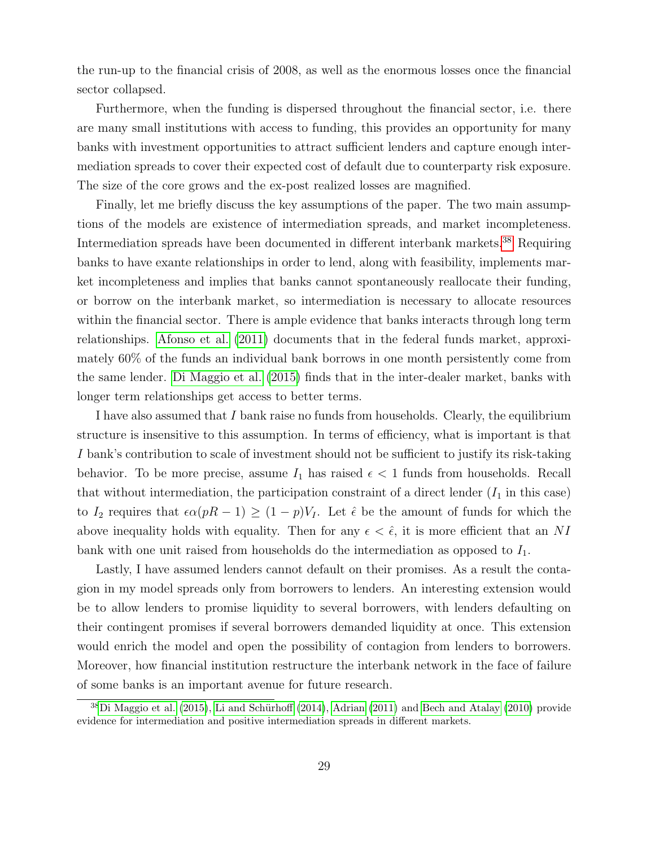the run-up to the financial crisis of 2008, as well as the enormous losses once the financial sector collapsed.

Furthermore, when the funding is dispersed throughout the financial sector, i.e. there are many small institutions with access to funding, this provides an opportunity for many banks with investment opportunities to attract sufficient lenders and capture enough intermediation spreads to cover their expected cost of default due to counterparty risk exposure. The size of the core grows and the ex-post realized losses are magnified.

Finally, let me briefly discuss the key assumptions of the paper. The two main assumptions of the models are existence of intermediation spreads, and market incompleteness. Intermediation spreads have been documented in different interbank markets.[38](#page-28-0) Requiring banks to have exante relationships in order to lend, along with feasibility, implements market incompleteness and implies that banks cannot spontaneously reallocate their funding, or borrow on the interbank market, so intermediation is necessary to allocate resources within the financial sector. There is ample evidence that banks interacts through long term relationships. [Afonso et al.](#page-58-2) [\(2011\)](#page-58-2) documents that in the federal funds market, approximately 60% of the funds an individual bank borrows in one month persistently come from the same lender. [Di Maggio et al.](#page-61-0) [\(2015\)](#page-61-0) finds that in the inter-dealer market, banks with longer term relationships get access to better terms.

I have also assumed that I bank raise no funds from households. Clearly, the equilibrium structure is insensitive to this assumption. In terms of efficiency, what is important is that I bank's contribution to scale of investment should not be sufficient to justify its risk-taking behavior. To be more precise, assume  $I_1$  has raised  $\epsilon < 1$  funds from households. Recall that without intermediation, the participation constraint of a direct lender  $(I_1$  in this case) to I<sub>2</sub> requires that  $\epsilon \alpha (pR - 1) \ge (1 - p)V_I$ . Let  $\hat{\epsilon}$  be the amount of funds for which the above inequality holds with equality. Then for any  $\epsilon < \hat{\epsilon}$ , it is more efficient that an NI bank with one unit raised from households do the intermediation as opposed to  $I_1$ .

Lastly, I have assumed lenders cannot default on their promises. As a result the contagion in my model spreads only from borrowers to lenders. An interesting extension would be to allow lenders to promise liquidity to several borrowers, with lenders defaulting on their contingent promises if several borrowers demanded liquidity at once. This extension would enrich the model and open the possibility of contagion from lenders to borrowers. Moreover, how financial institution restructure the interbank network in the face of failure of some banks is an important avenue for future research.

<span id="page-28-0"></span> ${}^{38}$ [Di Maggio et al.](#page-61-0) [\(2015\)](#page-61-0), Li and Schürhoff [\(2014\)](#page-63-9), [Adrian](#page-58-10) [\(2011\)](#page-58-10) and [Bech and Atalay](#page-59-0) [\(2010\)](#page-59-0) provide evidence for intermediation and positive intermediation spreads in different markets.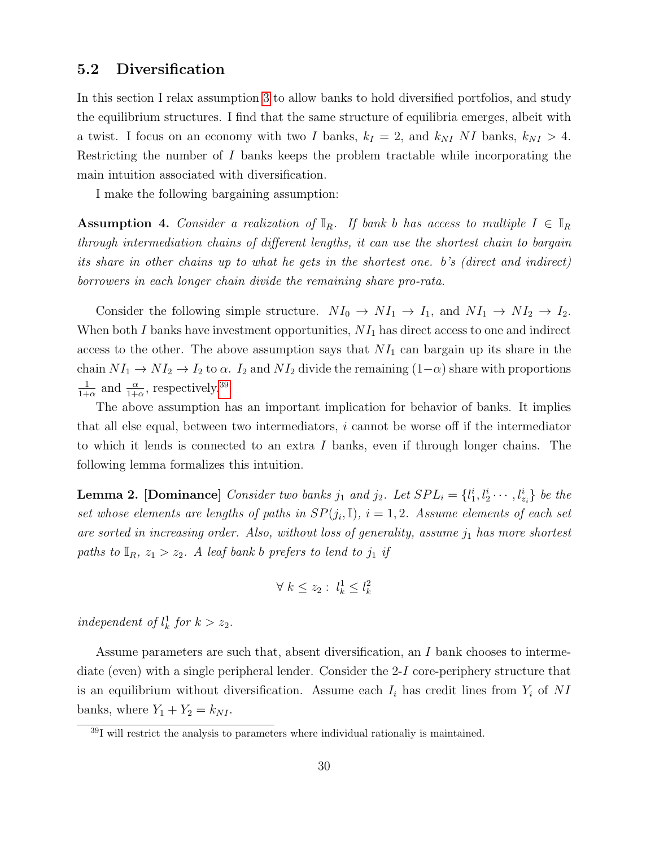### <span id="page-29-0"></span>5.2 Diversification

In this section I relax assumption [3](#page-24-2) to allow banks to hold diversified portfolios, and study the equilibrium structures. I find that the same structure of equilibria emerges, albeit with a twist. I focus on an economy with two I banks,  $k_I = 2$ , and  $k_{NI}$  NI banks,  $k_{NI} > 4$ . Restricting the number of I banks keeps the problem tractable while incorporating the main intuition associated with diversification.

I make the following bargaining assumption:

<span id="page-29-2"></span>**Assumption 4.** Consider a realization of  $\mathbb{I}_R$ . If bank b has access to multiple  $I \in \mathbb{I}_R$ through intermediation chains of different lengths, it can use the shortest chain to bargain its share in other chains up to what he gets in the shortest one. b's (direct and indirect) borrowers in each longer chain divide the remaining share pro-rata.

Consider the following simple structure.  $NI_0 \to NI_1 \to I_1$ , and  $NI_1 \to NI_2 \to I_2$ . When both  $I$  banks have investment opportunities,  $NI_1$  has direct access to one and indirect access to the other. The above assumption says that  $NI_1$  can bargain up its share in the chain  $NI_1 \to NI_2 \to I_2$  to  $\alpha$ .  $I_2$  and  $NI_2$  divide the remaining  $(1-\alpha)$  share with proportions 1  $\frac{1}{1+\alpha}$  and  $\frac{\alpha}{1+\alpha}$ , respectively.<sup>[39](#page-29-1)</sup>

The above assumption has an important implication for behavior of banks. It implies that all else equal, between two intermediators, i cannot be worse off if the intermediator to which it lends is connected to an extra I banks, even if through longer chains. The following lemma formalizes this intuition.

<span id="page-29-3"></span>**Lemma 2.** [Dominance] Consider two banks  $j_1$  and  $j_2$ . Let  $SPL_i = \{l_1^i, l_2^i \cdots, l_{z_i}^i\}$  be the set whose elements are lengths of paths in  $SP(j_i, \mathbb{I}), i = 1, 2$ . Assume elements of each set are sorted in increasing order. Also, without loss of generality, assume  $j_1$  has more shortest paths to  $\mathbb{I}_R$ ,  $z_1 > z_2$ . A leaf bank b prefers to lend to  $j_1$  if

$$
\forall \ k \le z_2: \ l^1_k \le l^2_k
$$

independent of  $l_k^1$  for  $k > z_2$ .

Assume parameters are such that, absent diversification, an I bank chooses to intermediate (even) with a single peripheral lender. Consider the 2-I core-periphery structure that is an equilibrium without diversification. Assume each  $I_i$  has credit lines from  $Y_i$  of NI banks, where  $Y_1 + Y_2 = k_{NI}$ .

<span id="page-29-1"></span> $39I$  will restrict the analysis to parameters where individual rationaliy is maintained.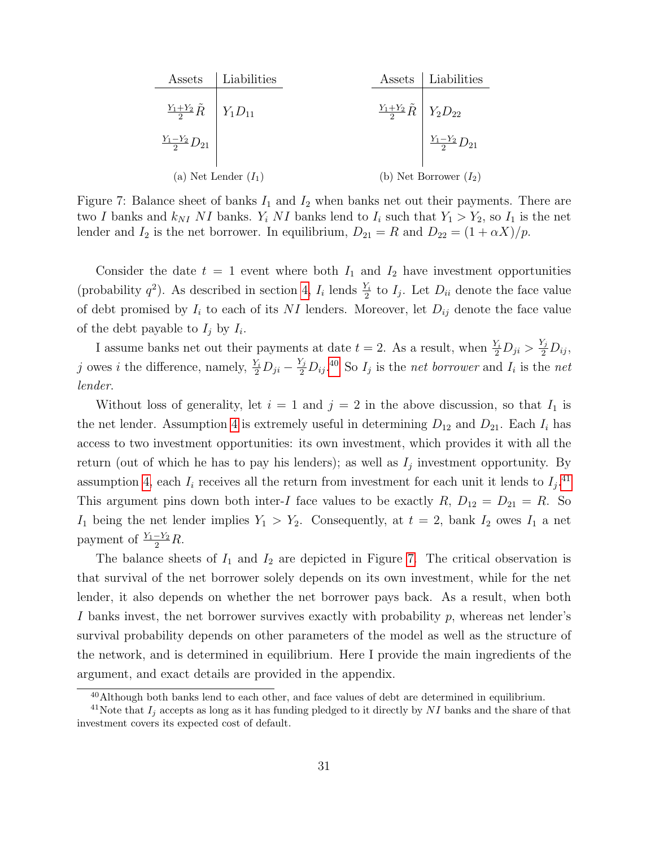<span id="page-30-2"></span>

| Assets                                     | Liabilities |                                            | Assets   Liabilities      |
|--------------------------------------------|-------------|--------------------------------------------|---------------------------|
| $\frac{Y_1+Y_2}{2}\tilde{R}$   $Y_1D_{11}$ |             | $\frac{Y_1+Y_2}{2}\tilde{R}$   $Y_2D_{22}$ |                           |
| $\frac{Y_1-Y_2}{2}D_{21}$                  |             |                                            | $\frac{Y_1-Y_2}{2}D_{21}$ |
| (a) Net Lender $(I_1)$                     |             | (b) Net Borrower $(I_2)$                   |                           |

Figure 7: Balance sheet of banks  $I_1$  and  $I_2$  when banks net out their payments. There are two I banks and  $k_{NI}$  NI banks.  $Y_i$  NI banks lend to  $I_i$  such that  $Y_1 > Y_2$ , so  $I_1$  is the net lender and  $I_2$  is the net borrower. In equilibrium,  $D_{21} = R$  and  $D_{22} = (1 + \alpha X)/p$ .

Consider the date  $t = 1$  event where both  $I_1$  and  $I_2$  have investment opportunities (probability  $q^2$ ). As described in section [4,](#page-16-0)  $I_i$  lends  $\frac{Y_i}{2}$  to  $I_j$ . Let  $D_{ii}$  denote the face value of debt promised by  $I_i$  to each of its NI lenders. Moreover, let  $D_{ij}$  denote the face value of the debt payable to  $I_j$  by  $I_i$ .

I assume banks net out their payments at date  $t = 2$ . As a result, when  $\frac{Y_i}{2}D_{ji} > \frac{Y_j}{2}D_{ij}$ , j owes i the difference, namely,  $\frac{Y_i}{2}D_{ji} - \frac{Y_j}{2}D_{ij}$ .<sup>[40](#page-30-0)</sup> So  $I_j$  is the net borrower and  $I_i$  is the net lender.

Without loss of generality, let  $i = 1$  and  $j = 2$  in the above discussion, so that  $I_1$  is the net lender. Assumption [4](#page-29-2) is extremely useful in determining  $D_{12}$  and  $D_{21}$ . Each  $I_i$  has access to two investment opportunities: its own investment, which provides it with all the return (out of which he has to pay his lenders); as well as  $I_j$  investment opportunity. By assumption [4,](#page-29-2) each  $I_i$  receives all the return from investment for each unit it lends to  $I_j$ .<sup>[41](#page-30-1)</sup> This argument pins down both inter-I face values to be exactly  $R$ ,  $D_{12} = D_{21} = R$ . So  $I_1$  being the net lender implies  $Y_1 > Y_2$ . Consequently, at  $t = 2$ , bank  $I_2$  owes  $I_1$  a net payment of  $\frac{Y_1-Y_2}{2}R$ .

The balance sheets of  $I_1$  and  $I_2$  are depicted in Figure [7.](#page-30-2) The critical observation is that survival of the net borrower solely depends on its own investment, while for the net lender, it also depends on whether the net borrower pays back. As a result, when both I banks invest, the net borrower survives exactly with probability p, whereas net lender's survival probability depends on other parameters of the model as well as the structure of the network, and is determined in equilibrium. Here I provide the main ingredients of the argument, and exact details are provided in the appendix.

<span id="page-30-1"></span><span id="page-30-0"></span> $40$ Although both banks lend to each other, and face values of debt are determined in equilibrium.

<sup>&</sup>lt;sup>41</sup>Note that  $I_j$  accepts as long as it has funding pledged to it directly by NI banks and the share of that investment covers its expected cost of default.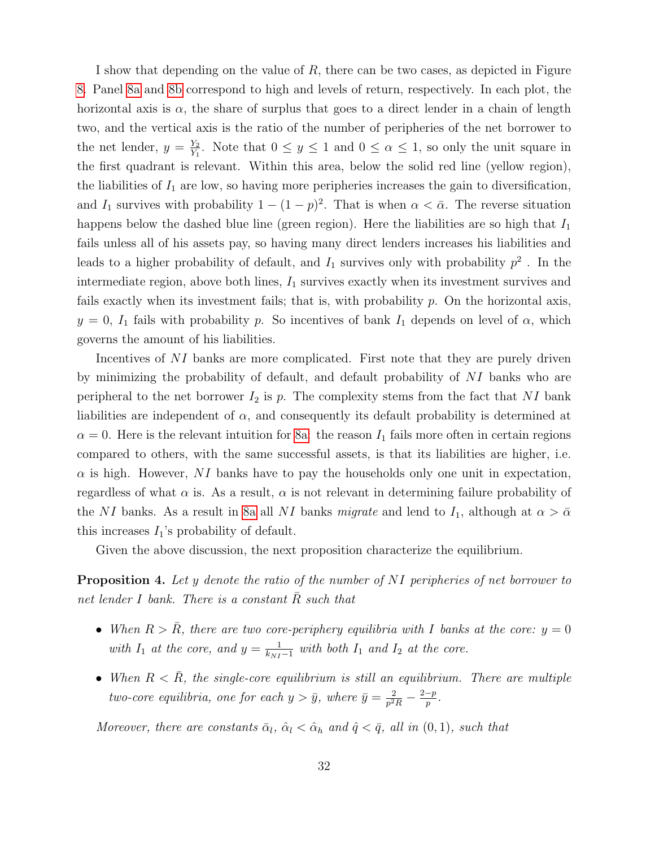I show that depending on the value of R, there can be two cases, as depicted in Figure [8.](#page-32-0) Panel [8a](#page-32-1) and [8b](#page-32-2) correspond to high and levels of return, respectively. In each plot, the horizontal axis is  $\alpha$ , the share of surplus that goes to a direct lender in a chain of length two, and the vertical axis is the ratio of the number of peripheries of the net borrower to the net lender,  $y = \frac{Y_2}{Y_1}$  $\frac{Y_2}{Y_1}$ . Note that  $0 \le y \le 1$  and  $0 \le \alpha \le 1$ , so only the unit square in the first quadrant is relevant. Within this area, below the solid red line (yellow region), the liabilities of  $I_1$  are low, so having more peripheries increases the gain to diversification, and  $I_1$  survives with probability  $1 - (1 - p)^2$ . That is when  $\alpha < \bar{\alpha}$ . The reverse situation happens below the dashed blue line (green region). Here the liabilities are so high that  $I_1$ fails unless all of his assets pay, so having many direct lenders increases his liabilities and leads to a higher probability of default, and  $I_1$  survives only with probability  $p^2$ . In the intermediate region, above both lines,  $I_1$  survives exactly when its investment survives and fails exactly when its investment fails; that is, with probability  $p$ . On the horizontal axis,  $y = 0$ ,  $I_1$  fails with probability p. So incentives of bank  $I_1$  depends on level of  $\alpha$ , which governs the amount of his liabilities.

Incentives of NI banks are more complicated. First note that they are purely driven by minimizing the probability of default, and default probability of NI banks who are peripheral to the net borrower  $I_2$  is p. The complexity stems from the fact that NI bank liabilities are independent of  $\alpha$ , and consequently its default probability is determined at  $\alpha = 0$ . Here is the relevant intuition for [8a:](#page-32-1) the reason  $I_1$  fails more often in certain regions compared to others, with the same successful assets, is that its liabilities are higher, i.e.  $\alpha$  is high. However, NI banks have to pay the households only one unit in expectation, regardless of what  $\alpha$  is. As a result,  $\alpha$  is not relevant in determining failure probability of the NI banks. As a result in [8a](#page-32-1) all NI banks migrate and lend to  $I_1$ , although at  $\alpha > \bar{\alpha}$ this increases  $I_1$ 's probability of default.

Given the above discussion, the next proposition characterize the equilibrium.

<span id="page-31-0"></span>**Proposition 4.** Let y denote the ratio of the number of NI peripheries of net borrower to net lender I bank. There is a constant  $R$  such that

- When  $R > R$ , there are two core-periphery equilibria with I banks at the core:  $y = 0$ with  $I_1$  at the core, and  $y = \frac{1}{k_{NT}}$  $\frac{1}{k_{NI}-1}$  with both  $I_1$  and  $I_2$  at the core.
- When  $R \leq R$ , the single-core equilibrium is still an equilibrium. There are multiple two-core equilibria, one for each  $y > \bar{y}$ , where  $\bar{y} = \frac{2}{r^2}$  $\frac{2}{p^2 R} - \frac{2-p}{p}$  $\frac{-p}{p}$  .

Moreover, there are constants  $\bar{\alpha}_l$ ,  $\hat{\alpha}_l < \hat{\alpha}_h$  and  $\hat{q} < \bar{q}$ , all in  $(0, 1)$ , such that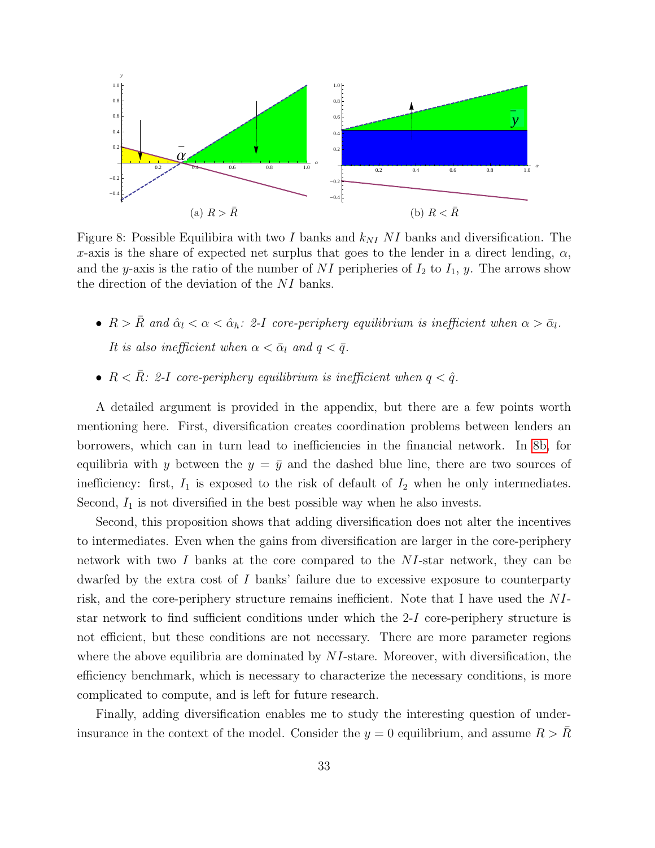<span id="page-32-1"></span><span id="page-32-0"></span>

<span id="page-32-2"></span>Figure 8: Possible Equilibira with two I banks and  $k_{NI}$  NI banks and diversification. The x-axis is the share of expected net surplus that goes to the lender in a direct lending,  $\alpha$ , and the y-axis is the ratio of the number of NI peripheries of  $I_2$  to  $I_1$ , y. The arrows show the direction of the deviation of the NI banks.

- $R > \bar{R}$  and  $\hat{\alpha}_l < \alpha < \hat{\alpha}_h$ : 2-I core-periphery equilibrium is inefficient when  $\alpha > \bar{\alpha}_l$ . It is also inefficient when  $\alpha < \bar{\alpha}_l$  and  $q < \bar{q}$ .
- $R < \bar{R}$ : 2-I core-periphery equilibrium is inefficient when  $q < \hat{q}$ .

A detailed argument is provided in the appendix, but there are a few points worth mentioning here. First, diversification creates coordination problems between lenders an borrowers, which can in turn lead to inefficiencies in the financial network. In [8b,](#page-32-2) for equilibria with y between the  $y = \bar{y}$  and the dashed blue line, there are two sources of inefficiency: first,  $I_1$  is exposed to the risk of default of  $I_2$  when he only intermediates. Second,  $I_1$  is not diversified in the best possible way when he also invests.

Second, this proposition shows that adding diversification does not alter the incentives to intermediates. Even when the gains from diversification are larger in the core-periphery network with two I banks at the core compared to the NI-star network, they can be dwarfed by the extra cost of  $I$  banks' failure due to excessive exposure to counterparty risk, and the core-periphery structure remains inefficient. Note that I have used the NIstar network to find sufficient conditions under which the 2-I core-periphery structure is not efficient, but these conditions are not necessary. There are more parameter regions where the above equilibria are dominated by  $NI$ -stare. Moreover, with diversification, the efficiency benchmark, which is necessary to characterize the necessary conditions, is more complicated to compute, and is left for future research.

Finally, adding diversification enables me to study the interesting question of underinsurance in the context of the model. Consider the  $y = 0$  equilibrium, and assume  $R > R$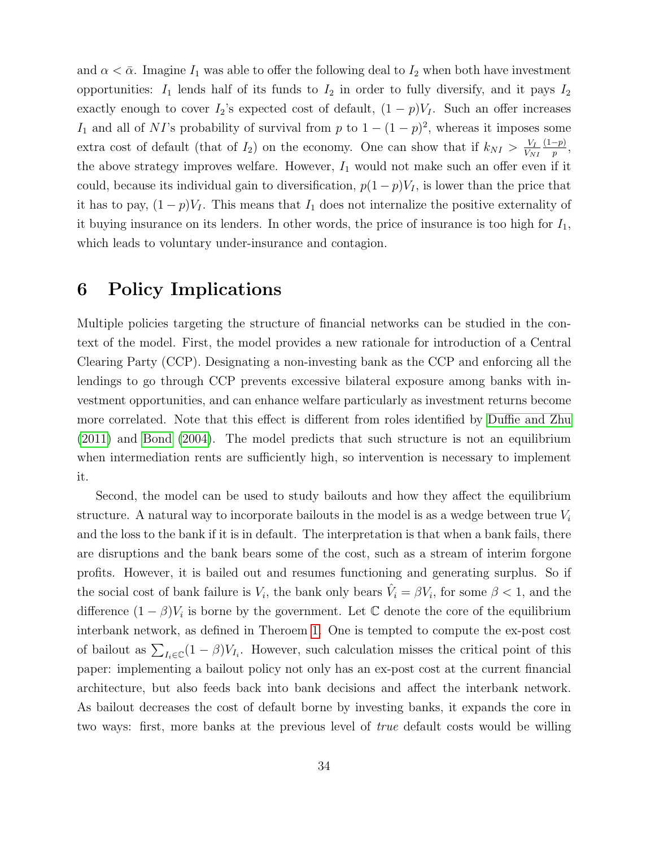and  $\alpha < \bar{\alpha}$ . Imagine  $I_1$  was able to offer the following deal to  $I_2$  when both have investment opportunities:  $I_1$  lends half of its funds to  $I_2$  in order to fully diversify, and it pays  $I_2$ exactly enough to cover  $I_2$ 's expected cost of default,  $(1 - p)V_I$ . Such an offer increases I<sub>1</sub> and all of NI's probability of survival from p to  $1 - (1 - p)^2$ , whereas it imposes some extra cost of default (that of  $I_2$ ) on the economy. One can show that if  $k_{N} > \frac{V_I}{V_N}$  $V_{NI}$  $(1-p)$  $\frac{-p)}{p},$ the above strategy improves welfare. However,  $I_1$  would not make such an offer even if it could, because its individual gain to diversification,  $p(1-p)V_I$ , is lower than the price that it has to pay,  $(1-p)V_I$ . This means that  $I_1$  does not internalize the positive externality of it buying insurance on its lenders. In other words, the price of insurance is too high for  $I_1$ , which leads to voluntary under-insurance and contagion.

# <span id="page-33-0"></span>6 Policy Implications

Multiple policies targeting the structure of financial networks can be studied in the context of the model. First, the model provides a new rationale for introduction of a Central Clearing Party (CCP). Designating a non-investing bank as the CCP and enforcing all the lendings to go through CCP prevents excessive bilateral exposure among banks with investment opportunities, and can enhance welfare particularly as investment returns become more correlated. Note that this effect is different from roles identified by [Duffie and Zhu](#page-61-9) [\(2011\)](#page-61-9) and [Bond](#page-60-7) [\(2004\)](#page-60-7). The model predicts that such structure is not an equilibrium when intermediation rents are sufficiently high, so intervention is necessary to implement it.

Second, the model can be used to study bailouts and how they affect the equilibrium structure. A natural way to incorporate bailouts in the model is as a wedge between true  $V_i$ and the loss to the bank if it is in default. The interpretation is that when a bank fails, there are disruptions and the bank bears some of the cost, such as a stream of interim forgone profits. However, it is bailed out and resumes functioning and generating surplus. So if the social cost of bank failure is  $V_i$ , the bank only bears  $\hat{V}_i = \beta V_i$ , for some  $\beta < 1$ , and the difference  $(1 - \beta)V_i$  is borne by the government. Let  $\mathbb C$  denote the core of the equilibrium interbank network, as defined in Theroem [1.](#page-24-0) One is tempted to compute the ex-post cost of bailout as  $\sum_{I_i \in \mathbb{C}} (1 - \beta) V_{I_i}$ . However, such calculation misses the critical point of this paper: implementing a bailout policy not only has an ex-post cost at the current financial architecture, but also feeds back into bank decisions and affect the interbank network. As bailout decreases the cost of default borne by investing banks, it expands the core in two ways: first, more banks at the previous level of true default costs would be willing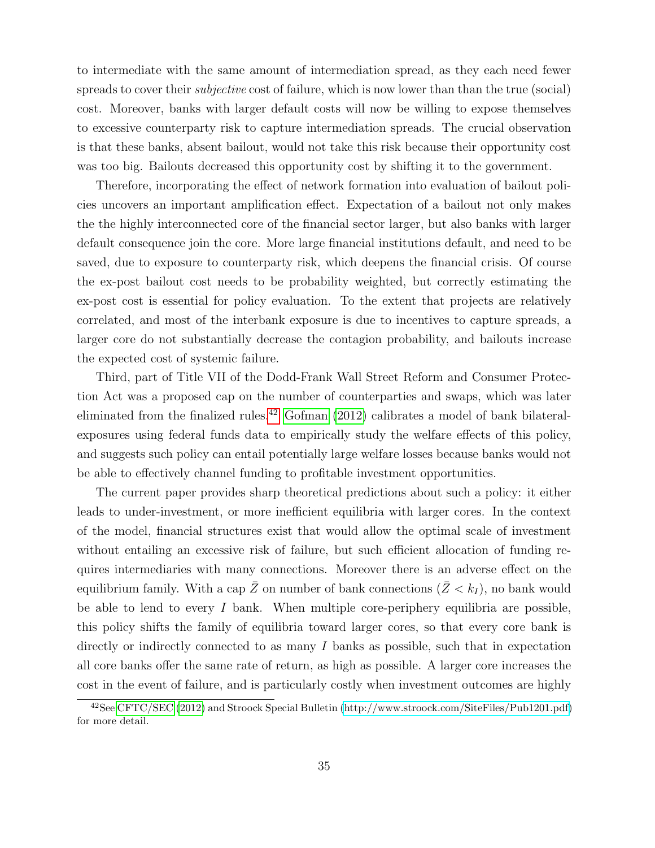to intermediate with the same amount of intermediation spread, as they each need fewer spreads to cover their *subjective* cost of failure, which is now lower than than the true (social) cost. Moreover, banks with larger default costs will now be willing to expose themselves to excessive counterparty risk to capture intermediation spreads. The crucial observation is that these banks, absent bailout, would not take this risk because their opportunity cost was too big. Bailouts decreased this opportunity cost by shifting it to the government.

Therefore, incorporating the effect of network formation into evaluation of bailout policies uncovers an important amplification effect. Expectation of a bailout not only makes the the highly interconnected core of the financial sector larger, but also banks with larger default consequence join the core. More large financial institutions default, and need to be saved, due to exposure to counterparty risk, which deepens the financial crisis. Of course the ex-post bailout cost needs to be probability weighted, but correctly estimating the ex-post cost is essential for policy evaluation. To the extent that projects are relatively correlated, and most of the interbank exposure is due to incentives to capture spreads, a larger core do not substantially decrease the contagion probability, and bailouts increase the expected cost of systemic failure.

Third, part of Title VII of the Dodd-Frank Wall Street Reform and Consumer Protection Act was a proposed cap on the number of counterparties and swaps, which was later eliminated from the finalized rules.[42](#page-34-0) [Gofman](#page-62-3) [\(2012\)](#page-62-3) calibrates a model of bank bilateralexposures using federal funds data to empirically study the welfare effects of this policy, and suggests such policy can entail potentially large welfare losses because banks would not be able to effectively channel funding to profitable investment opportunities.

The current paper provides sharp theoretical predictions about such a policy: it either leads to under-investment, or more inefficient equilibria with larger cores. In the context of the model, financial structures exist that would allow the optimal scale of investment without entailing an excessive risk of failure, but such efficient allocation of funding requires intermediaries with many connections. Moreover there is an adverse effect on the equilibrium family. With a cap  $\bar{Z}$  on number of bank connections  $(\bar{Z} < k_I)$ , no bank would be able to lend to every  $I$  bank. When multiple core-periphery equilibria are possible, this policy shifts the family of equilibria toward larger cores, so that every core bank is directly or indirectly connected to as many I banks as possible, such that in expectation all core banks offer the same rate of return, as high as possible. A larger core increases the cost in the event of failure, and is particularly costly when investment outcomes are highly

<span id="page-34-0"></span><sup>42</sup>See [CFTC/SEC](#page-60-8) [\(2012\)](#page-60-8) and Stroock Special Bulletin [\(http://www.stroock.com/SiteFiles/Pub1201.pdf\)](http://www.stroock.com/SiteFiles/Pub1201.pdf) for more detail.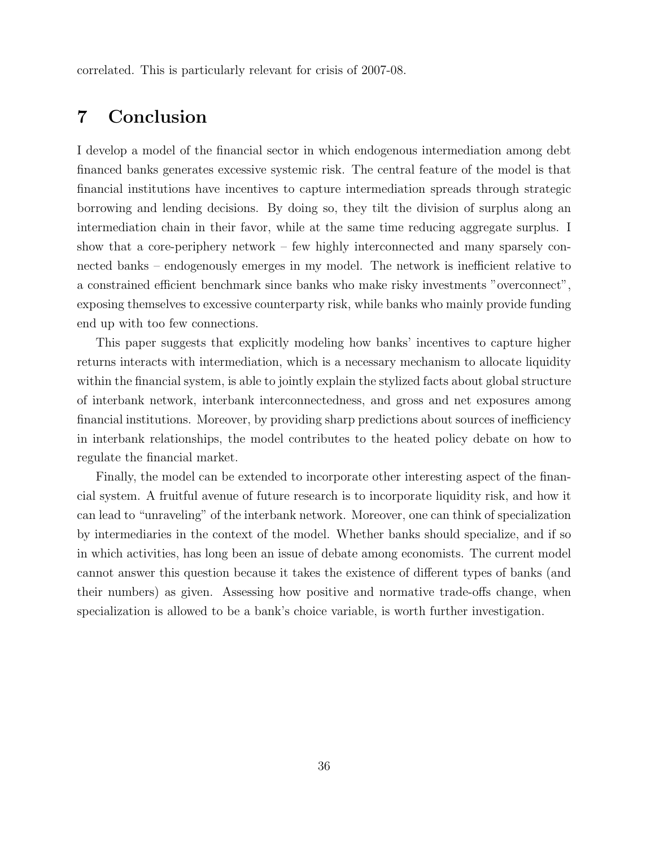correlated. This is particularly relevant for crisis of 2007-08.

# <span id="page-35-0"></span>7 Conclusion

I develop a model of the financial sector in which endogenous intermediation among debt financed banks generates excessive systemic risk. The central feature of the model is that financial institutions have incentives to capture intermediation spreads through strategic borrowing and lending decisions. By doing so, they tilt the division of surplus along an intermediation chain in their favor, while at the same time reducing aggregate surplus. I show that a core-periphery network – few highly interconnected and many sparsely connected banks – endogenously emerges in my model. The network is inefficient relative to a constrained efficient benchmark since banks who make risky investments "overconnect", exposing themselves to excessive counterparty risk, while banks who mainly provide funding end up with too few connections.

This paper suggests that explicitly modeling how banks' incentives to capture higher returns interacts with intermediation, which is a necessary mechanism to allocate liquidity within the financial system, is able to jointly explain the stylized facts about global structure of interbank network, interbank interconnectedness, and gross and net exposures among financial institutions. Moreover, by providing sharp predictions about sources of inefficiency in interbank relationships, the model contributes to the heated policy debate on how to regulate the financial market.

Finally, the model can be extended to incorporate other interesting aspect of the financial system. A fruitful avenue of future research is to incorporate liquidity risk, and how it can lead to "unraveling" of the interbank network. Moreover, one can think of specialization by intermediaries in the context of the model. Whether banks should specialize, and if so in which activities, has long been an issue of debate among economists. The current model cannot answer this question because it takes the existence of different types of banks (and their numbers) as given. Assessing how positive and normative trade-offs change, when specialization is allowed to be a bank's choice variable, is worth further investigation.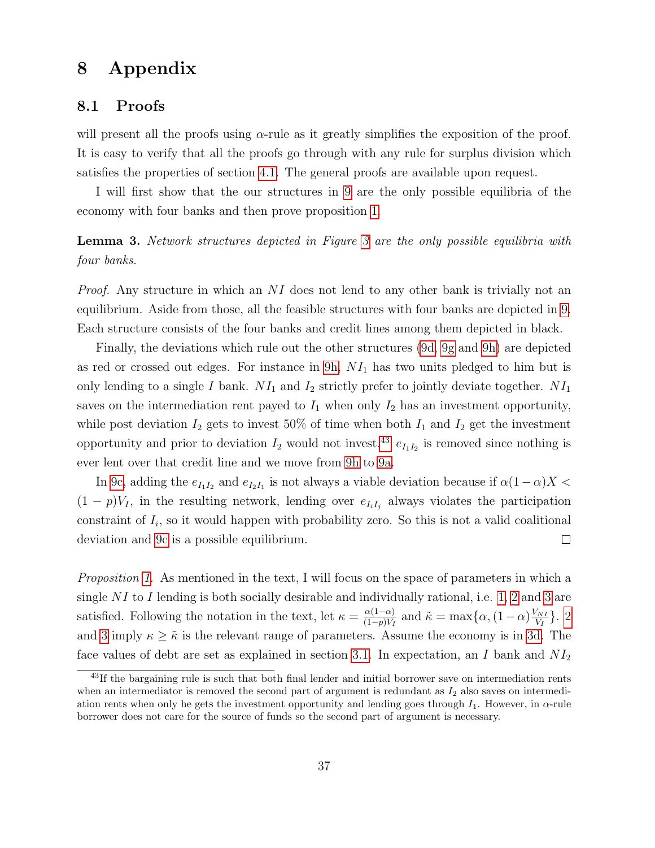# 8 Appendix

### 8.1 Proofs

will present all the proofs using  $\alpha$ -rule as it greatly simplifies the exposition of the proof. It is easy to verify that all the proofs go through with any rule for surplus division which satisfies the properties of section [4.1.](#page-16-2) The general proofs are available upon request.

I will first show that the our structures in [9](#page-37-0) are the only possible equilibria of the economy with four banks and then prove proposition [1.](#page-14-3)

**Lemma [3](#page-13-0).** Network structures depicted in Figure 3 are the only possible equilibria with four banks.

Proof. Any structure in which an NI does not lend to any other bank is trivially not an equilibrium. Aside from those, all the feasible structures with four banks are depicted in [9.](#page-37-0) Each structure consists of the four banks and credit lines among them depicted in black.

Finally, the deviations which rule out the other structures [\(9d,](#page-37-1) [9g](#page-37-2) and [9h\)](#page-37-3) are depicted as red or crossed out edges. For instance in  $9h$ ,  $NI_1$  has two units pledged to him but is only lending to a single I bank.  $NI_1$  and  $I_2$  strictly prefer to jointly deviate together.  $NI_1$ saves on the intermediation rent payed to  $I_1$  when only  $I_2$  has an investment opportunity, while post deviation  $I_2$  gets to invest 50% of time when both  $I_1$  and  $I_2$  get the investment opportunity and prior to deviation  $I_2$  would not invest.<sup>[43](#page-36-0)</sup>  $e_{I_1I_2}$  is removed since nothing is ever lent over that credit line and we move from [9h](#page-37-3) to [9a.](#page-37-4)

In [9c,](#page-37-5) adding the  $e_{I_1I_2}$  and  $e_{I_2I_1}$  is not always a viable deviation because if  $\alpha(1-\alpha)X <$  $(1-p)V_I$ , in the resulting network, lending over  $e_{I_iI_j}$  always violates the participation constraint of  $I_i$ , so it would happen with probability zero. So this is not a valid coalitional deviation and [9c](#page-37-5) is a possible equilibrium.  $\Box$ 

Proposition [1.](#page-14-3) As mentioned in the text, I will focus on the space of parameters in which a single NI to I lending is both socially desirable and individually rational, i.e.  $1, 2$  $1, 2$  and  $3$  are satisfied. Following the notation in the text, let  $\kappa = \frac{\alpha(1-\alpha)}{(1-\alpha)V}$  $\frac{\alpha(1-\alpha)}{(1-p)V_I}$  and  $\tilde{\kappa} = \max\{\alpha, (1-\alpha)\frac{V_{NI}}{V_I}\}$  $\frac{\sqrt{NI}}{V_I}$ . [2](#page-10-0) and [3](#page-10-1) imply  $\kappa \geq \tilde{\kappa}$  is the relevant range of parameters. Assume the economy is in [3d.](#page-13-2) The face values of debt are set as explained in section [3.1.](#page-11-2) In expectation, an I bank and  $NI_2$ 

<span id="page-36-0"></span><sup>&</sup>lt;sup>43</sup>If the bargaining rule is such that both final lender and initial borrower save on intermediation rents when an intermediator is removed the second part of argument is redundant as  $I_2$  also saves on intermediation rents when only he gets the investment opportunity and lending goes through  $I_1$ . However, in  $\alpha$ -rule borrower does not care for the source of funds so the second part of argument is necessary.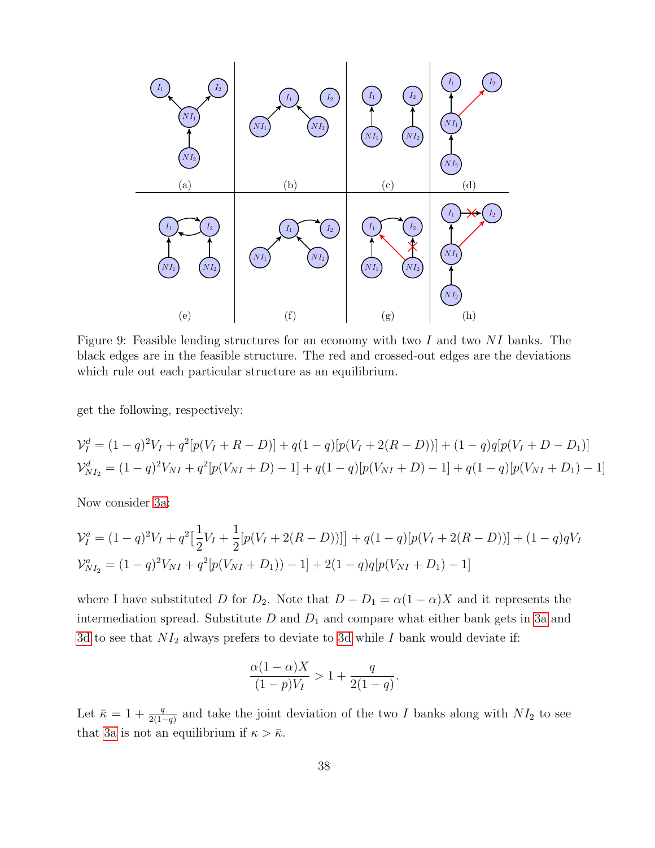<span id="page-37-5"></span><span id="page-37-4"></span><span id="page-37-1"></span><span id="page-37-0"></span>

<span id="page-37-3"></span><span id="page-37-2"></span>Figure 9: Feasible lending structures for an economy with two I and two NI banks. The black edges are in the feasible structure. The red and crossed-out edges are the deviations which rule out each particular structure as an equilibrium.

get the following, respectively:

$$
\mathcal{V}_I^d = (1-q)^2 V_I + q^2 [p(V_I + R - D)] + q(1-q)[p(V_I + 2(R - D))] + (1-q)q[p(V_I + D - D_1)]
$$
  

$$
\mathcal{V}_{NI_2}^d = (1-q)^2 V_{NI} + q^2 [p(V_{NI} + D) - 1] + q(1-q)[p(V_{NI} + D) - 1] + q(1-q)[p(V_{NI} + D_1) - 1]
$$

Now consider [3a:](#page-13-1)

$$
\mathcal{V}_I^a = (1-q)^2 V_I + q^2 \left[ \frac{1}{2} V_I + \frac{1}{2} [p(V_I + 2(R - D))] \right] + q(1-q) [p(V_I + 2(R - D))] + (1-q)qV_I
$$
  

$$
\mathcal{V}_{N I_2}^a = (1-q)^2 V_{N I} + q^2 [p(V_{N I} + D_1)) - 1] + 2(1-q)q[p(V_{N I} + D_1) - 1]
$$

where I have substituted D for  $D_2$ . Note that  $D - D_1 = \alpha(1 - \alpha)X$  and it represents the intermediation spread. Substitute  $D$  and  $D_1$  and compare what either bank gets in [3a](#page-13-1) and [3d](#page-13-2) to see that  $NI_2$  always prefers to deviate to [3d](#page-13-2) while I bank would deviate if:

$$
\frac{\alpha(1-\alpha)X}{(1-p)V_I} > 1+\frac{q}{2(1-q)}
$$

.

Let  $\bar{\kappa} = 1 + \frac{q}{2(1-q)}$  and take the joint deviation of the two I banks along with  $NI_2$  to see that [3a](#page-13-1) is not an equilibrium if  $\kappa > \bar{\kappa}$ .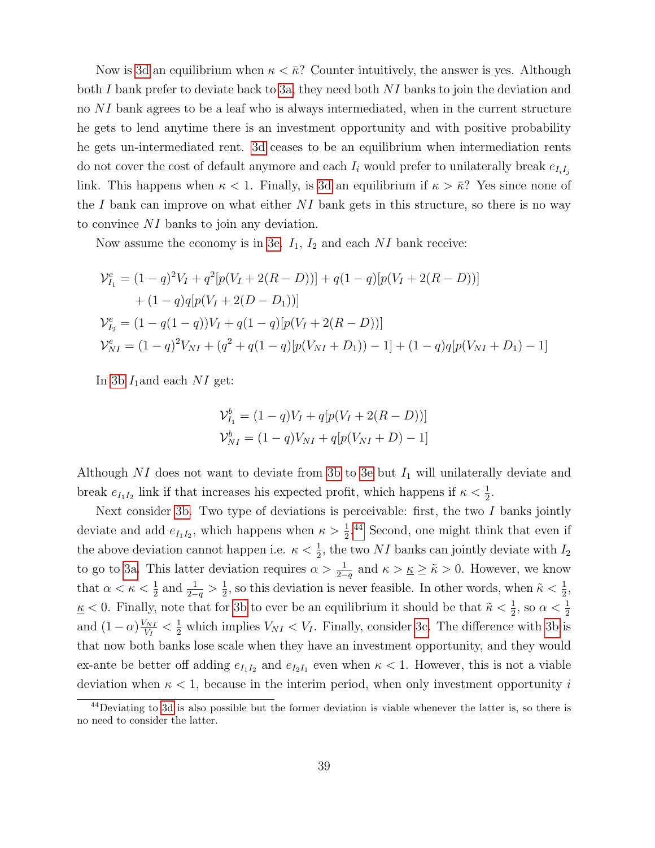Now is [3d](#page-13-2) an equilibrium when  $\kappa < \bar{\kappa}$ ? Counter intuitively, the answer is yes. Although both I bank prefer to deviate back to [3a,](#page-13-1) they need both  $NI$  banks to join the deviation and no NI bank agrees to be a leaf who is always intermediated, when in the current structure he gets to lend anytime there is an investment opportunity and with positive probability he gets un-intermediated rent. [3d](#page-13-2) ceases to be an equilibrium when intermediation rents do not cover the cost of default anymore and each  $I_i$  would prefer to unilaterally break  $e_{I_iI_j}$ link. This happens when  $\kappa < 1$ . Finally, is [3d](#page-13-2) an equilibrium if  $\kappa > \bar{\kappa}$ ? Yes since none of the I bank can improve on what either  $NI$  bank gets in this structure, so there is no way to convince NI banks to join any deviation.

Now assume the economy is in [3e.](#page-13-3)  $I_1$ ,  $I_2$  and each NI bank receive:

$$
\mathcal{V}_{I_1}^e = (1 - q)^2 V_I + q^2 [p(V_I + 2(R - D))] + q(1 - q)[p(V_I + 2(R - D))]
$$
  
+ (1 - q)q[p(V\_I + 2(D - D\_1))]  

$$
\mathcal{V}_{I_2}^e = (1 - q(1 - q))V_I + q(1 - q)[p(V_I + 2(R - D))]
$$
  

$$
\mathcal{V}_{NI}^e = (1 - q)^2 V_{NI} + (q^2 + q(1 - q)[p(V_{NI} + D_1)) - 1] + (1 - q)q[p(V_{NI} + D_1) - 1]
$$

In [3b](#page-13-4)  $I_1$  and each NI get:

$$
\mathcal{V}_{I_1}^b = (1 - q)V_I + q[p(V_I + 2(R - D))]
$$
  

$$
\mathcal{V}_{NI}^b = (1 - q)V_{NI} + q[p(V_{NI} + D) - 1]
$$

Although NI does not want to deviate from [3b](#page-13-4) to [3e](#page-13-3) but  $I_1$  will unilaterally deviate and break  $e_{I_1I_2}$  link if that increases his expected profit, which happens if  $\kappa < \frac{1}{2}$ .

Next consider [3b.](#page-13-4) Two type of deviations is perceivable: first, the two  $I$  banks jointly deviate and add  $e_{I_1I_2}$ , which happens when  $\kappa > \frac{1}{2}$ .<sup>[44](#page-38-0)</sup> Second, one might think that even if the above deviation cannot happen i.e.  $\kappa < \frac{1}{2}$ , the two NI banks can jointly deviate with  $I_2$ to go to [3a.](#page-13-1) This latter deviation requires  $\alpha > \frac{1}{2-q}$  and  $\kappa > \underline{\kappa} \geq \tilde{\kappa} > 0$ . However, we know that  $\alpha < \kappa < \frac{1}{2}$  and  $\frac{1}{2-q} > \frac{1}{2}$  $\frac{1}{2}$ , so this deviation is never feasible. In other words, when  $\tilde{\kappa} < \frac{1}{2}$ ,  $\underline{\kappa}$  < 0. Finally, note that for [3b](#page-13-4) to ever be an equilibrium it should be that  $\tilde{\kappa} < \frac{1}{2}$ , so  $\alpha < \frac{1}{2}$ and  $(1-\alpha)\frac{V_{NI}}{V_I}$  $\frac{V_{NI}}{V_I} < \frac{1}{2}$  which implies  $V_{NI} < V_I$ . Finally, consider [3c.](#page-13-5) The difference with [3b](#page-13-4) is that now both banks lose scale when they have an investment opportunity, and they would ex-ante be better off adding  $e_{I_1I_2}$  and  $e_{I_2I_1}$  even when  $\kappa < 1$ . However, this is not a viable deviation when  $\kappa < 1$ , because in the interim period, when only investment opportunity i

<span id="page-38-0"></span><sup>&</sup>lt;sup>44</sup>Deviating to [3d](#page-13-2) is also possible but the former deviation is viable whenever the latter is, so there is no need to consider the latter.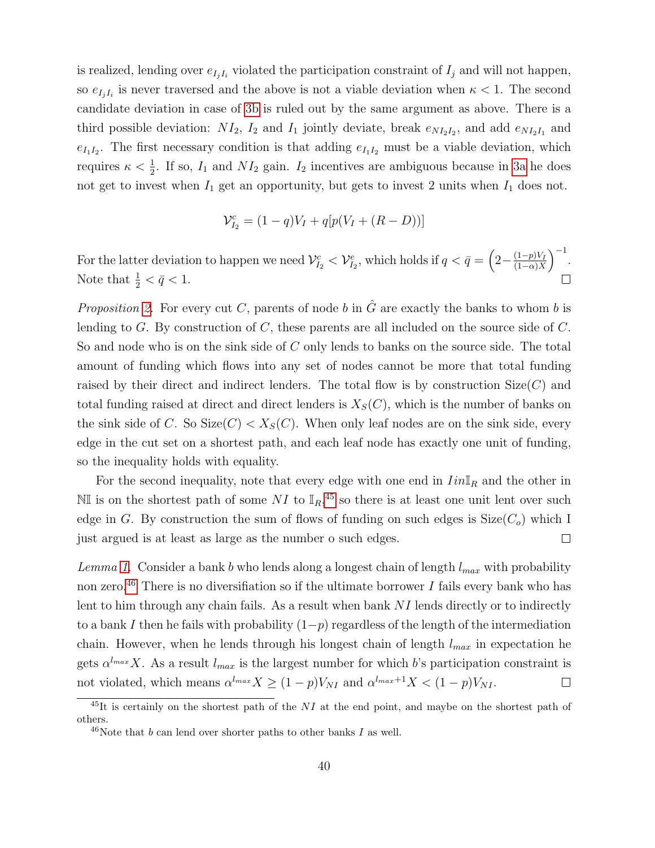is realized, lending over  $e_{I_j I_i}$  violated the participation constraint of  $I_j$  and will not happen, so  $e_{I_jI_i}$  is never traversed and the above is not a viable deviation when  $\kappa < 1$ . The second candidate deviation in case of [3b](#page-13-4) is ruled out by the same argument as above. There is a third possible deviation:  $NI_2$ ,  $I_2$  and  $I_1$  jointly deviate, break  $e_{NI_2I_2}$ , and add  $e_{NI_2I_1}$  and  $e_{I_1I_2}$ . The first necessary condition is that adding  $e_{I_1I_2}$  must be a viable deviation, which requires  $\kappa < \frac{1}{2}$ . If so,  $I_1$  and  $NI_2$  gain.  $I_2$  incentives are ambiguous because in [3a](#page-13-1) he does not get to invest when  $I_1$  get an opportunity, but gets to invest 2 units when  $I_1$  does not.

$$
\mathcal{V}_{I_2}^c = (1 - q)V_I + q[p(V_I + (R - D))]
$$

For the latter deviation to happen we need  $\mathcal{V}_{I_2}^c < \mathcal{V}_{I_2}^e$ , which holds if  $q < \bar{q} = \left(2 - \frac{(1-p)V_I}{(1-\alpha)X}\right)$  $\frac{(1-p)V_I}{(1-\alpha)X}$  $^{-1}$ . Note that  $\frac{1}{2} < \bar{q} < 1$ .

*Proposition [2.](#page-20-1)* For every cut C, parents of node b in  $\hat{G}$  are exactly the banks to whom b is lending to G. By construction of C, these parents are all included on the source side of  $C$ . So and node who is on the sink side of C only lends to banks on the source side. The total amount of funding which flows into any set of nodes cannot be more that total funding raised by their direct and indirect lenders. The total flow is by construction  $Size(C)$  and total funding raised at direct and direct lenders is  $X_S(C)$ , which is the number of banks on the sink side of C. So Size(C)  $\langle X_S(C) \rangle$ . When only leaf nodes are on the sink side, every edge in the cut set on a shortest path, and each leaf node has exactly one unit of funding, so the inequality holds with equality.

For the second inequality, note that every edge with one end in  $IinI<sub>R</sub>$  and the other in NI is on the shortest path of some NI to  $\mathbb{I}_R$ ,<sup>[45](#page-39-0)</sup> so there is at least one unit lent over such edge in G. By construction the sum of flows of funding on such edges is  $Size(C<sub>o</sub>)$  which I  $\Box$ just argued is at least as large as the number o such edges.

Lemma [1.](#page-24-3) Consider a bank b who lends along a longest chain of length  $l_{max}$  with probability non zero.<sup>[46](#page-39-1)</sup> There is no diversifiation so if the ultimate borrower I fails every bank who has lent to him through any chain fails. As a result when bank NI lends directly or to indirectly to a bank I then he fails with probability  $(1-p)$  regardless of the length of the intermediation chain. However, when he lends through his longest chain of length  $l_{max}$  in expectation he gets  $\alpha^{l_{max}}X$ . As a result  $l_{max}$  is the largest number for which b's participation constraint is not violated, which means  $\alpha^{l_{max}} X \ge (1-p)V_{NI}$  and  $\alpha^{l_{max}+1} X < (1-p)V_{NI}$ .  $\Box$ 

<span id="page-39-0"></span> $^{45}$ It is certainly on the shortest path of the NI at the end point, and maybe on the shortest path of others.

<span id="page-39-1"></span><sup>&</sup>lt;sup>46</sup>Note that b can lend over shorter paths to other banks I as well.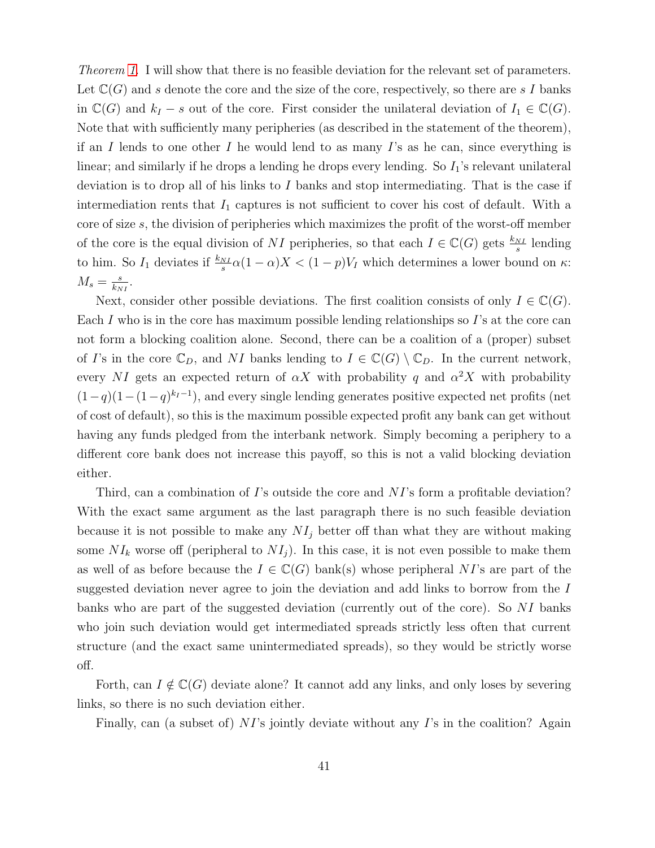Theorem [1.](#page-24-0) I will show that there is no feasible deviation for the relevant set of parameters. Let  $\mathbb{C}(G)$  and s denote the core and the size of the core, respectively, so there are s I banks in  $\mathbb{C}(G)$  and  $k_I - s$  out of the core. First consider the unilateral deviation of  $I_1 \in \mathbb{C}(G)$ . Note that with sufficiently many peripheries (as described in the statement of the theorem), if an I lends to one other I he would lend to as many I's as he can, since everything is linear; and similarly if he drops a lending he drops every lending. So  $I_1$ 's relevant unilateral deviation is to drop all of his links to I banks and stop intermediating. That is the case if intermediation rents that  $I_1$  captures is not sufficient to cover his cost of default. With a core of size s, the division of peripheries which maximizes the profit of the worst-off member of the core is the equal division of NI peripheries, so that each  $I \in \mathbb{C}(G)$  gets  $\frac{k_{NI}}{s}$  lending to him. So  $I_1$  deviates if  $\frac{k_{NL}}{s}\alpha(1-\alpha)X < (1-p)V_I$  which determines a lower bound on  $\kappa$ :  $M_s = \frac{s}{k_N}$  $\frac{s}{k_{NI}}$ .

Next, consider other possible deviations. The first coalition consists of only  $I \in \mathbb{C}(G)$ . Each I who is in the core has maximum possible lending relationships so I's at the core can not form a blocking coalition alone. Second, there can be a coalition of a (proper) subset of I's in the core  $\mathbb{C}_D$ , and NI banks lending to  $I \in \mathbb{C}(G) \setminus \mathbb{C}_D$ . In the current network, every NI gets an expected return of  $\alpha X$  with probability q and  $\alpha^2 X$  with probability  $(1-q)(1-(1-q)^{k_I-1})$ , and every single lending generates positive expected net profits (net of cost of default), so this is the maximum possible expected profit any bank can get without having any funds pledged from the interbank network. Simply becoming a periphery to a different core bank does not increase this payoff, so this is not a valid blocking deviation either.

Third, can a combination of I's outside the core and  $NI$ 's form a profitable deviation? With the exact same argument as the last paragraph there is no such feasible deviation because it is not possible to make any  $NI<sub>j</sub>$  better off than what they are without making some  $NI_k$  worse off (peripheral to  $NI_j$ ). In this case, it is not even possible to make them as well of as before because the  $I \in \mathbb{C}(G)$  bank(s) whose peripheral NI's are part of the suggested deviation never agree to join the deviation and add links to borrow from the I banks who are part of the suggested deviation (currently out of the core). So NI banks who join such deviation would get intermediated spreads strictly less often that current structure (and the exact same unintermediated spreads), so they would be strictly worse off.

Forth, can  $I \notin \mathbb{C}(G)$  deviate alone? It cannot add any links, and only loses by severing links, so there is no such deviation either.

Finally, can (a subset of)  $NI$ 's jointly deviate without any  $I$ 's in the coalition? Again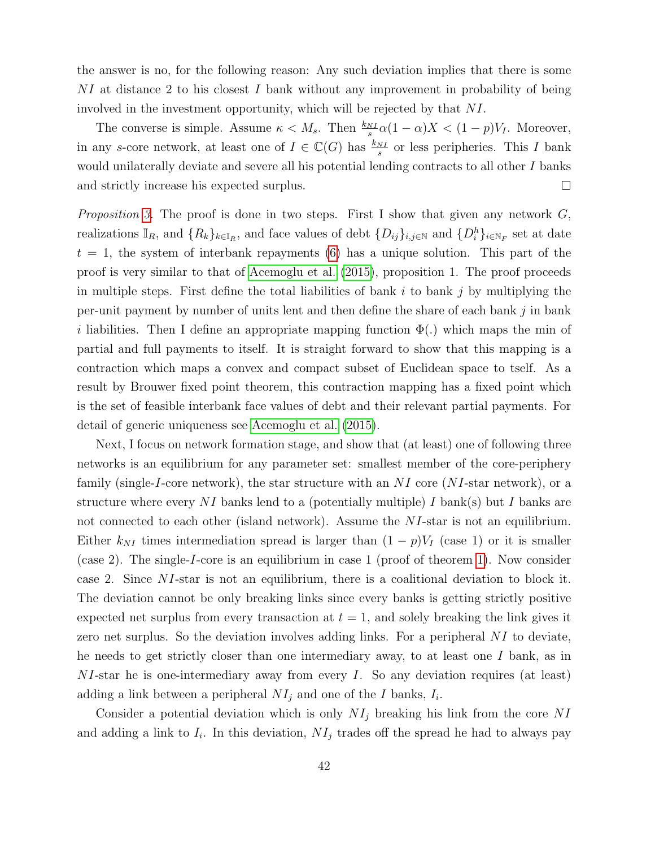the answer is no, for the following reason: Any such deviation implies that there is some NI at distance 2 to his closest I bank without any improvement in probability of being involved in the investment opportunity, which will be rejected by that NI.

The converse is simple. Assume  $\kappa < M_s$ . Then  $\frac{k_{NI}}{s} \alpha (1 - \alpha) X < (1 - p) V_I$ . Moreover, in any s-core network, at least one of  $I \in \mathbb{C}(G)$  has  $\frac{k_{NI}}{s}$  or less peripheries. This I bank would unilaterally deviate and severe all his potential lending contracts to all other I banks and strictly increase his expected surplus.  $\Box$ 

*Proposition [3.](#page-25-0)* The proof is done in two steps. First I show that given any network  $G$ , realizations  $\mathbb{I}_R$ , and  $\{R_k\}_{k\in\mathbb{I}_R}$ , and face values of debt  $\{D_{ij}\}_{i,j\in\mathbb{N}}$  and  $\{D_i^h\}_{i\in\mathbb{N}_F}$  set at date  $t = 1$ , the system of interbank repayments [\(6\)](#page-21-1) has a unique solution. This part of the proof is very similar to that of [Acemoglu et al.](#page-58-6) [\(2015\)](#page-58-6), proposition 1. The proof proceeds in multiple steps. First define the total liabilities of bank  $i$  to bank  $j$  by multiplying the per-unit payment by number of units lent and then define the share of each bank j in bank i liabilities. Then I define an appropriate mapping function  $\Phi(.)$  which maps the min of partial and full payments to itself. It is straight forward to show that this mapping is a contraction which maps a convex and compact subset of Euclidean space to tself. As a result by Brouwer fixed point theorem, this contraction mapping has a fixed point which is the set of feasible interbank face values of debt and their relevant partial payments. For detail of generic uniqueness see [Acemoglu et al.](#page-58-6) [\(2015\)](#page-58-6).

Next, I focus on network formation stage, and show that (at least) one of following three networks is an equilibrium for any parameter set: smallest member of the core-periphery family (single-I-core network), the star structure with an  $NI$  core (NI-star network), or a structure where every NI banks lend to a (potentially multiple) I bank(s) but I banks are not connected to each other (island network). Assume the NI-star is not an equilibrium. Either  $k_{NI}$  times intermediation spread is larger than  $(1 - p)V_I$  (case 1) or it is smaller (case 2). The single-I-core is an equilibrium in case 1 (proof of theorem [1\)](#page-24-0). Now consider case 2. Since NI-star is not an equilibrium, there is a coalitional deviation to block it. The deviation cannot be only breaking links since every banks is getting strictly positive expected net surplus from every transaction at  $t = 1$ , and solely breaking the link gives it zero net surplus. So the deviation involves adding links. For a peripheral NI to deviate, he needs to get strictly closer than one intermediary away, to at least one  $I$  bank, as in NI-star he is one-intermediary away from every I. So any deviation requires (at least) adding a link between a peripheral  $NI_j$  and one of the I banks,  $I_i$ .

Consider a potential deviation which is only  $NI<sub>j</sub>$  breaking his link from the core NI and adding a link to  $I_i$ . In this deviation,  $NI_j$  trades off the spread he had to always pay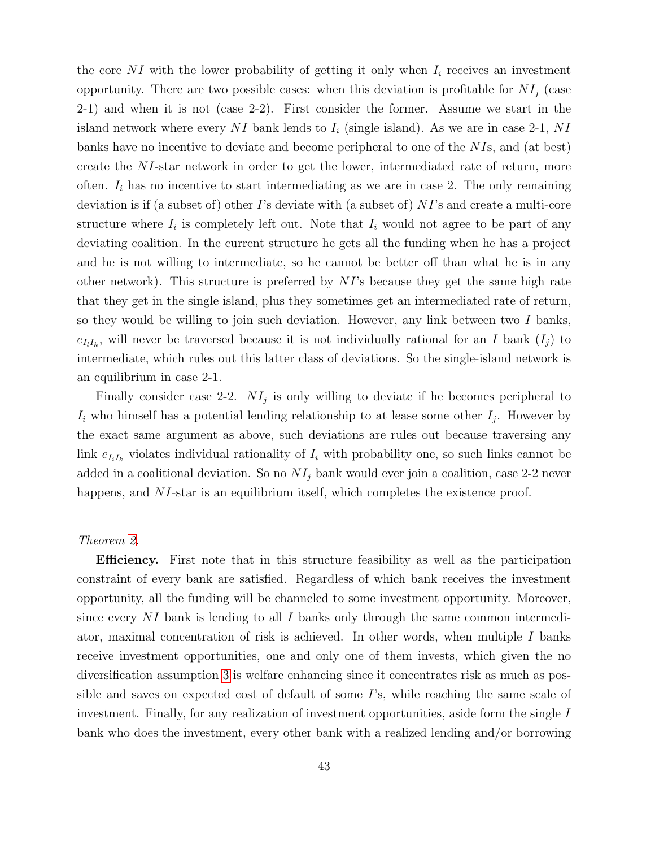the core  $NI$  with the lower probability of getting it only when  $I_i$  receives an investment opportunity. There are two possible cases: when this deviation is profitable for  $NI_i$  (case 2-1) and when it is not (case 2-2). First consider the former. Assume we start in the island network where every NI bank lends to  $I_i$  (single island). As we are in case 2-1, NI banks have no incentive to deviate and become peripheral to one of the NIs, and (at best) create the NI-star network in order to get the lower, intermediated rate of return, more often.  $I_i$  has no incentive to start intermediating as we are in case 2. The only remaining deviation is if (a subset of) other I's deviate with (a subset of)  $NI$ 's and create a multi-core structure where  $I_i$  is completely left out. Note that  $I_i$  would not agree to be part of any deviating coalition. In the current structure he gets all the funding when he has a project and he is not willing to intermediate, so he cannot be better off than what he is in any other network). This structure is preferred by  $NI$ 's because they get the same high rate that they get in the single island, plus they sometimes get an intermediated rate of return, so they would be willing to join such deviation. However, any link between two  $I$  banks,  $e_{I_lI_k}$ , will never be traversed because it is not individually rational for an I bank  $(I_j)$  to intermediate, which rules out this latter class of deviations. So the single-island network is an equilibrium in case 2-1.

Finally consider case 2-2.  $NI<sub>j</sub>$  is only willing to deviate if he becomes peripheral to  $I_i$  who himself has a potential lending relationship to at lease some other  $I_j$ . However by the exact same argument as above, such deviations are rules out because traversing any link  $e_{I_iI_k}$  violates individual rationality of  $I_i$  with probability one, so such links cannot be added in a coalitional deviation. So no  $NI<sub>j</sub>$  bank would ever join a coalition, case 2-2 never happens, and NI-star is an equilibrium itself, which completes the existence proof.

 $\Box$ 

#### Theorem [2.](#page-26-0)

Efficiency. First note that in this structure feasibility as well as the participation constraint of every bank are satisfied. Regardless of which bank receives the investment opportunity, all the funding will be channeled to some investment opportunity. Moreover, since every  $NI$  bank is lending to all I banks only through the same common intermediator, maximal concentration of risk is achieved. In other words, when multiple  $I$  banks receive investment opportunities, one and only one of them invests, which given the no diversification assumption [3](#page-24-2) is welfare enhancing since it concentrates risk as much as possible and saves on expected cost of default of some I's, while reaching the same scale of investment. Finally, for any realization of investment opportunities, aside form the single I bank who does the investment, every other bank with a realized lending and/or borrowing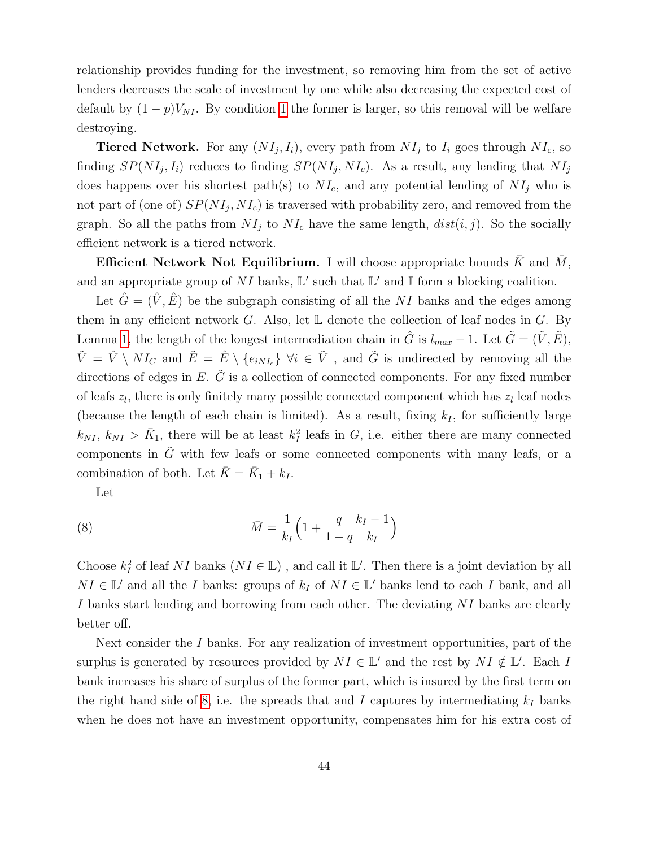relationship provides funding for the investment, so removing him from the set of active lenders decreases the scale of investment by one while also decreasing the expected cost of default by  $(1-p)V_{NI}$ . By condition [1](#page-10-2) the former is larger, so this removal will be welfare destroying.

**Tiered Network.** For any  $(NI_j, I_i)$ , every path from  $NI_j$  to  $I_i$  goes through  $NI_c$ , so finding  $SP(NI_j, I_i)$  reduces to finding  $SP(NI_j, NI_c)$ . As a result, any lending that  $NI_j$ does happens over his shortest path(s) to  $NI_c$ , and any potential lending of  $NI_j$  who is not part of (one of)  $SP(NI_j, NI_c)$  is traversed with probability zero, and removed from the graph. So all the paths from  $NI_i$  to  $NI_c$  have the same length,  $dist(i, j)$ . So the socially efficient network is a tiered network.

**Efficient Network Not Equilibrium.** I will choose appropriate bounds  $\bar{K}$  and  $\bar{M}$ , and an appropriate group of NI banks,  $\mathbb{L}'$  such that  $\mathbb{L}'$  and I form a blocking coalition.

Let  $\hat{G} = (\hat{V}, \hat{E})$  be the subgraph consisting of all the NI banks and the edges among them in any efficient network  $G$ . Also, let  $\mathbb L$  denote the collection of leaf nodes in  $G$ . By Lemma [1,](#page-24-3) the length of the longest intermediation chain in  $\hat{G}$  is  $l_{max} - 1$ . Let  $\tilde{G} = (\tilde{V}, \tilde{E})$ ,  $\tilde{V} = \hat{V} \setminus NI_C$  and  $\tilde{E} = \hat{E} \setminus \{e_{iNI_c}\}\ \forall i \in \tilde{V}$ , and  $\tilde{G}$  is undirected by removing all the directions of edges in  $E$ .  $\tilde{G}$  is a collection of connected components. For any fixed number of leafs  $z_l$ , there is only finitely many possible connected component which has  $z_l$  leaf nodes (because the length of each chain is limited). As a result, fixing  $k_I$ , for sufficiently large  $k_{NI}, k_{NI} > \bar{K}_1$ , there will be at least  $k_I^2$  leafs in G, i.e. either there are many connected components in  $\tilde{G}$  with few leafs or some connected components with many leafs, or a combination of both. Let  $\bar{K} = \bar{K}_1 + k_I$ .

Let

<span id="page-43-0"></span>(8) 
$$
\bar{M} = \frac{1}{k_I} \left( 1 + \frac{q}{1-q} \frac{k_I - 1}{k_I} \right)
$$

Choose  $k_I^2$  of leaf NI banks  $(NI \in \mathbb{L})$ , and call it  $\mathbb{L}'$ . Then there is a joint deviation by all  $NI \in \mathbb{L}'$  and all the I banks: groups of  $k_I$  of  $NI \in \mathbb{L}'$  banks lend to each I bank, and all I banks start lending and borrowing from each other. The deviating NI banks are clearly better off.

Next consider the I banks. For any realization of investment opportunities, part of the surplus is generated by resources provided by  $NI \in \mathbb{L}'$  and the rest by  $NI \notin \mathbb{L}'$ . Each I bank increases his share of surplus of the former part, which is insured by the first term on the right hand side of [8,](#page-43-0) i.e. the spreads that and I captures by intermediating  $k_I$  banks when he does not have an investment opportunity, compensates him for his extra cost of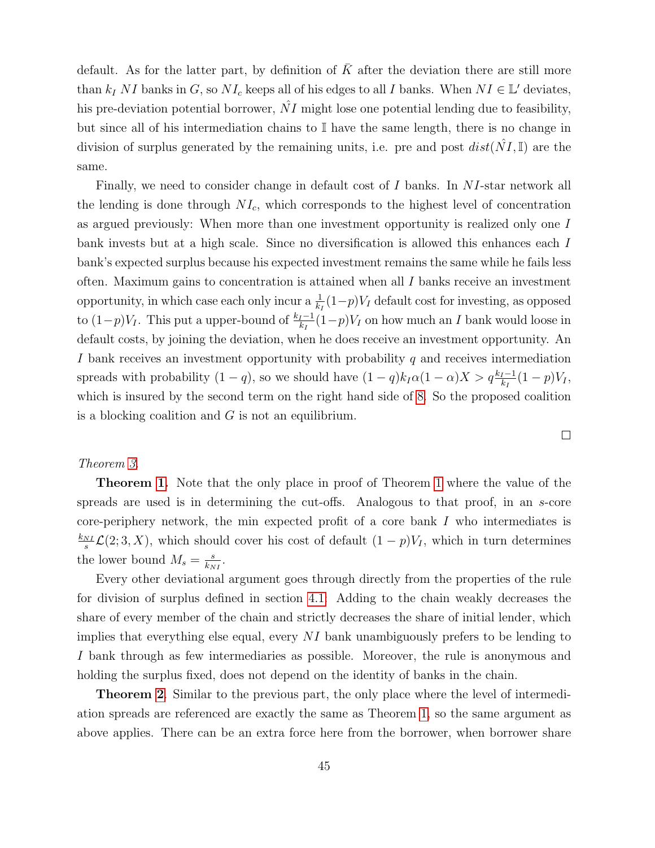default. As for the latter part, by definition of  $\overline{K}$  after the deviation there are still more than  $k_I N I$  banks in G, so  $N I_c$  keeps all of his edges to all I banks. When  $N I \in \mathbb{L}'$  deviates, his pre-deviation potential borrower,  $NI$  might lose one potential lending due to feasibility, but since all of his intermediation chains to I have the same length, there is no change in division of surplus generated by the remaining units, i.e. pre and post  $dist(\hat{N}I, \mathbb{I})$  are the same.

Finally, we need to consider change in default cost of I banks. In NI-star network all the lending is done through  $NI_c$ , which corresponds to the highest level of concentration as argued previously: When more than one investment opportunity is realized only one I bank invests but at a high scale. Since no diversification is allowed this enhances each I bank's expected surplus because his expected investment remains the same while he fails less often. Maximum gains to concentration is attained when all  $I$  banks receive an investment opportunity, in which case each only incur a  $\frac{1}{k_I}(1-p)V_I$  default cost for investing, as opposed to  $(1-p)V_I$ . This put a upper-bound of  $\frac{k_I-1}{k_I}(1-p)V_I$  on how much an I bank would loose in default costs, by joining the deviation, when he does receive an investment opportunity. An I bank receives an investment opportunity with probability  $q$  and receives intermediation spreads with probability  $(1 - q)$ , so we should have  $(1 - q)k_I\alpha(1 - \alpha)X > q\frac{k_I-1}{k_I}(1 - p)V_I$ , which is insured by the second term on the right hand side of [8.](#page-43-0) So the proposed coalition is a blocking coalition and  $G$  is not an equilibrium.

### Theorem [3.](#page-26-1)

Theorem [1.](#page-24-0) Note that the only place in proof of Theorem [1](#page-24-0) where the value of the spreads are used is in determining the cut-offs. Analogous to that proof, in an s-core core-periphery network, the min expected profit of a core bank I who intermediates is  $k_{NI}$  $\frac{N}{s}\mathcal{L}(2;3,X)$ , which should cover his cost of default  $(1-p)V_I$ , which in turn determines the lower bound  $M_s = \frac{s}{k_N}$  $\frac{s}{k_{NI}}$ .

Every other deviational argument goes through directly from the properties of the rule for division of surplus defined in section [4.1:](#page-16-2) Adding to the chain weakly decreases the share of every member of the chain and strictly decreases the share of initial lender, which implies that everything else equal, every  $NI$  bank unambiguously prefers to be lending to I bank through as few intermediaries as possible. Moreover, the rule is anonymous and holding the surplus fixed, does not depend on the identity of banks in the chain.

Theorem [2](#page-26-0). Similar to the previous part, the only place where the level of intermediation spreads are referenced are exactly the same as Theorem [1,](#page-24-0) so the same argument as above applies. There can be an extra force here from the borrower, when borrower share

 $\Box$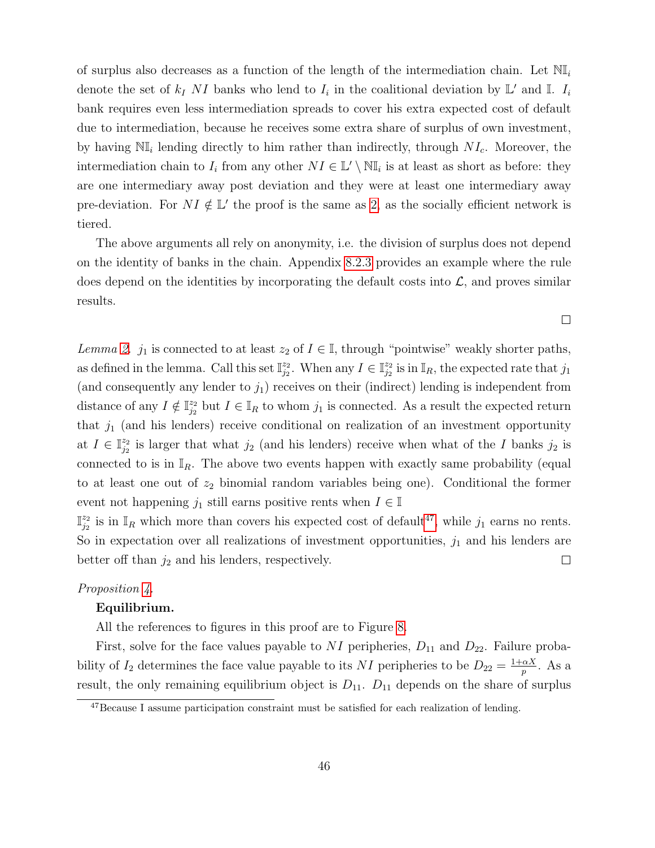of surplus also decreases as a function of the length of the intermediation chain. Let  $\mathbb{N}_{\mathbb{I}_i}$ denote the set of  $k_I$  NI banks who lend to  $I_i$  in the coalitional deviation by  $\mathbb{L}'$  and  $\mathbb{I}$ .  $I_i$ bank requires even less intermediation spreads to cover his extra expected cost of default due to intermediation, because he receives some extra share of surplus of own investment, by having  $\mathbb{NI}_i$  lending directly to him rather than indirectly, through  $NI_c$ . Moreover, the intermediation chain to  $I_i$  from any other  $NI \in \mathbb{L}' \setminus \mathbb{N}$  is at least as short as before: they are one intermediary away post deviation and they were at least one intermediary away pre-deviation. For  $NI \notin \mathbb{L}'$  the proof is the same as [2,](#page-26-0) as the socially efficient network is tiered.

The above arguments all rely on anonymity, i.e. the division of surplus does not depend on the identity of banks in the chain. Appendix [8.2.3](#page-56-0) provides an example where the rule does depend on the identities by incorporating the default costs into  $\mathcal{L}$ , and proves similar results.

Lemma [2.](#page-29-3) j<sub>1</sub> is connected to at least  $z_2$  of  $I \in \mathbb{I}$ , through "pointwise" weakly shorter paths, as defined in the lemma. Call this set  $\mathbb{I}_{i_2}^{z_2}$  $_{j_2}^{z_2}$ . When any  $I \in \mathbb{I}_{j_2}^{z_2}$  $\frac{z_2}{j_2}$  is in  $\mathbb{I}_R$ , the expected rate that  $j_1$ (and consequently any lender to  $j_1$ ) receives on their (indirect) lending is independent from distance of any  $I \notin \mathbb{I}_{i_2}^{z_2}$  $j_2^{z_2}$  but  $I \in I_R$  to whom  $j_1$  is connected. As a result the expected return that  $j_1$  (and his lenders) receive conditional on realization of an investment opportunity at  $I \in \mathbb{I}_{i_2}^{z_2}$  $\frac{z_2}{j_2}$  is larger that what  $j_2$  (and his lenders) receive when what of the I banks  $j_2$  is connected to is in  $\mathbb{I}_R$ . The above two events happen with exactly same probability (equal to at least one out of  $z_2$  binomial random variables being one). Conditional the former event not happening  $j_1$  still earns positive rents when  $I \in \mathbb{I}$ 

 $\mathbb{I}^{\frac{z_2}{z}}$  $\frac{z_2}{z_2}$  is in  $\mathbb{I}_R$  which more than covers his expected cost of default<sup>[47](#page-45-0)</sup>, while  $j_1$  earns no rents. So in expectation over all realizations of investment opportunities,  $j_1$  and his lenders are better off than  $j_2$  and his lenders, respectively.  $\Box$ 

#### Proposition [4.](#page-31-0)

#### Equilibrium.

All the references to figures in this proof are to Figure [8.](#page-32-0)

First, solve for the face values payable to NI peripheries,  $D_{11}$  and  $D_{22}$ . Failure probability of  $I_2$  determines the face value payable to its NI peripheries to be  $D_{22} = \frac{1+\alpha X}{n}$  $\frac{\alpha X}{p}$ . As a result, the only remaining equilibrium object is  $D_{11}$ .  $D_{11}$  depends on the share of surplus

 $\Box$ 

<span id="page-45-0"></span><sup>&</sup>lt;sup>47</sup>Because I assume participation constraint must be satisfied for each realization of lending.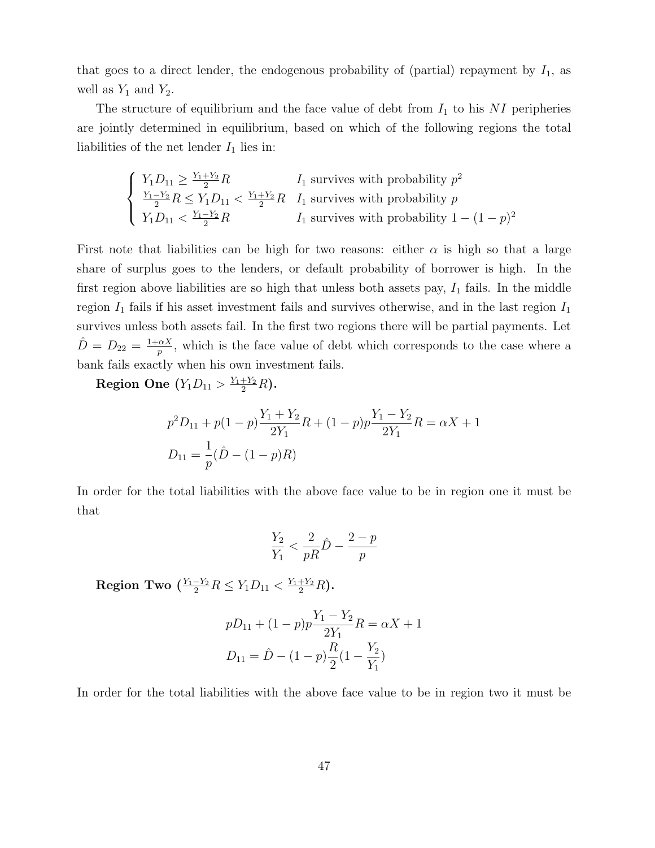that goes to a direct lender, the endogenous probability of (partial) repayment by  $I_1$ , as well as  $Y_1$  and  $Y_2$ .

The structure of equilibrium and the face value of debt from  $I_1$  to his NI peripheries are jointly determined in equilibrium, based on which of the following regions the total liabilities of the net lender  $I_1$  lies in:

$$
\begin{cases}\nY_1 D_{11} \geq \frac{Y_1 + Y_2}{2} R & I_1 \text{ survives with probability } p^2 \\
\frac{Y_1 - Y_2}{2} R \leq Y_1 D_{11} < \frac{Y_1 + Y_2}{2} R & I_1 \text{ survives with probability } p \\
Y_1 D_{11} < \frac{Y_1 - Y_2}{2} R & I_1 \text{ survives with probability } 1 - (1 - p)^2\n\end{cases}
$$

First note that liabilities can be high for two reasons: either  $\alpha$  is high so that a large share of surplus goes to the lenders, or default probability of borrower is high. In the first region above liabilities are so high that unless both assets pay,  $I_1$  fails. In the middle region  $I_1$  fails if his asset investment fails and survives otherwise, and in the last region  $I_1$ survives unless both assets fail. In the first two regions there will be partial payments. Let  $\hat{D} = D_{22} = \frac{1+\alpha X}{n}$  $\frac{\alpha X}{p}$ , which is the face value of debt which corresponds to the case where a bank fails exactly when his own investment fails.

Region One  $(Y_1D_{11} > \frac{Y_1+Y_2}{2}R)$ .

$$
p^{2}D_{11} + p(1-p)\frac{Y_{1} + Y_{2}}{2Y_{1}}R + (1-p)p\frac{Y_{1} - Y_{2}}{2Y_{1}}R = \alpha X + 1
$$

$$
D_{11} = \frac{1}{p}(\hat{D} - (1-p)R)
$$

In order for the total liabilities with the above face value to be in region one it must be that

$$
\frac{Y_2}{Y_1} < \frac{2}{pR}\hat{D} - \frac{2-p}{p}
$$

Region Two  $(\frac{Y_1-Y_2}{2}R\leq Y_1D_{11}<\frac{Y_1+Y_2}{2}R)$ .

$$
pD_{11} + (1-p)p \frac{Y_1 - Y_2}{2Y_1} R = \alpha X + 1
$$

$$
D_{11} = \hat{D} - (1-p) \frac{R}{2} (1 - \frac{Y_2}{Y_1})
$$

In order for the total liabilities with the above face value to be in region two it must be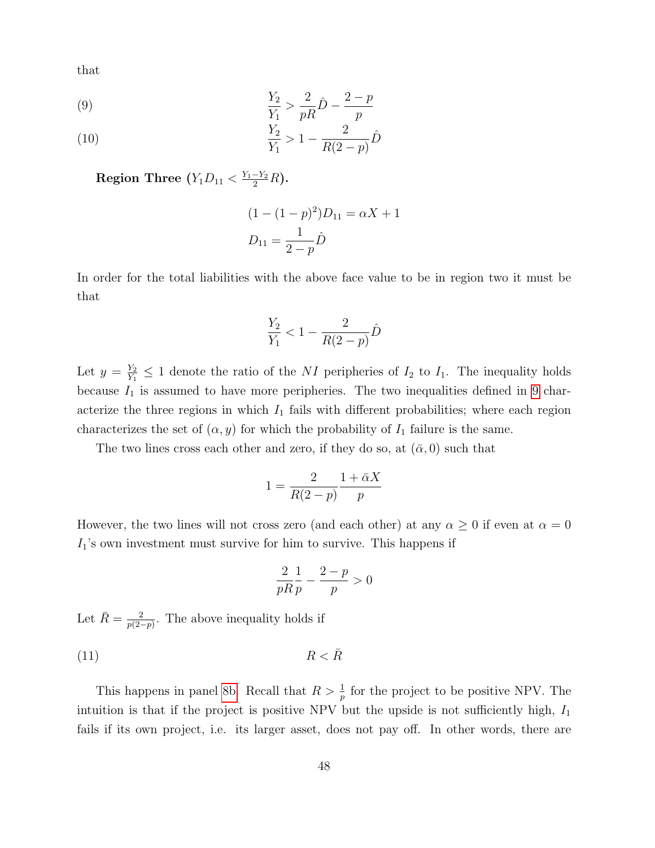that

<span id="page-47-0"></span>(9) 
$$
\frac{Y_2}{Y_1} > \frac{2}{pR}\hat{D} - \frac{2-p}{p}
$$

(10) 
$$
\frac{Y_2}{Y_1} > 1 - \frac{2}{R(2-p)}\hat{D}
$$

Region Three  $(Y_1D_{11} < \frac{Y_1-Y_2}{2}R)$ .

$$
(1 - (1 - p)^{2})D_{11} = \alpha X + 1
$$

$$
D_{11} = \frac{1}{2 - p}\hat{D}
$$

In order for the total liabilities with the above face value to be in region two it must be that

$$
\frac{Y_2}{Y_1} < 1 - \frac{2}{R(2-p)}\hat{D}
$$

Let  $y = \frac{Y_2}{Y_1}$  $\frac{Y_2}{Y_1} \leq 1$  denote the ratio of the NI peripheries of  $I_2$  to  $I_1$ . The inequality holds because  $I_1$  is assumed to have more peripheries. The two inequalities defined in [9](#page-47-0) characterize the three regions in which  $I_1$  fails with different probabilities; where each region characterizes the set of  $(\alpha, y)$  for which the probability of  $I_1$  failure is the same.

The two lines cross each other and zero, if they do so, at  $(\bar{\alpha}, 0)$  such that

$$
1 = \frac{2}{R(2-p)} \frac{1 + \bar{\alpha}X}{p}
$$

However, the two lines will not cross zero (and each other) at any  $\alpha \geq 0$  if even at  $\alpha = 0$  $I_1$ 's own investment must survive for him to survive. This happens if

$$
\frac{2}{pR}\frac{1}{p} - \frac{2-p}{p} > 0
$$

Let  $\bar{R} = \frac{2}{n^2}$  $\frac{2}{p(2-p)}$ . The above inequality holds if

<span id="page-47-1"></span>(11)  $R < \bar{R}$ 

This happens in panel [8b.](#page-32-2) Recall that  $R > \frac{1}{p}$  for the project to be positive NPV. The intuition is that if the project is positive NPV but the upside is not sufficiently high,  $I_1$ fails if its own project, i.e. its larger asset, does not pay off. In other words, there are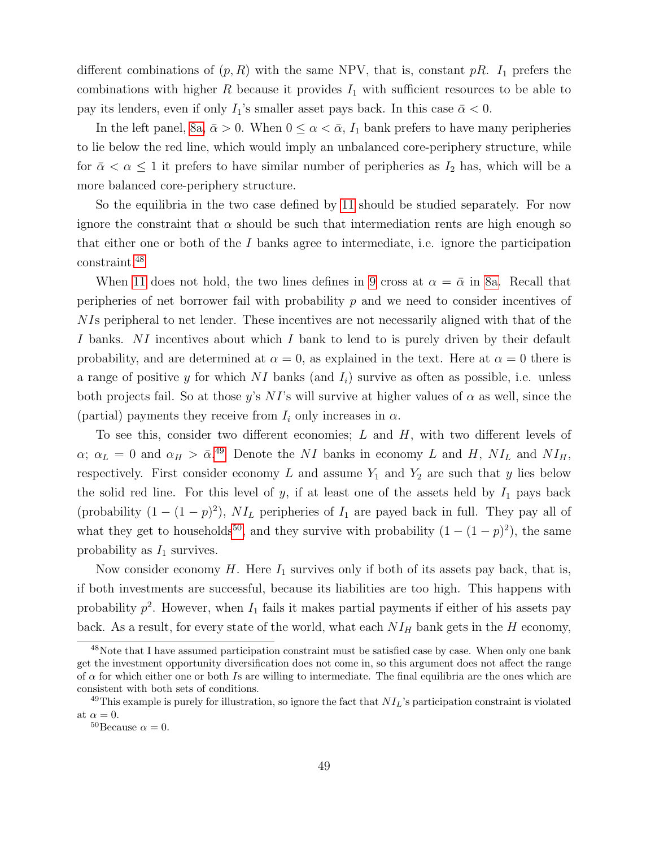different combinations of  $(p, R)$  with the same NPV, that is, constant pR.  $I_1$  prefers the combinations with higher  $R$  because it provides  $I_1$  with sufficient resources to be able to pay its lenders, even if only  $I_1$ 's smaller asset pays back. In this case  $\bar{\alpha} < 0$ .

In the left panel, [8a,](#page-32-1)  $\bar{\alpha} > 0$ . When  $0 \leq \alpha < \bar{\alpha}$ ,  $I_1$  bank prefers to have many peripheries to lie below the red line, which would imply an unbalanced core-periphery structure, while for  $\bar{\alpha} < \alpha \leq 1$  it prefers to have similar number of peripheries as  $I_2$  has, which will be a more balanced core-periphery structure.

So the equilibria in the two case defined by [11](#page-47-1) should be studied separately. For now ignore the constraint that  $\alpha$  should be such that intermediation rents are high enough so that either one or both of the I banks agree to intermediate, i.e. ignore the participation constraint.[48](#page-48-0)

When [11](#page-47-1) does not hold, the two lines defines in [9](#page-47-0) cross at  $\alpha = \bar{\alpha}$  in [8a.](#page-32-1) Recall that peripheries of net borrower fail with probability  $p$  and we need to consider incentives of NIs peripheral to net lender. These incentives are not necessarily aligned with that of the I banks. NI incentives about which I bank to lend to is purely driven by their default probability, and are determined at  $\alpha = 0$ , as explained in the text. Here at  $\alpha = 0$  there is a range of positive y for which NI banks (and  $I_i$ ) survive as often as possible, i.e. unless both projects fail. So at those y's NI's will survive at higher values of  $\alpha$  as well, since the (partial) payments they receive from  $I_i$  only increases in  $\alpha$ .

To see this, consider two different economies;  $L$  and  $H$ , with two different levels of  $\alpha$ ;  $\alpha_L = 0$  and  $\alpha_H > \bar{\alpha}$ .<sup>[49](#page-48-1)</sup> Denote the NI banks in economy L and H, NI<sub>L</sub> and NI<sub>H</sub>, respectively. First consider economy  $L$  and assume  $Y_1$  and  $Y_2$  are such that y lies below the solid red line. For this level of y, if at least one of the assets held by  $I_1$  pays back (probability  $(1 - (1 - p)^2)$ ,  $NI_L$  peripheries of  $I_1$  are payed back in full. They pay all of what they get to households<sup>[50](#page-48-2)</sup>, and they survive with probability  $(1 - (1 - p)^2)$ , the same probability as  $I_1$  survives.

Now consider economy  $H$ . Here  $I_1$  survives only if both of its assets pay back, that is, if both investments are successful, because its liabilities are too high. This happens with probability  $p^2$ . However, when  $I_1$  fails it makes partial payments if either of his assets pay back. As a result, for every state of the world, what each  $NI_H$  bank gets in the H economy,

<span id="page-48-0"></span><sup>&</sup>lt;sup>48</sup>Note that I have assumed participation constraint must be satisfied case by case. When only one bank get the investment opportunity diversification does not come in, so this argument does not affect the range of  $\alpha$  for which either one or both Is are willing to intermediate. The final equilibria are the ones which are consistent with both sets of conditions.

<span id="page-48-1"></span> $^{49}$ This example is purely for illustration, so ignore the fact that  $NI_L$ 's participation constraint is violated at  $\alpha = 0$ .

<span id="page-48-2"></span><sup>&</sup>lt;sup>50</sup>Because  $\alpha = 0$ .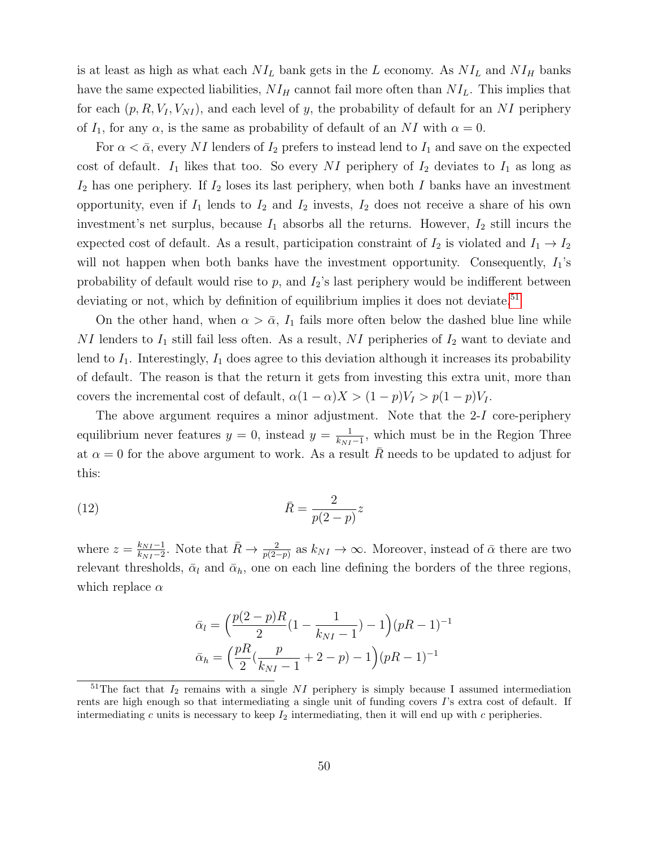is at least as high as what each  $NI_L$  bank gets in the L economy. As  $NI_L$  and  $NI_H$  banks have the same expected liabilities,  $NI_H$  cannot fail more often than  $NI_L$ . This implies that for each  $(p, R, V_I, V_{NI})$ , and each level of y, the probability of default for an NI periphery of  $I_1$ , for any  $\alpha$ , is the same as probability of default of an NI with  $\alpha = 0$ .

For  $\alpha < \bar{\alpha}$ , every NI lenders of  $I_2$  prefers to instead lend to  $I_1$  and save on the expected cost of default.  $I_1$  likes that too. So every NI periphery of  $I_2$  deviates to  $I_1$  as long as  $I_2$  has one periphery. If  $I_2$  loses its last periphery, when both I banks have an investment opportunity, even if  $I_1$  lends to  $I_2$  and  $I_2$  invests,  $I_2$  does not receive a share of his own investment's net surplus, because  $I_1$  absorbs all the returns. However,  $I_2$  still incurs the expected cost of default. As a result, participation constraint of  $I_2$  is violated and  $I_1 \rightarrow I_2$ will not happen when both banks have the investment opportunity. Consequently,  $I_1$ 's probability of default would rise to  $p$ , and  $I_2$ 's last periphery would be indifferent between deviating or not, which by definition of equilibrium implies it does not deviate.<sup>[51](#page-49-0)</sup>

On the other hand, when  $\alpha > \bar{\alpha}$ ,  $I_1$  fails more often below the dashed blue line while NI lenders to  $I_1$  still fail less often. As a result, NI peripheries of  $I_2$  want to deviate and lend to  $I_1$ . Interestingly,  $I_1$  does agree to this deviation although it increases its probability of default. The reason is that the return it gets from investing this extra unit, more than covers the incremental cost of default,  $\alpha(1-\alpha)X > (1-p)V_I > p(1-p)V_I$ .

The above argument requires a minor adjustment. Note that the 2-I core-periphery equilibrium never features  $y = 0$ , instead  $y = \frac{1}{k_{\text{NN}}}$  $\frac{1}{k_{NI}-1}$ , which must be in the Region Three at  $\alpha = 0$  for the above argument to work. As a result  $\overline{R}$  needs to be updated to adjust for this:

<span id="page-49-1"></span>
$$
\bar{R} = \frac{2}{p(2-p)}z
$$

where  $z = \frac{k_{NI}-1}{k_{NI}-2}$  $\frac{k_{NI}-1}{k_{NI}-2}$ . Note that  $\bar{R} \to \frac{2}{p(2-p)}$  as  $k_{NI} \to \infty$ . Moreover, instead of  $\bar{\alpha}$  there are two relevant thresholds,  $\bar{\alpha}_l$  and  $\bar{\alpha}_h$ , one on each line defining the borders of the three regions, which replace  $\alpha$ 

$$
\bar{\alpha}_l = \left(\frac{p(2-p)R}{2}(1 - \frac{1}{k_{NI} - 1}) - 1\right)(pR - 1)^{-1}
$$

$$
\bar{\alpha}_h = \left(\frac{pR}{2}(\frac{p}{k_{NI} - 1} + 2 - p) - 1\right)(pR - 1)^{-1}
$$

<span id="page-49-0"></span><sup>&</sup>lt;sup>51</sup>The fact that  $I_2$  remains with a single NI periphery is simply because I assumed intermediation rents are high enough so that intermediating a single unit of funding covers  $\Gamma$ 's extra cost of default. If intermediating c units is necessary to keep  $I_2$  intermediating, then it will end up with c peripheries.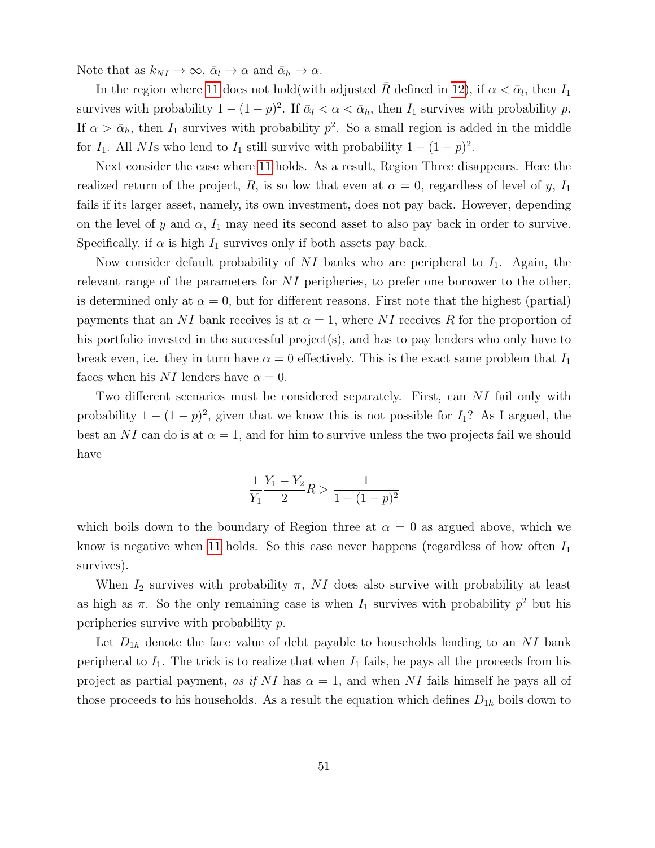Note that as  $k_{NI} \rightarrow \infty$ ,  $\bar{\alpha}_l \rightarrow \alpha$  and  $\bar{\alpha}_h \rightarrow \alpha$ .

In the region where [11](#page-47-1) does not hold(with adjusted  $\bar{R}$  defined in [12\)](#page-49-1), if  $\alpha < \bar{\alpha}_l$ , then  $I_1$ survives with probability  $1 - (1 - p)^2$ . If  $\bar{\alpha}_l < \alpha < \bar{\alpha}_h$ , then  $I_1$  survives with probability p. If  $\alpha > \bar{\alpha}_h$ , then  $I_1$  survives with probability  $p^2$ . So a small region is added in the middle for  $I_1$ . All NIs who lend to  $I_1$  still survive with probability  $1 - (1 - p)^2$ .

Next consider the case where [11](#page-47-1) holds. As a result, Region Three disappears. Here the realized return of the project, R, is so low that even at  $\alpha = 0$ , regardless of level of y,  $I_1$ fails if its larger asset, namely, its own investment, does not pay back. However, depending on the level of y and  $\alpha$ ,  $I_1$  may need its second asset to also pay back in order to survive. Specifically, if  $\alpha$  is high  $I_1$  survives only if both assets pay back.

Now consider default probability of NI banks who are peripheral to  $I_1$ . Again, the relevant range of the parameters for NI peripheries, to prefer one borrower to the other, is determined only at  $\alpha = 0$ , but for different reasons. First note that the highest (partial) payments that an NI bank receives is at  $\alpha = 1$ , where NI receives R for the proportion of his portfolio invested in the successful project(s), and has to pay lenders who only have to break even, i.e. they in turn have  $\alpha = 0$  effectively. This is the exact same problem that  $I_1$ faces when his NI lenders have  $\alpha = 0$ .

Two different scenarios must be considered separately. First, can NI fail only with probability  $1 - (1 - p)^2$ , given that we know this is not possible for  $I_1$ ? As I argued, the best an NI can do is at  $\alpha = 1$ , and for him to survive unless the two projects fail we should have

$$
\frac{1}{Y_1} \frac{Y_1 - Y_2}{2} R > \frac{1}{1 - (1 - p)^2}
$$

which boils down to the boundary of Region three at  $\alpha = 0$  as argued above, which we know is negative when [11](#page-47-1) holds. So this case never happens (regardless of how often  $I_1$ survives).

When  $I_2$  survives with probability  $\pi$ , NI does also survive with probability at least as high as  $\pi$ . So the only remaining case is when  $I_1$  survives with probability  $p^2$  but his peripheries survive with probability p.

Let  $D_{1h}$  denote the face value of debt payable to households lending to an NI bank peripheral to  $I_1$ . The trick is to realize that when  $I_1$  fails, he pays all the proceeds from his project as partial payment, as if NI has  $\alpha = 1$ , and when NI fails himself he pays all of those proceeds to his households. As a result the equation which defines  $D_{1h}$  boils down to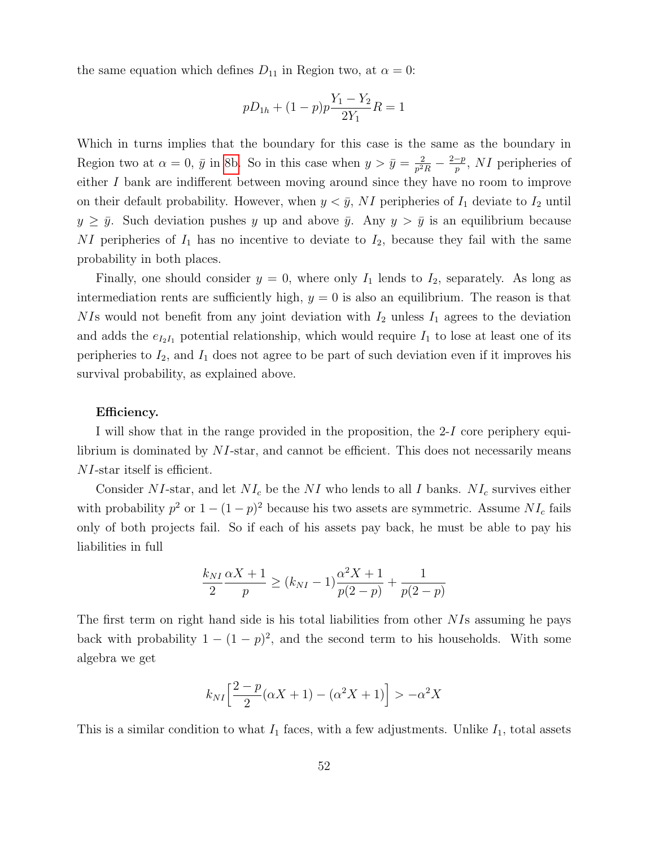the same equation which defines  $D_{11}$  in Region two, at  $\alpha = 0$ :

$$
pD_{1h} + (1-p)p\frac{Y_1 - Y_2}{2Y_1}R = 1
$$

Which in turns implies that the boundary for this case is the same as the boundary in Region two at  $\alpha = 0$ ,  $\bar{y}$  in [8b.](#page-32-2) So in this case when  $y > \bar{y} = \frac{2}{n^2}$  $\frac{2}{p^2 R} - \frac{2-p}{p}$  $\frac{-p}{p}$ , NI peripheries of either I bank are indifferent between moving around since they have no room to improve on their default probability. However, when  $y < \bar{y}$ , NI peripheries of  $I_1$  deviate to  $I_2$  until  $y \geq \bar{y}$ . Such deviation pushes y up and above  $\bar{y}$ . Any  $y > \bar{y}$  is an equilibrium because  $NI$  peripheries of  $I_1$  has no incentive to deviate to  $I_2$ , because they fail with the same probability in both places.

Finally, one should consider  $y = 0$ , where only  $I_1$  lends to  $I_2$ , separately. As long as intermediation rents are sufficiently high,  $y = 0$  is also an equilibrium. The reason is that NIs would not benefit from any joint deviation with  $I_2$  unless  $I_1$  agrees to the deviation and adds the  $e_{I_2I_1}$  potential relationship, which would require  $I_1$  to lose at least one of its peripheries to  $I_2$ , and  $I_1$  does not agree to be part of such deviation even if it improves his survival probability, as explained above.

#### Efficiency.

I will show that in the range provided in the proposition, the 2-I core periphery equilibrium is dominated by  $NI$ -star, and cannot be efficient. This does not necessarily means NI-star itself is efficient.

Consider NI-star, and let  $NI_c$  be the NI who lends to all I banks.  $NI_c$  survives either with probability  $p^2$  or  $1 - (1 - p)^2$  because his two assets are symmetric. Assume  $NI_c$  fails only of both projects fail. So if each of his assets pay back, he must be able to pay his liabilities in full

$$
\frac{k_{NI}}{2} \frac{\alpha X + 1}{p} \ge (k_{NI} - 1) \frac{\alpha^2 X + 1}{p(2 - p)} + \frac{1}{p(2 - p)}
$$

The first term on right hand side is his total liabilities from other NIs assuming he pays back with probability  $1 - (1 - p)^2$ , and the second term to his households. With some algebra we get

$$
k_{NI}\left[\frac{2-p}{2}(\alpha X+1)-(\alpha^2 X+1)\right] > -\alpha^2 X
$$

This is a similar condition to what  $I_1$  faces, with a few adjustments. Unlike  $I_1$ , total assets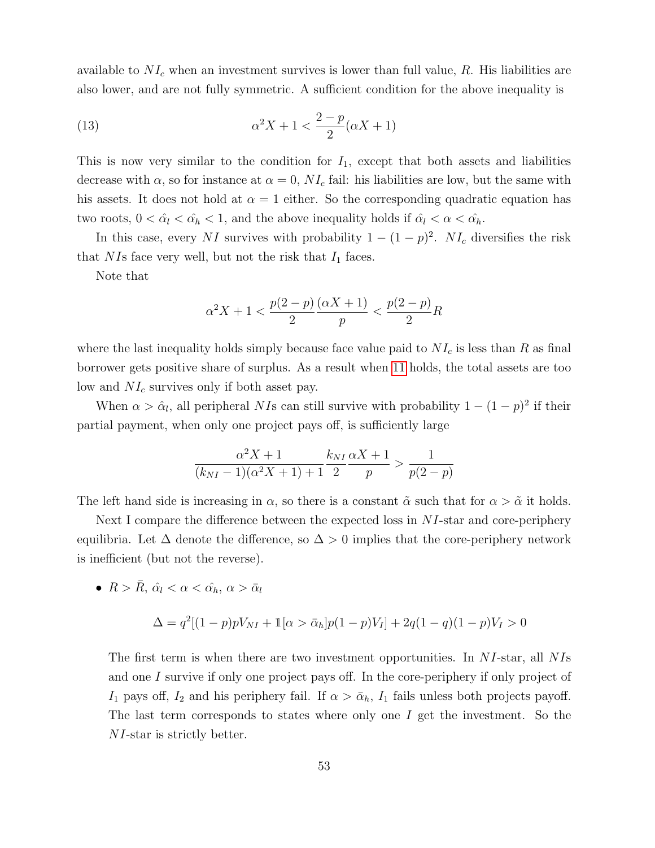available to  $NI_c$  when an investment survives is lower than full value, R. His liabilities are also lower, and are not fully symmetric. A sufficient condition for the above inequality is

(13) 
$$
\alpha^2 X + 1 < \frac{2-p}{2}(\alpha X + 1)
$$

This is now very similar to the condition for  $I_1$ , except that both assets and liabilities decrease with  $\alpha$ , so for instance at  $\alpha = 0$ ,  $NI_c$  fail: his liabilities are low, but the same with his assets. It does not hold at  $\alpha = 1$  either. So the corresponding quadratic equation has two roots,  $0 < \hat{\alpha}_l < \hat{\alpha}_h < 1$ , and the above inequality holds if  $\hat{\alpha}_l < \alpha < \hat{\alpha}_h$ .

In this case, every NI survives with probability  $1 - (1 - p)^2$ . NI<sub>c</sub> diversifies the risk that NIs face very well, but not the risk that  $I_1$  faces.

Note that

$$
\alpha^2 X + 1 < \frac{p(2-p)}{2} \frac{(\alpha X + 1)}{p} < \frac{p(2-p)}{2} R
$$

where the last inequality holds simply because face value paid to  $NI_c$  is less than R as final borrower gets positive share of surplus. As a result when [11](#page-47-1) holds, the total assets are too low and  $NI_c$  survives only if both asset pay.

When  $\alpha > \hat{\alpha}_l$ , all peripheral NIs can still survive with probability  $1 - (1 - p)^2$  if their partial payment, when only one project pays off, is sufficiently large

$$
\frac{\alpha^2 X + 1}{(k_{NI} - 1)(\alpha^2 X + 1) + 1} \frac{k_{NI}}{2} \frac{\alpha X + 1}{p} > \frac{1}{p(2 - p)}
$$

The left hand side is increasing in  $\alpha$ , so there is a constant  $\tilde{\alpha}$  such that for  $\alpha > \tilde{\alpha}$  it holds.

Next I compare the difference between the expected loss in  $NI$ -star and core-periphery equilibria. Let  $\Delta$  denote the difference, so  $\Delta > 0$  implies that the core-periphery network is inefficient (but not the reverse).

•  $R > \bar{R}$ ,  $\hat{\alpha}_l < \alpha < \hat{\alpha_h}$ ,  $\alpha > \bar{\alpha}_l$ 

$$
\Delta = q^2[(1-p)pV_{NI} + 1[\alpha > \bar{\alpha}_h]p(1-p)V_I] + 2q(1-q)(1-p)V_I > 0
$$

The first term is when there are two investment opportunities. In NI-star, all NIs and one I survive if only one project pays off. In the core-periphery if only project of I<sub>1</sub> pays off, I<sub>2</sub> and his periphery fail. If  $\alpha > \bar{\alpha}_h$ , I<sub>1</sub> fails unless both projects payoff. The last term corresponds to states where only one  $I$  get the investment. So the NI-star is strictly better.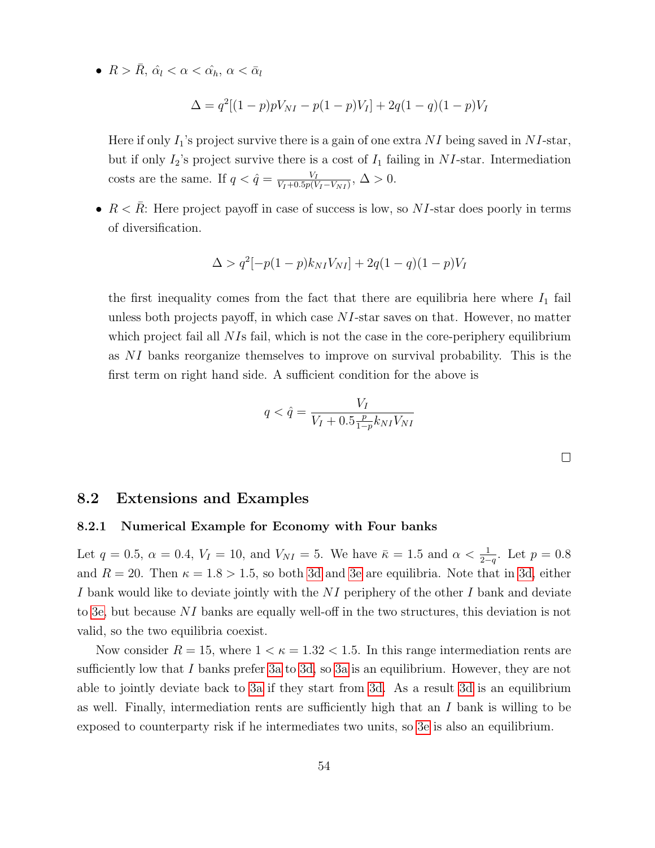•  $R > \bar{R}$ ,  $\hat{\alpha}_l < \alpha < \hat{\alpha}_h$ ,  $\alpha < \bar{\alpha}_l$ 

$$
\Delta = q^2[(1-p)pV_{NI} - p(1-p)V_I] + 2q(1-q)(1-p)V_I
$$

Here if only  $I_1$ 's project survive there is a gain of one extra NI being saved in NI-star, but if only  $I_2$ 's project survive there is a cost of  $I_1$  failing in NI-star. Intermediation costs are the same. If  $q < \hat{q} = \frac{V_I}{V_I + 0.5 r (V_I)}$  $\frac{V_I}{V_I+0.5p(V_I-V_{NI})}, \Delta > 0.$ 

•  $R < \bar{R}$ : Here project payoff in case of success is low, so NI-star does poorly in terms of diversification.

$$
\Delta > q^2[-p(1-p)k_{NI}V_{NI}] + 2q(1-q)(1-p)V_I
$$

the first inequality comes from the fact that there are equilibria here where  $I_1$  fail unless both projects payoff, in which case NI-star saves on that. However, no matter which project fail all  $NIs$  fail, which is not the case in the core-periphery equilibrium as NI banks reorganize themselves to improve on survival probability. This is the first term on right hand side. A sufficient condition for the above is

$$
q < \hat{q} = \frac{V_I}{V_I + 0.5 \frac{p}{1 - p} k_{NI} V_{NI}}
$$

 $\Box$ 

### 8.2 Extensions and Examples

#### 8.2.1 Numerical Example for Economy with Four banks

Let  $q = 0.5$ ,  $\alpha = 0.4$ ,  $V_I = 10$ , and  $V_{NI} = 5$ . We have  $\bar{\kappa} = 1.5$  and  $\alpha < \frac{1}{2-q}$ . Let  $p = 0.8$ and  $R = 20$ . Then  $\kappa = 1.8 > 1.5$ , so both [3d](#page-13-2) and [3e](#page-13-3) are equilibria. Note that in [3d,](#page-13-2) either I bank would like to deviate jointly with the NI periphery of the other I bank and deviate to [3e,](#page-13-3) but because NI banks are equally well-off in the two structures, this deviation is not valid, so the two equilibria coexist.

Now consider  $R = 15$ , where  $1 < \kappa = 1.32 < 1.5$ . In this range intermediation rents are sufficiently low that I banks prefer [3a](#page-13-1) to [3d,](#page-13-2) so 3a is an equilibrium. However, they are not able to jointly deviate back to [3a](#page-13-1) if they start from [3d.](#page-13-2) As a result [3d](#page-13-2) is an equilibrium as well. Finally, intermediation rents are sufficiently high that an  $I$  bank is willing to be exposed to counterparty risk if he intermediates two units, so [3e](#page-13-3) is also an equilibrium.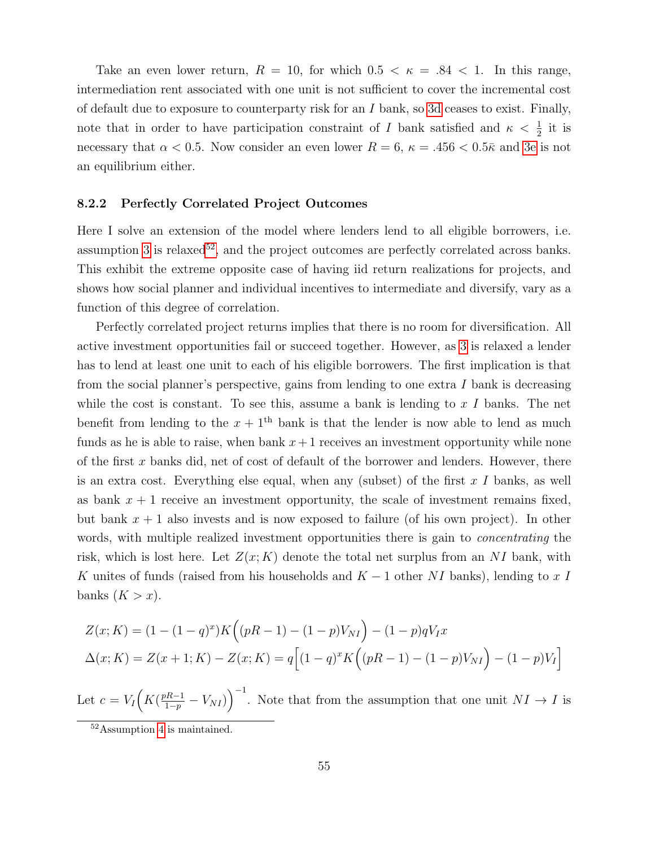Take an even lower return,  $R = 10$ , for which  $0.5 < \kappa = .84 < 1$ . In this range, intermediation rent associated with one unit is not sufficient to cover the incremental cost of default due to exposure to counterparty risk for an  $I$  bank, so [3d](#page-13-2) ceases to exist. Finally, note that in order to have participation constraint of I bank satisfied and  $\kappa < \frac{1}{2}$  it is necessary that  $\alpha < 0.5$ . Now consider an even lower  $R = 6$ ,  $\kappa = .456 < 0.5\bar{\kappa}$  and [3e](#page-13-3) is not an equilibrium either.

#### 8.2.2 Perfectly Correlated Project Outcomes

Here I solve an extension of the model where lenders lend to all eligible borrowers, i.e. assumption [3](#page-24-2) is relaxed<sup>[52](#page-54-0)</sup>, and the project outcomes are perfectly correlated across banks. This exhibit the extreme opposite case of having iid return realizations for projects, and shows how social planner and individual incentives to intermediate and diversify, vary as a function of this degree of correlation.

Perfectly correlated project returns implies that there is no room for diversification. All active investment opportunities fail or succeed together. However, as [3](#page-24-2) is relaxed a lender has to lend at least one unit to each of his eligible borrowers. The first implication is that from the social planner's perspective, gains from lending to one extra  $I$  bank is decreasing while the cost is constant. To see this, assume a bank is lending to  $x I$  banks. The net benefit from lending to the  $x + 1$ <sup>th</sup> bank is that the lender is now able to lend as much funds as he is able to raise, when bank  $x+1$  receives an investment opportunity while none of the first  $x$  banks did, net of cost of default of the borrower and lenders. However, there is an extra cost. Everything else equal, when any (subset) of the first  $x I$  banks, as well as bank  $x + 1$  receive an investment opportunity, the scale of investment remains fixed, but bank  $x + 1$  also invests and is now exposed to failure (of his own project). In other words, with multiple realized investment opportunities there is gain to *concentrating* the risk, which is lost here. Let  $Z(x; K)$  denote the total net surplus from an NI bank, with K unites of funds (raised from his households and  $K - 1$  other NI banks), lending to x I banks  $(K > x)$ .

$$
Z(x; K) = (1 - (1 - q)^{x}) K ((pR - 1) - (1 - p)V_{NI}) - (1 - p)qV_{IX}
$$
  
\n
$$
\Delta(x; K) = Z(x + 1; K) - Z(x; K) = q [(1 - q)^{x} K ((pR - 1) - (1 - p)V_{NI}) - (1 - p)V_{I}]
$$

Let  $c = V_I \Big( K \left( \frac{pR-1}{1-p} - V_{NI} \right) \Big)^{-1}$ . Note that from the assumption that one unit  $NI \to I$  is

<span id="page-54-0"></span><sup>52</sup>Assumption [4](#page-29-2) is maintained.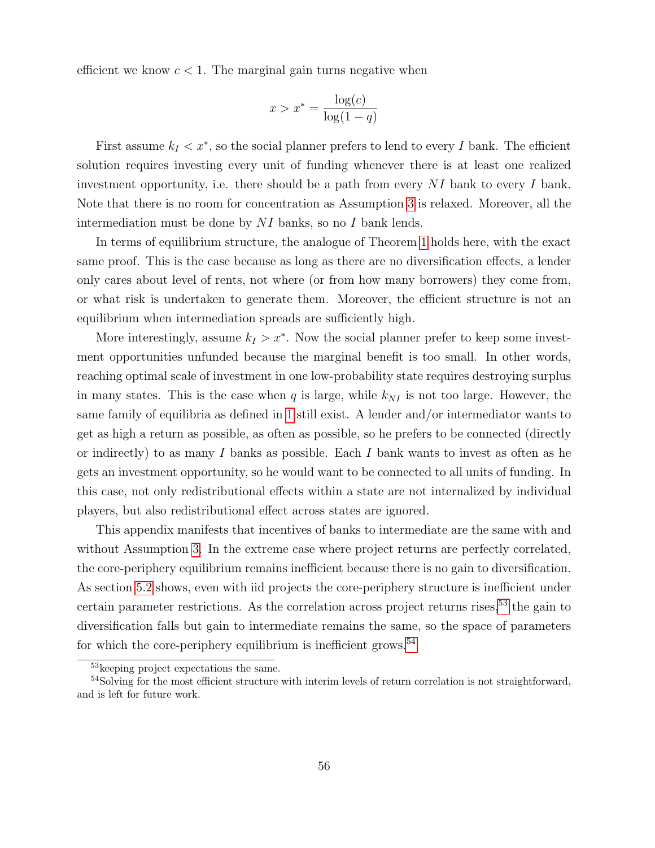efficient we know  $c < 1$ . The marginal gain turns negative when

$$
x > x^* = \frac{\log(c)}{\log(1 - q)}
$$

First assume  $k_I < x^*$ , so the social planner prefers to lend to every I bank. The efficient solution requires investing every unit of funding whenever there is at least one realized investment opportunity, i.e. there should be a path from every  $NI$  bank to every I bank. Note that there is no room for concentration as Assumption [3](#page-24-2) is relaxed. Moreover, all the intermediation must be done by NI banks, so no I bank lends.

In terms of equilibrium structure, the analogue of Theorem [1](#page-24-0) holds here, with the exact same proof. This is the case because as long as there are no diversification effects, a lender only cares about level of rents, not where (or from how many borrowers) they come from, or what risk is undertaken to generate them. Moreover, the efficient structure is not an equilibrium when intermediation spreads are sufficiently high.

More interestingly, assume  $k_I > x^*$ . Now the social planner prefer to keep some investment opportunities unfunded because the marginal benefit is too small. In other words, reaching optimal scale of investment in one low-probability state requires destroying surplus in many states. This is the case when q is large, while  $k_{NI}$  is not too large. However, the same family of equilibria as defined in [1](#page-24-0) still exist. A lender and/or intermediator wants to get as high a return as possible, as often as possible, so he prefers to be connected (directly or indirectly) to as many I banks as possible. Each I bank wants to invest as often as he gets an investment opportunity, so he would want to be connected to all units of funding. In this case, not only redistributional effects within a state are not internalized by individual players, but also redistributional effect across states are ignored.

This appendix manifests that incentives of banks to intermediate are the same with and without Assumption [3.](#page-24-2) In the extreme case where project returns are perfectly correlated, the core-periphery equilibrium remains inefficient because there is no gain to diversification. As section [5.2](#page-29-0) shows, even with iid projects the core-periphery structure is inefficient under certain parameter restrictions. As the correlation across project returns rises,<sup>[53](#page-55-0)</sup> the gain to diversification falls but gain to intermediate remains the same, so the space of parameters for which the core-periphery equilibrium is inefficient grows.<sup>[54](#page-55-1)</sup>

<span id="page-55-1"></span><span id="page-55-0"></span><sup>53</sup>keeping project expectations the same.

<sup>&</sup>lt;sup>54</sup>Solving for the most efficient structure with interim levels of return correlation is not straightforward, and is left for future work.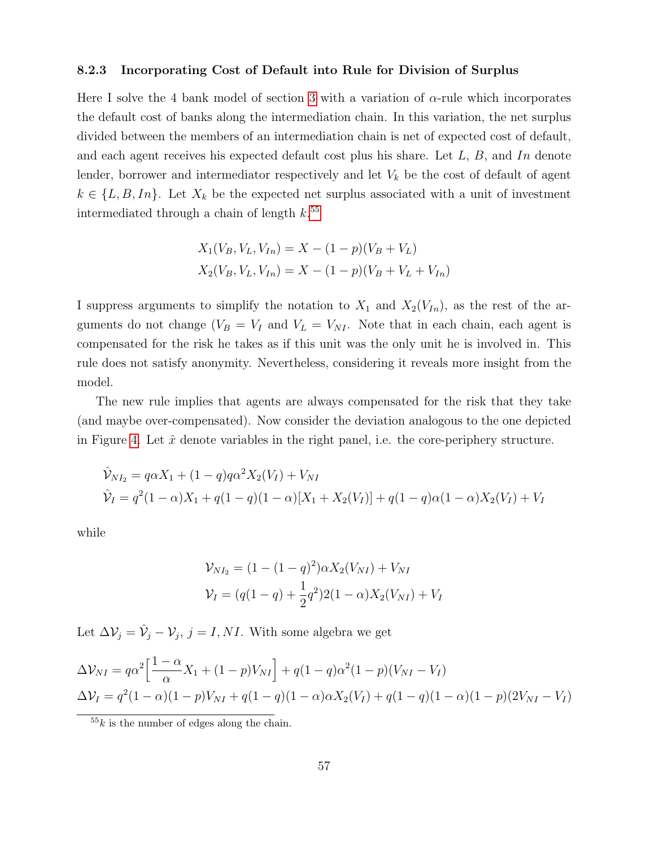#### <span id="page-56-0"></span>8.2.3 Incorporating Cost of Default into Rule for Division of Surplus

Here I solve the 4 bank model of section [3](#page-8-0) with a variation of  $\alpha$ -rule which incorporates the default cost of banks along the intermediation chain. In this variation, the net surplus divided between the members of an intermediation chain is net of expected cost of default, and each agent receives his expected default cost plus his share. Let  $L, B$ , and In denote lender, borrower and intermediator respectively and let  $V_k$  be the cost of default of agent  $k \in \{L, B, In\}$ . Let  $X_k$  be the expected net surplus associated with a unit of investment intermediated through a chain of length  $k$ <sup>[55](#page-56-1)</sup>

$$
X_1(V_B, V_L, V_{In}) = X - (1 - p)(V_B + V_L)
$$
  

$$
X_2(V_B, V_L, V_{In}) = X - (1 - p)(V_B + V_L + V_{In})
$$

I suppress arguments to simplify the notation to  $X_1$  and  $X_2(V_{In})$ , as the rest of the arguments do not change  $(V_B = V_I$  and  $V_L = V_{NI}$ . Note that in each chain, each agent is compensated for the risk he takes as if this unit was the only unit he is involved in. This rule does not satisfy anonymity. Nevertheless, considering it reveals more insight from the model.

The new rule implies that agents are always compensated for the risk that they take (and maybe over-compensated). Now consider the deviation analogous to the one depicted in Figure [4.](#page-14-0) Let  $\hat{x}$  denote variables in the right panel, i.e. the core-periphery structure.

$$
\hat{V}_{NI_2} = q\alpha X_1 + (1-q)q\alpha^2 X_2(V_I) + V_{NI}
$$
  
\n
$$
\hat{V}_I = q^2(1-\alpha)X_1 + q(1-q)(1-\alpha)[X_1 + X_2(V_I)] + q(1-q)\alpha(1-\alpha)X_2(V_I) + V_I
$$

while

$$
\mathcal{V}_{NI_2} = (1 - (1 - q)^2)\alpha X_2(V_{NI}) + V_{NI}
$$
  

$$
\mathcal{V}_I = (q(1 - q) + \frac{1}{2}q^2)2(1 - \alpha)X_2(V_{NI}) + V_I
$$

Let  $\Delta \mathcal{V}_j = \hat{\mathcal{V}}_j - \mathcal{V}_j$ ,  $j = I, NI$ . With some algebra we get

$$
\Delta V_{NI} = q\alpha^2 \left[ \frac{1-\alpha}{\alpha} X_1 + (1-p)V_{NI} \right] + q(1-q)\alpha^2 (1-p)(V_{NI} - V_I)
$$
  
\n
$$
\Delta V_I = q^2 (1-\alpha)(1-p)V_{NI} + q(1-q)(1-\alpha)\alpha X_2(V_I) + q(1-q)(1-\alpha)(1-p)(2V_{NI} - V_I)
$$

<span id="page-56-1"></span> $55k$  is the number of edges along the chain.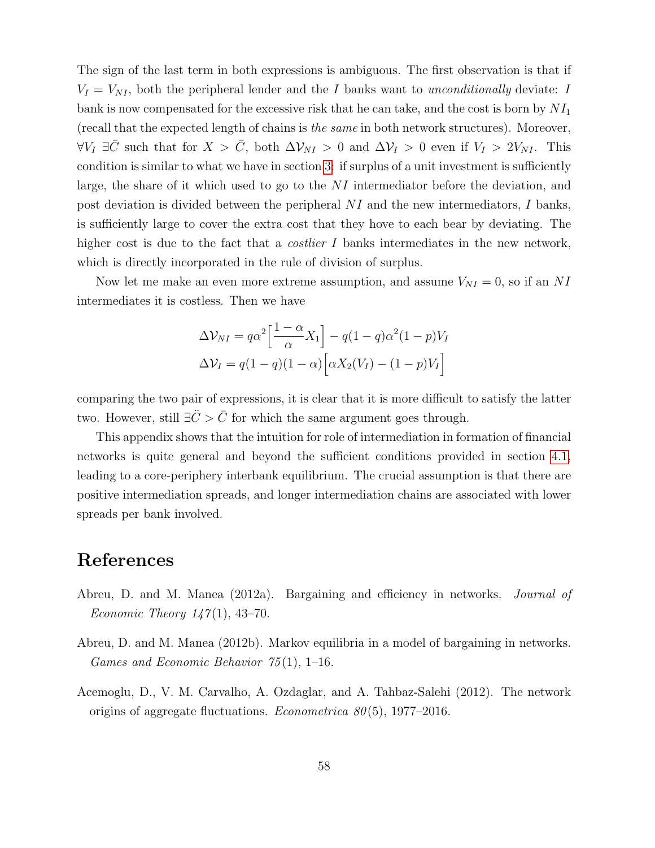The sign of the last term in both expressions is ambiguous. The first observation is that if  $V_I = V_{NI}$ , both the peripheral lender and the I banks want to *unconditionally* deviate: I bank is now compensated for the excessive risk that he can take, and the cost is born by  $NI_1$ (recall that the expected length of chains is the same in both network structures). Moreover,  $\forall V_I \exists \bar{C}$  such that for  $X > \bar{C}$ , both  $\Delta V_{NI} > 0$  and  $\Delta V_I > 0$  even if  $V_I > 2V_{NI}$ . This condition is similar to what we have in section [3:](#page-8-0) if surplus of a unit investment is sufficiently large, the share of it which used to go to the  $NI$  intermediator before the deviation, and post deviation is divided between the peripheral  $NI$  and the new intermediators, I banks, is sufficiently large to cover the extra cost that they hove to each bear by deviating. The higher cost is due to the fact that a *costlier I* banks intermediates in the new network, which is directly incorporated in the rule of division of surplus.

Now let me make an even more extreme assumption, and assume  $V_{NI} = 0$ , so if an NI intermediates it is costless. Then we have

$$
\Delta V_{NI} = q\alpha^2 \left[\frac{1-\alpha}{\alpha}X_1\right] - q(1-q)\alpha^2(1-p)V_I
$$

$$
\Delta V_I = q(1-q)(1-\alpha)\left[\alpha X_2(V_I) - (1-p)V_I\right]
$$

comparing the two pair of expressions, it is clear that it is more difficult to satisfy the latter two. However, still  $\exists \ddot{C} > \bar{C}$  for which the same argument goes through.

This appendix shows that the intuition for role of intermediation in formation of financial networks is quite general and beyond the sufficient conditions provided in section [4.1,](#page-16-2) leading to a core-periphery interbank equilibrium. The crucial assumption is that there are positive intermediation spreads, and longer intermediation chains are associated with lower spreads per bank involved.

## References

- Abreu, D. and M. Manea (2012a). Bargaining and efficiency in networks. Journal of Economic Theory  $147(1)$ , 43-70.
- Abreu, D. and M. Manea (2012b). Markov equilibria in a model of bargaining in networks. Games and Economic Behavior  $75(1)$ , 1–16.
- Acemoglu, D., V. M. Carvalho, A. Ozdaglar, and A. Tahbaz-Salehi (2012). The network origins of aggregate fluctuations. *Econometrica 80*(5), 1977–2016.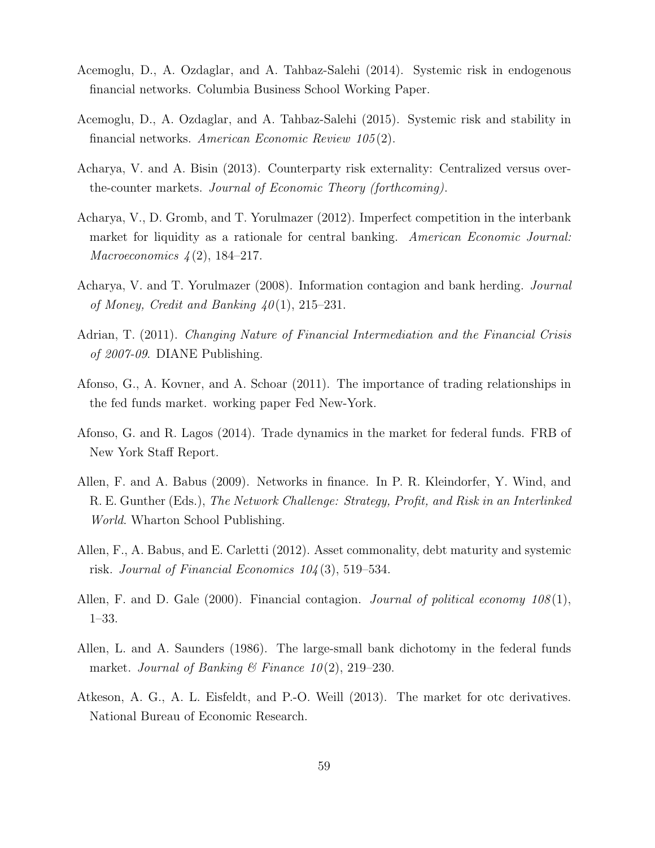- <span id="page-58-5"></span>Acemoglu, D., A. Ozdaglar, and A. Tahbaz-Salehi (2014). Systemic risk in endogenous financial networks. Columbia Business School Working Paper.
- <span id="page-58-6"></span>Acemoglu, D., A. Ozdaglar, and A. Tahbaz-Salehi (2015). Systemic risk and stability in financial networks. American Economic Review 105 (2).
- Acharya, V. and A. Bisin (2013). Counterparty risk externality: Centralized versus overthe-counter markets. Journal of Economic Theory (forthcoming).
- <span id="page-58-8"></span>Acharya, V., D. Gromb, and T. Yorulmazer (2012). Imperfect competition in the interbank market for liquidity as a rationale for central banking. American Economic Journal: *Macroeconomics*  $4(2)$ , 184–217.
- <span id="page-58-9"></span>Acharya, V. and T. Yorulmazer (2008). Information contagion and bank herding. Journal of Money, Credit and Banking  $40(1)$ , 215–231.
- <span id="page-58-10"></span>Adrian, T. (2011). *Changing Nature of Financial Intermediation and the Financial Crisis* of 2007-09. DIANE Publishing.
- <span id="page-58-2"></span>Afonso, G., A. Kovner, and A. Schoar (2011). The importance of trading relationships in the fed funds market. working paper Fed New-York.
- <span id="page-58-1"></span>Afonso, G. and R. Lagos (2014). Trade dynamics in the market for federal funds. FRB of New York Staff Report.
- <span id="page-58-3"></span>Allen, F. and A. Babus (2009). Networks in finance. In P. R. Kleindorfer, Y. Wind, and R. E. Gunther (Eds.), The Network Challenge: Strategy, Profit, and Risk in an Interlinked World. Wharton School Publishing.
- <span id="page-58-7"></span>Allen, F., A. Babus, and E. Carletti (2012). Asset commonality, debt maturity and systemic risk. Journal of Financial Economics  $104(3)$ , 519–534.
- <span id="page-58-4"></span>Allen, F. and D. Gale (2000). Financial contagion. *Journal of political economy*  $108(1)$ , 1–33.
- <span id="page-58-0"></span>Allen, L. and A. Saunders (1986). The large-small bank dichotomy in the federal funds market. Journal of Banking & Finance  $10(2)$ , 219–230.
- Atkeson, A. G., A. L. Eisfeldt, and P.-O. Weill (2013). The market for otc derivatives. National Bureau of Economic Research.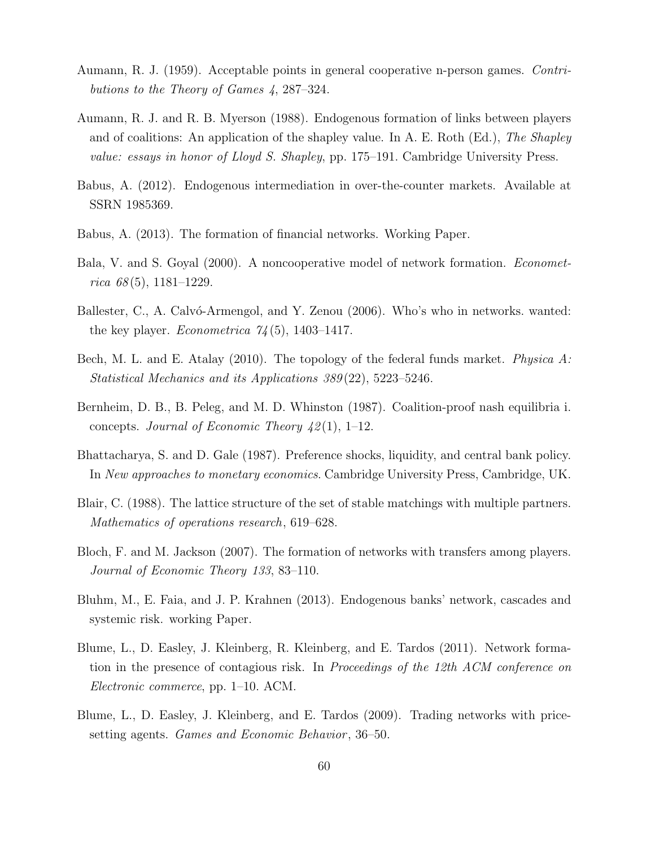- Aumann, R. J. (1959). Acceptable points in general cooperative n-person games. Contributions to the Theory of Games 4, 287–324.
- <span id="page-59-3"></span>Aumann, R. J. and R. B. Myerson (1988). Endogenous formation of links between players and of coalitions: An application of the shapley value. In A. E. Roth (Ed.), The Shapley value: essays in honor of Lloyd S. Shapley, pp. 175–191. Cambridge University Press.
- <span id="page-59-4"></span>Babus, A. (2012). Endogenous intermediation in over-the-counter markets. Available at SSRN 1985369.
- <span id="page-59-6"></span>Babus, A. (2013). The formation of financial networks. Working Paper.
- <span id="page-59-2"></span>Bala, V. and S. Goyal (2000). A noncooperative model of network formation. Econometrica  $68(5)$ , 1181-1229.
- Ballester, C., A. Calvó-Armengol, and Y. Zenou (2006). Who's who in networks. wanted: the key player. *Econometrica*  $74(5)$ , 1403–1417.
- <span id="page-59-0"></span>Bech, M. L. and E. Atalay (2010). The topology of the federal funds market. Physica A: Statistical Mechanics and its Applications 389 (22), 5223–5246.
- Bernheim, D. B., B. Peleg, and M. D. Whinston (1987). Coalition-proof nash equilibria i. concepts. Journal of Economic Theory  $\frac{1}{2}(1)$ , 1–12.
- <span id="page-59-8"></span>Bhattacharya, S. and D. Gale (1987). Preference shocks, liquidity, and central bank policy. In New approaches to monetary economics. Cambridge University Press, Cambridge, UK.
- Blair, C. (1988). The lattice structure of the set of stable matchings with multiple partners. Mathematics of operations research, 619–628.
- Bloch, F. and M. Jackson (2007). The formation of networks with transfers among players. Journal of Economic Theory 133, 83–110.
- <span id="page-59-7"></span>Bluhm, M., E. Faia, and J. P. Krahnen (2013). Endogenous banks' network, cascades and systemic risk. working Paper.
- <span id="page-59-5"></span>Blume, L., D. Easley, J. Kleinberg, R. Kleinberg, and E. Tardos (2011). Network formation in the presence of contagious risk. In Proceedings of the 12th ACM conference on Electronic commerce, pp. 1–10. ACM.
- <span id="page-59-1"></span>Blume, L., D. Easley, J. Kleinberg, and E. Tardos (2009). Trading networks with pricesetting agents. *Games and Economic Behavior*, 36–50.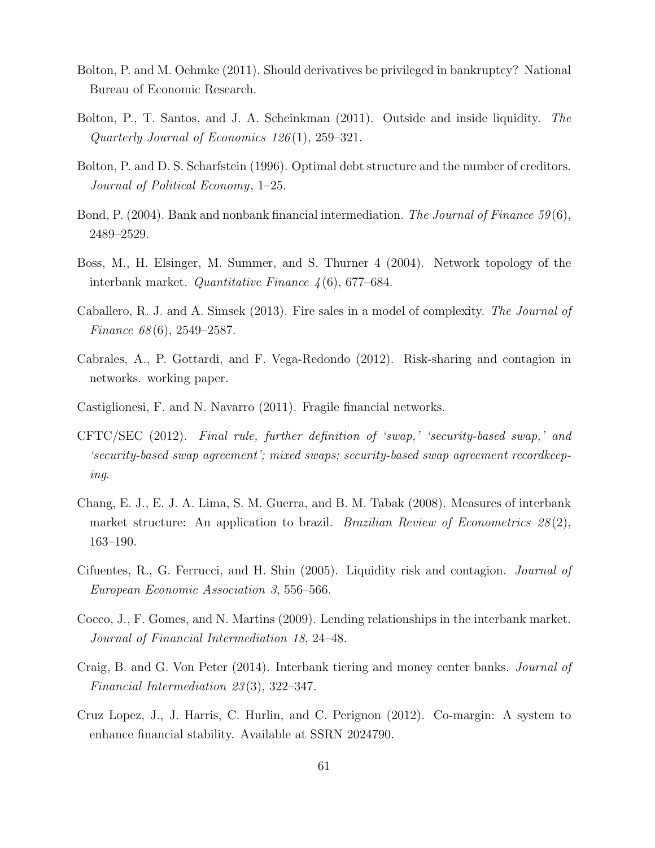- Bolton, P. and M. Oehmke (2011). Should derivatives be privileged in bankruptcy? National Bureau of Economic Research.
- Bolton, P., T. Santos, and J. A. Scheinkman (2011). Outside and inside liquidity. The Quarterly Journal of Economics 126 (1), 259–321.
- <span id="page-60-6"></span>Bolton, P. and D. S. Scharfstein (1996). Optimal debt structure and the number of creditors. Journal of Political Economy, 1–25.
- <span id="page-60-7"></span>Bond, P. (2004). Bank and nonbank financial intermediation. The Journal of Finance 59(6), 2489–2529.
- <span id="page-60-0"></span>Boss, M., H. Elsinger, M. Summer, and S. Thurner 4 (2004). Network topology of the interbank market. Quantitative Finance 4 (6), 677–684.
- <span id="page-60-3"></span>Caballero, R. J. and A. Simsek (2013). Fire sales in a model of complexity. The Journal of Finance 68 (6), 2549–2587.
- <span id="page-60-4"></span>Cabrales, A., P. Gottardi, and F. Vega-Redondo (2012). Risk-sharing and contagion in networks. working paper.
- Castiglionesi, F. and N. Navarro (2011). Fragile financial networks.
- <span id="page-60-8"></span>CFTC/SEC (2012). Final rule, further definition of 'swap,' 'security-based swap,' and 'security-based swap agreement'; mixed swaps; security-based swap agreement recordkeeping.
- <span id="page-60-1"></span>Chang, E. J., E. J. A. Lima, S. M. Guerra, and B. M. Tabak (2008). Measures of interbank market structure: An application to brazil. *Brazilian Review of Econometrics*  $28(2)$ , 163–190.
- <span id="page-60-5"></span>Cifuentes, R., G. Ferrucci, and H. Shin (2005). Liquidity risk and contagion. Journal of European Economic Association 3, 556–566.
- Cocco, J., F. Gomes, and N. Martins (2009). Lending relationships in the interbank market. Journal of Financial Intermediation 18, 24–48.
- <span id="page-60-2"></span>Craig, B. and G. Von Peter (2014). Interbank tiering and money center banks. Journal of Financial Intermediation 23 (3), 322–347.
- Cruz Lopez, J., J. Harris, C. Hurlin, and C. Perignon (2012). Co-margin: A system to enhance financial stability. Available at SSRN 2024790.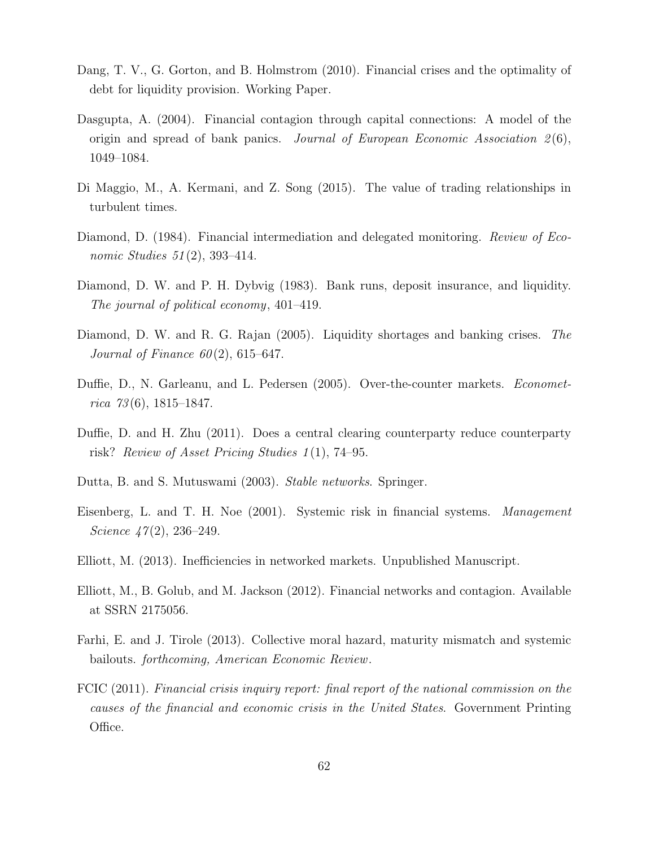- <span id="page-61-5"></span>Dang, T. V., G. Gorton, and B. Holmstrom (2010). Financial crises and the optimality of debt for liquidity provision. Working Paper.
- <span id="page-61-6"></span>Dasgupta, A. (2004). Financial contagion through capital connections: A model of the origin and spread of bank panics. Journal of European Economic Association  $2(6)$ , 1049–1084.
- <span id="page-61-0"></span>Di Maggio, M., A. Kermani, and Z. Song (2015). The value of trading relationships in turbulent times.
- <span id="page-61-4"></span>Diamond, D. (1984). Financial intermediation and delegated monitoring. *Review of Eco*nomic Studies 51(2), 393-414.
- Diamond, D. W. and P. H. Dybvig (1983). Bank runs, deposit insurance, and liquidity. The journal of political economy, 401–419.
- <span id="page-61-7"></span>Diamond, D. W. and R. G. Rajan (2005). Liquidity shortages and banking crises. The Journal of Finance  $60(2)$ , 615–647.
- Duffie, D., N. Garleanu, and L. Pedersen (2005). Over-the-counter markets. *Economet*rica  $73(6)$ , 1815–1847.
- <span id="page-61-9"></span>Duffie, D. and H. Zhu (2011). Does a central clearing counterparty reduce counterparty risk? Review of Asset Pricing Studies  $1(1)$ , 74–95.
- Dutta, B. and S. Mutuswami (2003). Stable networks. Springer.
- <span id="page-61-2"></span>Eisenberg, L. and T. H. Noe (2001). Systemic risk in financial systems. Management Science  $47(2)$ , 236–249.
- Elliott, M. (2013). Inefficiencies in networked markets. Unpublished Manuscript.
- <span id="page-61-3"></span>Elliott, M., B. Golub, and M. Jackson (2012). Financial networks and contagion. Available at SSRN 2175056.
- <span id="page-61-8"></span>Farhi, E. and J. Tirole (2013). Collective moral hazard, maturity mismatch and systemic bailouts. forthcoming, American Economic Review.
- <span id="page-61-1"></span>FCIC (2011). Financial crisis inquiry report: final report of the national commission on the causes of the financial and economic crisis in the United States. Government Printing Office.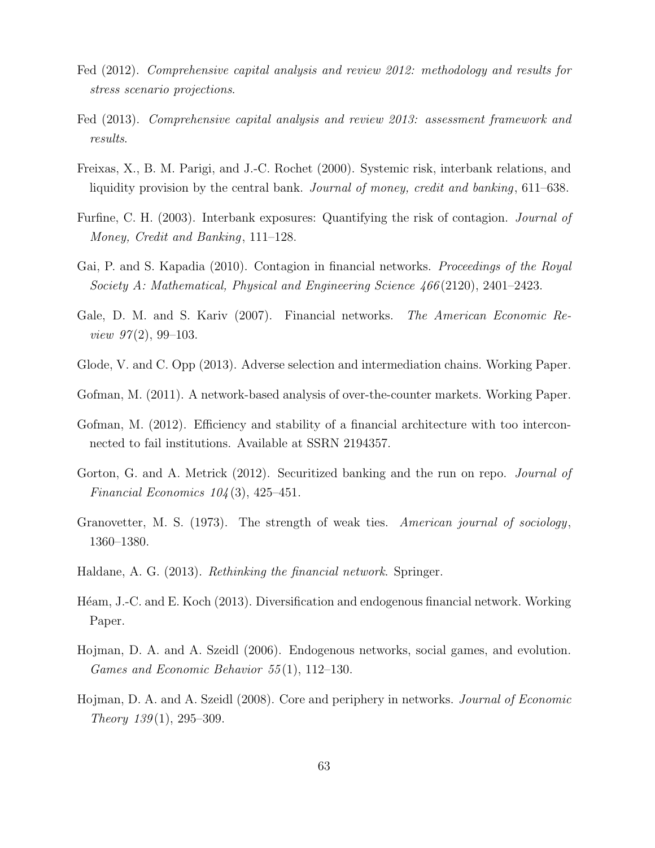- <span id="page-62-0"></span>Fed (2012). Comprehensive capital analysis and review 2012: methodology and results for stress scenario projections.
- <span id="page-62-1"></span>Fed (2013). Comprehensive capital analysis and review 2013: assessment framework and results.
- Freixas, X., B. M. Parigi, and J.-C. Rochet (2000). Systemic risk, interbank relations, and liquidity provision by the central bank. *Journal of money, credit and banking*, 611–638.
- Furfine, C. H. (2003). Interbank exposures: Quantifying the risk of contagion. Journal of Money, Credit and Banking, 111–128.
- <span id="page-62-8"></span>Gai, P. and S. Kapadia (2010). Contagion in financial networks. *Proceedings of the Royal* Society A: Mathematical, Physical and Engineering Science 466 (2120), 2401–2423.
- <span id="page-62-2"></span>Gale, D. M. and S. Kariv (2007). Financial networks. *The American Economic Re*view  $97(2)$ , 99-103.
- Glode, V. and C. Opp (2013). Adverse selection and intermediation chains. Working Paper.
- <span id="page-62-7"></span>Gofman, M. (2011). A network-based analysis of over-the-counter markets. Working Paper.
- <span id="page-62-3"></span>Gofman, M. (2012). Efficiency and stability of a financial architecture with too interconnected to fail institutions. Available at SSRN 2194357.
- <span id="page-62-9"></span>Gorton, G. and A. Metrick (2012). Securitized banking and the run on repo. *Journal of* Financial Economics  $104(3)$ , 425–451.
- <span id="page-62-4"></span>Granovetter, M. S. (1973). The strength of weak ties. American journal of sociology, 1360–1380.
- Haldane, A. G. (2013). Rethinking the financial network. Springer.
- Héam, J.-C. and E. Koch (2013). Diversification and endogenous financial network. Working Paper.
- <span id="page-62-5"></span>Hojman, D. A. and A. Szeidl (2006). Endogenous networks, social games, and evolution. Games and Economic Behavior 55 (1), 112–130.
- <span id="page-62-6"></span>Hojman, D. A. and A. Szeidl (2008). Core and periphery in networks. Journal of Economic Theory  $139(1)$ ,  $295-309$ .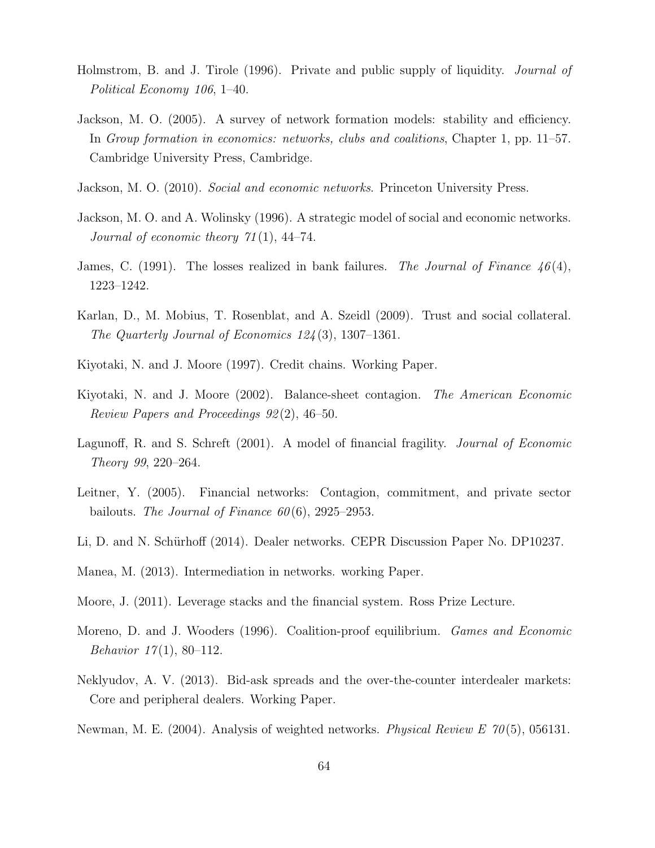- Holmstrom, B. and J. Tirole (1996). Private and public supply of liquidity. *Journal of* Political Economy 106, 1–40.
- <span id="page-63-1"></span>Jackson, M. O. (2005). A survey of network formation models: stability and efficiency. In Group formation in economics: networks, clubs and coalitions, Chapter 1, pp. 11–57. Cambridge University Press, Cambridge.
- <span id="page-63-2"></span>Jackson, M. O. (2010). Social and economic networks. Princeton University Press.
- <span id="page-63-0"></span>Jackson, M. O. and A. Wolinsky (1996). A strategic model of social and economic networks. Journal of economic theory  $71(1)$ , 44–74.
- <span id="page-63-8"></span>James, C. (1991). The losses realized in bank failures. The Journal of Finance  $46(4)$ , 1223–1242.
- Karlan, D., M. Mobius, T. Rosenblat, and A. Szeidl (2009). Trust and social collateral. The Quarterly Journal of Economics 124 (3), 1307–1361.
- <span id="page-63-3"></span>Kiyotaki, N. and J. Moore (1997). Credit chains. Working Paper.
- Kiyotaki, N. and J. Moore (2002). Balance-sheet contagion. The American Economic Review Papers and Proceedings 92 (2), 46–50.
- <span id="page-63-6"></span>Lagunoff, R. and S. Schreft (2001). A model of financial fragility. *Journal of Economic* Theory 99, 220–264.
- <span id="page-63-7"></span>Leitner, Y. (2005). Financial networks: Contagion, commitment, and private sector bailouts. The Journal of Finance  $60(6)$ , 2925–2953.
- <span id="page-63-9"></span>Li, D. and N. Schürhoff (2014). Dealer networks. CEPR Discussion Paper No. DP10237.
- <span id="page-63-4"></span>Manea, M. (2013). Intermediation in networks. working Paper.
- <span id="page-63-5"></span>Moore, J. (2011). Leverage stacks and the financial system. Ross Prize Lecture.
- Moreno, D. and J. Wooders (1996). Coalition-proof equilibrium. Games and Economic Behavior  $17(1)$ , 80–112.
- Neklyudov, A. V. (2013). Bid-ask spreads and the over-the-counter interdealer markets: Core and peripheral dealers. Working Paper.
- Newman, M. E. (2004). Analysis of weighted networks. *Physical Review E*  $70(5)$ , 056131.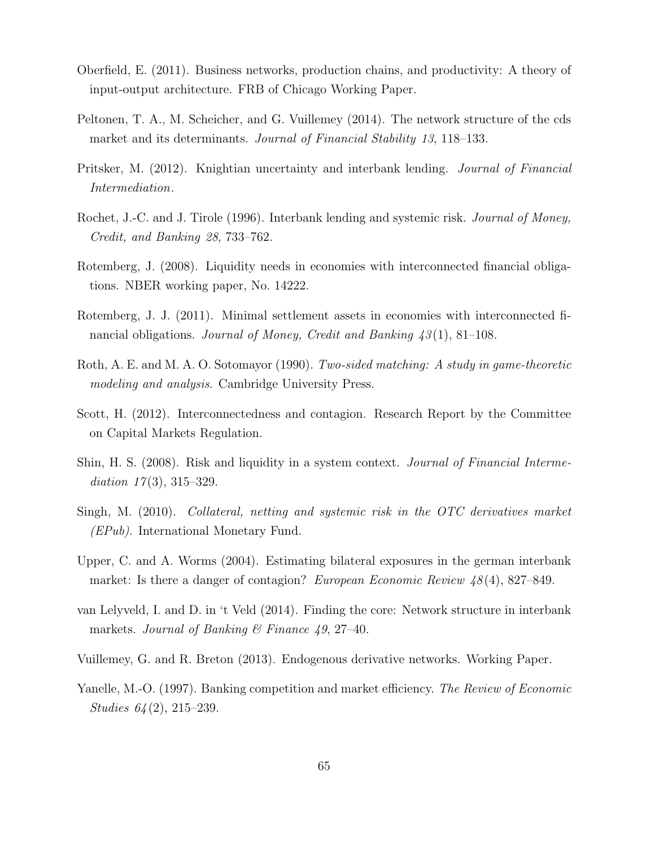- Oberfield, E. (2011). Business networks, production chains, and productivity: A theory of input-output architecture. FRB of Chicago Working Paper.
- <span id="page-64-1"></span>Peltonen, T. A., M. Scheicher, and G. Vuillemey (2014). The network structure of the cds market and its determinants. Journal of Financial Stability 13, 118–133.
- Pritsker, M. (2012). Knightian uncertainty and interbank lending. Journal of Financial Intermediation.
- <span id="page-64-4"></span>Rochet, J.-C. and J. Tirole (1996). Interbank lending and systemic risk. Journal of Money, Credit, and Banking 28, 733–762.
- <span id="page-64-3"></span>Rotemberg, J. (2008). Liquidity needs in economies with interconnected financial obligations. NBER working paper, No. 14222.
- Rotemberg, J. J. (2011). Minimal settlement assets in economies with interconnected financial obligations. Journal of Money, Credit and Banking  $\frac{43(1)}{8}$ , 81–108.
- <span id="page-64-5"></span>Roth, A. E. and M. A. O. Sotomayor (1990). Two-sided matching: A study in game-theoretic modeling and analysis. Cambridge University Press.
- Scott, H. (2012). Interconnectedness and contagion. Research Report by the Committee on Capital Markets Regulation.
- Shin, H. S. (2008). Risk and liquidity in a system context. *Journal of Financial Interme*diation  $17(3)$ ,  $315-329$ .
- Singh, M. (2010). Collateral, netting and systemic risk in the OTC derivatives market (EPub). International Monetary Fund.
- Upper, C. and A. Worms (2004). Estimating bilateral exposures in the german interbank market: Is there a danger of contagion? European Economic Review 48(4), 827–849.
- <span id="page-64-0"></span>van Lelyveld, I. and D. in 't Veld (2014). Finding the core: Network structure in interbank markets. Journal of Banking  $\mathcal C$  Finance 49, 27–40.
- <span id="page-64-2"></span>Vuillemey, G. and R. Breton (2013). Endogenous derivative networks. Working Paper.
- Yanelle, M.-O. (1997). Banking competition and market efficiency. The Review of Economic Studies 64 (2), 215–239.